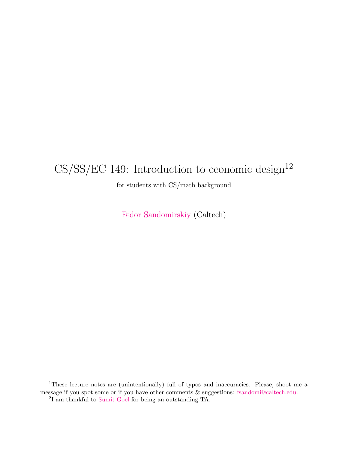# $CS/SS/EC$  149: Introduction to economic design<sup>12</sup>

for students with CS/math background

[Fedor Sandomirskiy](https://fedors.info/) (Caltech)

<sup>1</sup>These lecture notes are (unintentionally) full of typos and inaccuracies. Please, shoot me a message if you spot some or if you have other comments & suggestions: [fsandomi@caltech.edu.](mailto:fsandomi@caltech.edu) 2 I am thankful to [Sumit Goel](https://goelsumit.com/) for being an outstanding TA.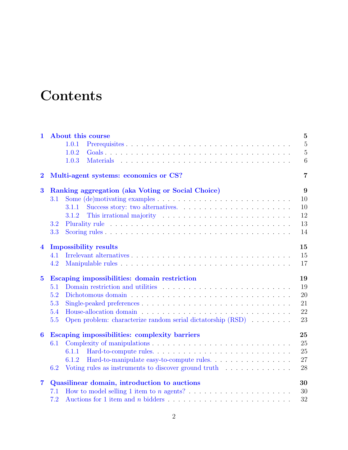# **Contents**

| 1.                      | About this course<br>1.0.1<br>1.0.2<br>1.0.3<br>Materials experience in the contract of the set of the set of the set of the set of the set of the set of the set of the set of the set of the set of the set of the set of the set of the set of the set of the set of the se | $\overline{5}$<br>$\overline{5}$<br>$\overline{5}$<br>6 |
|-------------------------|--------------------------------------------------------------------------------------------------------------------------------------------------------------------------------------------------------------------------------------------------------------------------------|---------------------------------------------------------|
| $\mathbf{2}$            | Multi-agent systems: economics or CS?                                                                                                                                                                                                                                          | $\overline{7}$                                          |
| $\bf{3}$                | Ranking aggregation (aka Voting or Social Choice)                                                                                                                                                                                                                              | 9                                                       |
|                         | Some $(de)$ motivating examples $\ldots \ldots \ldots \ldots \ldots \ldots \ldots \ldots \ldots$<br>3.1                                                                                                                                                                        | 10                                                      |
|                         | 3.1.1                                                                                                                                                                                                                                                                          | 10                                                      |
|                         | 3.1.2                                                                                                                                                                                                                                                                          | 12                                                      |
|                         | 3.2                                                                                                                                                                                                                                                                            | 13                                                      |
|                         | 3.3                                                                                                                                                                                                                                                                            | 14                                                      |
| $\overline{\mathbf{4}}$ | <b>Impossibility results</b>                                                                                                                                                                                                                                                   | 15                                                      |
|                         | 4.1                                                                                                                                                                                                                                                                            | 15                                                      |
|                         | 4.2                                                                                                                                                                                                                                                                            | 17                                                      |
| $\bf{5}$                | Escaping impossibilities: domain restriction                                                                                                                                                                                                                                   | 19                                                      |
|                         | 5.1                                                                                                                                                                                                                                                                            | 19                                                      |
|                         | 5.2                                                                                                                                                                                                                                                                            | 20                                                      |
|                         | 5.3                                                                                                                                                                                                                                                                            | 21                                                      |
|                         | 5.4                                                                                                                                                                                                                                                                            | 22                                                      |
|                         | Open problem: characterize random serial dictatorship (RSD)<br>5.5                                                                                                                                                                                                             | 23                                                      |
|                         | Escaping impossibilities: complexity barriers                                                                                                                                                                                                                                  | 25                                                      |
| $\boldsymbol{6}$        |                                                                                                                                                                                                                                                                                |                                                         |
|                         | 6.1                                                                                                                                                                                                                                                                            | 25                                                      |
|                         | 6.1.1                                                                                                                                                                                                                                                                          | 25                                                      |
|                         | 6.1.2                                                                                                                                                                                                                                                                          | 27                                                      |
|                         | Voting rules as instruments to discover ground truth<br>6.2                                                                                                                                                                                                                    | 28                                                      |
| $\overline{7}$          |                                                                                                                                                                                                                                                                                | 30                                                      |
|                         | Quasilinear domain, introduction to auctions<br>7.1                                                                                                                                                                                                                            | 30                                                      |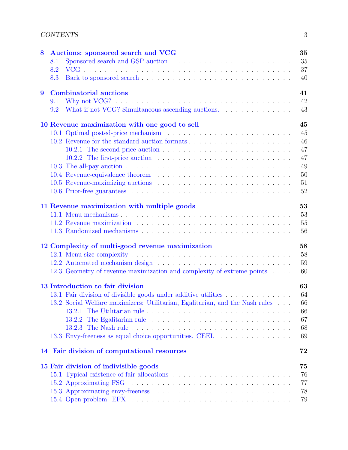| 8 | 35<br>Auctions: sponsored search and VCG                                                               |
|---|--------------------------------------------------------------------------------------------------------|
|   | 35<br>8.1                                                                                              |
|   | 37<br>8.2                                                                                              |
|   | 40<br>8.3                                                                                              |
| 9 | 41<br><b>Combinatorial auctions</b>                                                                    |
|   | 42<br>9.1                                                                                              |
|   | What if not VCG? Simultaneous ascending auctions.<br>43<br>9.2                                         |
|   | 10 Revenue maximization with one good to sell<br>45                                                    |
|   | 45                                                                                                     |
|   | 46                                                                                                     |
|   | 47<br>10.2.1 The second price auction $\ldots \ldots \ldots \ldots \ldots \ldots \ldots \ldots \ldots$ |
|   | 47<br>10.2.2 The first-price auction $\ldots \ldots \ldots \ldots \ldots \ldots \ldots \ldots$         |
|   | 49                                                                                                     |
|   | 50                                                                                                     |
|   | 51                                                                                                     |
|   | 52                                                                                                     |
|   | 53<br>11 Revenue maximization with multiple goods                                                      |
|   | 53                                                                                                     |
|   | 55                                                                                                     |
|   | 56                                                                                                     |
|   | 58<br>12 Complexity of multi-good revenue maximization                                                 |
|   | 58                                                                                                     |
|   | 59                                                                                                     |
|   | 12.3 Geometry of revenue maximization and complexity of extreme points<br>60                           |
|   | 63<br>13 Introduction to fair division                                                                 |
|   | 13.1 Fair division of divisible goods under additive utilities<br>64                                   |
|   | 13.2 Social Welfare maximizers: Utilitarian, Egalitarian, and the Nash rules<br>66                     |
|   | 66                                                                                                     |
|   | 67                                                                                                     |
|   | 68                                                                                                     |
|   | 13.3 Envy-freeness as equal choice opportunities. CEEI.<br>69                                          |
|   | 72<br>14 Fair division of computational resources                                                      |
|   | 15 Fair division of indivisible goods<br>75                                                            |
|   | 76                                                                                                     |
|   | 77                                                                                                     |
|   | 78                                                                                                     |
|   | 79                                                                                                     |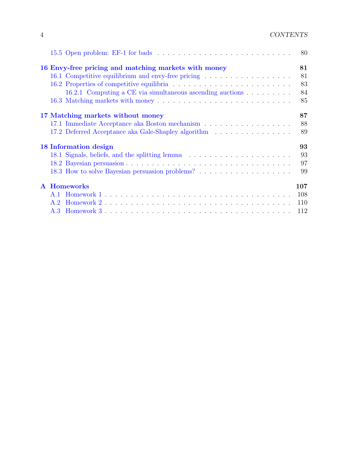|                                                           | 80  |
|-----------------------------------------------------------|-----|
| 16 Envy-free pricing and matching markets with money      | 81  |
| 16.1 Competitive equilibrium and envy-free pricing        | 81  |
|                                                           | 83  |
| 16.2.1 Computing a CE via simultaneous ascending auctions | 84  |
|                                                           | 85  |
| 17 Matching markets without money                         | 87  |
|                                                           | 88  |
| 17.2 Deferred Acceptance aka Gale-Shapley algorithm       | 89  |
| 18 Information design                                     | 93  |
| 18.1 Signals, beliefs, and the splitting lemma            | 93  |
|                                                           | 97  |
|                                                           | 99  |
| <b>A</b> Homeworks                                        | 107 |
|                                                           | 108 |
|                                                           | 110 |
| A.3                                                       | 112 |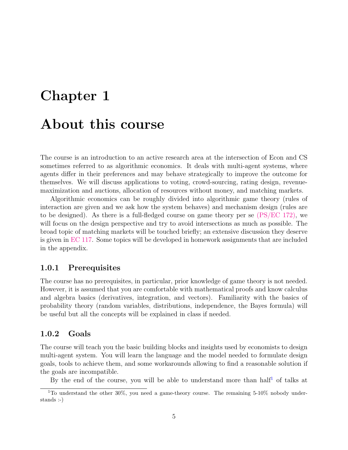# <span id="page-4-0"></span>Chapter 1 About this course

The course is an introduction to an active research area at the intersection of Econ and CS sometimes referred to as algorithmic economics. It deals with multi-agent systems, where agents differ in their preferences and may behave strategically to improve the outcome for themselves. We will discuss applications to voting, crowd-sourcing, rating design, revenuemaximization and auctions, allocation of resources without money, and matching markets.

Algorithmic economics can be roughly divided into algorithmic game theory (rules of interaction are given and we ask how the system behaves) and mechanism design (rules are to be designed). As there is a full-fledged course on game theory per se  $(PS/EC 172)$ , we will focus on the design perspective and try to avoid intersections as much as possible. The broad topic of matching markets will be touched briefly; an extensive discussion they deserve is given in [EC 117.](http://www.its.caltech.edu/~lpomatto/) Some topics will be developed in homework assignments that are included in the appendix.

#### <span id="page-4-1"></span>1.0.1 Prerequisites

The course has no prerequisites, in particular, prior knowledge of game theory is not needed. However, it is assumed that you are comfortable with mathematical proofs and know calculus and algebra basics (derivatives, integration, and vectors). Familiarity with the basics of probability theory (random variables, distributions, independence, the Bayes formula) will be useful but all the concepts will be explained in class if needed.

#### <span id="page-4-2"></span>1.0.2 Goals

The course will teach you the basic building blocks and insights used by economists to design multi-agent system. You will learn the language and the model needed to formulate design goals, tools to achieve them, and some workarounds allowing to find a reasonable solution if the goals are incompatible.

By the end of the course, you will be able to understand more than half<sup>[1](#page-4-3)</sup> of talks at

<span id="page-4-3"></span><sup>&</sup>lt;sup>1</sup>To understand the other 30%, you need a game-theory course. The remaining 5-10% nobody understands :-)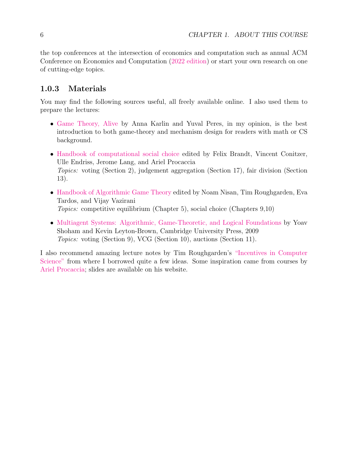the top conferences at the intersection of economics and computation such as annual ACM Conference on Economics and Computation [\(2022 edition\)](https://ec22.sigecom.org/) or start your own research on one of cutting-edge topics.

### <span id="page-5-0"></span>1.0.3 Materials

You may find the following sources useful, all freely available online. I also used them to prepare the lectures:

- [Game Theory, Alive](https://homes.cs.washington.edu/~karlin/GameTheoryBook.pdf) by Anna Karlin and Yuval Peres, in my opinion, is the best introduction to both game-theory and mechanism design for readers with math or CS background.
- [Handbook of computational social choice](http://procaccia.info/wp-content/uploads/2020/03/comsoc.pdf) edited by Felix Brandt, Vincent Conitzer, Ulle Endriss, Jerome Lang, and Ariel Procaccia Topics: voting (Section 2), judgement aggregation (Section 17), fair division (Section 13).
- [Handbook of Algorithmic Game Theory](https://www.cs.cmu.edu/~sandholm/cs15-892F13/algorithmic-game-theory.pdf) edited by Noam Nisan, Tim Roughgarden, Eva Tardos, and Vijay Vazirani Topics: competitive equilibrium (Chapter 5), social choice (Chapters 9,10)
- [Multiagent Systems: Algorithmic, Game-Theoretic, and Logical Foundations](http://www.masfoundations.org/download.html) by Yoav Shoham and Kevin Leyton-Brown, Cambridge University Press, 2009 Topics: voting (Section 9), VCG (Section 10), auctions (Section 11).

I also recommend amazing lecture notes by Tim Roughgarden's ["Incentives in Computer](http://timroughgarden.org/notes.html) [Science"](http://timroughgarden.org/notes.html) from where I borrowed quite a few ideas. Some inspiration came from courses by [Ariel Procaccia;](http://procaccia.info/) slides are available on his website.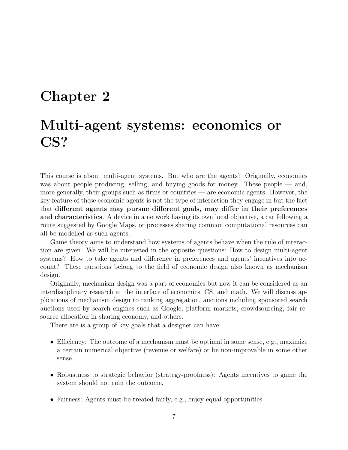## <span id="page-6-0"></span>Chapter 2

# Multi-agent systems: economics or CS?

This course is about multi-agent systems. But who are the agents? Originally, economics was about people producing, selling, and buying goods for money. These people — and, more generally, their groups such as firms or countries — are economic agents. However, the key feature of these economic agents is not the type of interaction they engage in but the fact that different agents may pursue different goals, may differ in their preferences and characteristics. A device in a network having its own local objective, a car following a route suggested by Google Maps, or processes sharing common computational resources can all be modelled as such agents.

Game theory aims to understand how systems of agents behave when the rule of interaction are given. We will be interested in the opposite questions: How to design multi-agent systems? How to take agents and difference in preferences and agents' incentives into account? These questions belong to the field of economic design also known as mechanism design.

Originally, mechanism design was a part of economics but now it can be considered as an interdisciplinary research at the interface of economics, CS, and math. We will discuss applications of mechanism design to ranking aggregation, auctions including sponsored search auctions used by search engines such as Google, platform markets, crowdsourcing, fair resource allocation in sharing economy, and others.

There are is a group of key goals that a designer can have:

- Efficiency: The outcome of a mechanism must be optimal in some sense, e.g., maximize a certain numerical objective (revenue or welfare) or be non-improvable in some other sense.
- Robustness to strategic behavior (strategy-proofness): Agents incentives to game the system should not ruin the outcome.
- Fairness: Agents must be treated fairly, e.g., enjoy equal opportunities.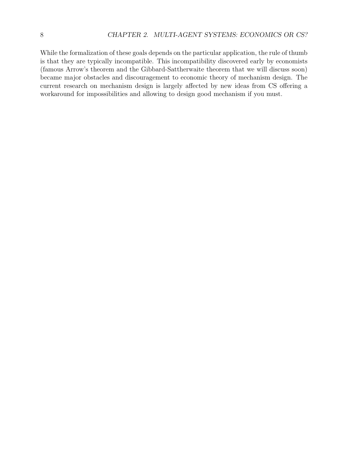While the formalization of these goals depends on the particular application, the rule of thumb is that they are typically incompatible. This incompatibility discovered early by economists (famous Arrow's theorem and the Gibbard-Sattherwaite theorem that we will discuss soon) became major obstacles and discouragement to economic theory of mechanism design. The current research on mechanism design is largely affected by new ideas from CS offering a workaround for impossibilities and allowing to design good mechanism if you must.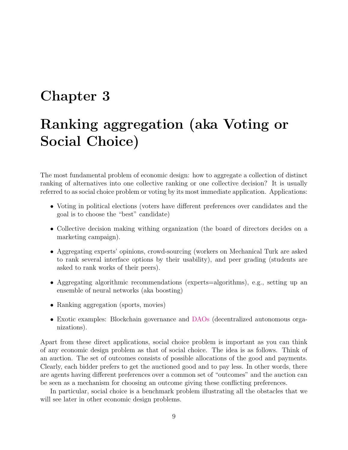## <span id="page-8-0"></span>Chapter 3

# Ranking aggregation (aka Voting or Social Choice)

The most fundamental problem of economic design: how to aggregate a collection of distinct ranking of alternatives into one collective ranking or one collective decision? It is usually referred to as social choice problem or voting by its most immediate application. Applications:

- Voting in political elections (voters have different preferences over candidates and the goal is to choose the "best" candidate)
- Collective decision making withing organization (the board of directors decides on a marketing campaign).
- Aggregating experts' opinions, crowd-sourcing (workers on Mechanical Turk are asked to rank several interface options by their usability), and peer grading (students are asked to rank works of their peers).
- Aggregating algorithmic recommendations (experts=algorithms), e.g., setting up an ensemble of neural networks (aka boosting)
- Ranking aggregation (sports, movies)
- Exotic examples: Blockchain governance and [DAOs](https://en.wikipedia.org/wiki/Decentralized_autonomous_organization) (decentralized autonomous organizations).

Apart from these direct applications, social choice problem is important as you can think of any economic design problem as that of social choice. The idea is as follows. Think of an auction. The set of outcomes consists of possible allocations of the good and payments. Clearly, each bidder prefers to get the auctioned good and to pay less. In other words, there are agents having different preferences over a common set of "outcomes" and the auction can be seen as a mechanism for choosing an outcome giving these conflicting preferences.

In particular, social choice is a benchmark problem illustrating all the obstacles that we will see later in other economic design problems.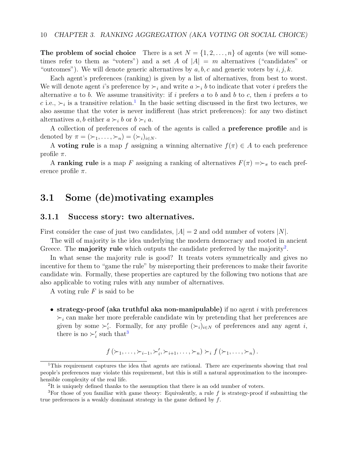The problem of social choice There is a set  $N = \{1, 2, ..., n\}$  of agents (we will sometimes refer to them as "voters") and a set A of  $|A| = m$  alternatives ("candidates" or "outcomes"). We will denote generic alternatives by  $a, b, c$  and generic voters by  $i, j, k$ .

Each agent's preferences (ranking) is given by a list of alternatives, from best to worst. We will denote agent i's preference by  $\succ_i$  and write  $a \succ_i b$  to indicate that voter i prefers the alternative a to b. We assume transitivity: if i prefers a to b and b to c, then i prefers a to c i.e.,  $\succ_i$  is a transitive relation.<sup>[1](#page-9-2)</sup> In the basic setting discussed in the first two lectures, we also assume that the voter is never indifferent (has strict preferences): for any two distinct alternatives a, b either  $a \succ_i b$  or  $b \succ_i a$ .

A collection of preferences of each of the agents is called a preference profile and is denoted by  $\pi = (\succ_1, \ldots, \succ_n) = (\succ_i)_{i \in N}$ .

A **voting rule** is a map f assigning a winning alternative  $f(\pi) \in A$  to each preference profile  $\pi$ .

A ranking rule is a map F assigning a ranking of alternatives  $F(\pi) \Rightarrow_{\pi}$  to each preference profile  $\pi$ .

### <span id="page-9-0"></span>3.1 Some (de)motivating examples

#### <span id="page-9-1"></span>3.1.1 Success story: two alternatives.

First consider the case of just two candidates,  $|A| = 2$  and odd number of voters  $|N|$ .

The will of majority is the idea underlying the modern democracy and rooted in ancient Greece. The **majority rule** which outputs the candidate preferred by the majority<sup>[2](#page-9-3)</sup>.

In what sense the majority rule is good? It treats voters symmetrically and gives no incentive for them to "game the rule" by misreporting their preferences to make their favorite candidate win. Formally, these properties are captured by the following two notions that are also applicable to voting rules with any number of alternatives.

A voting rule  $F$  is said to be

• strategy-proof (aka truthful aka non-manipulable) if no agent  $i$  with preferences  $\succ_i$  can make her more preferable candidate win by pretending that her preferences are given by some  $\succ_i'$ . Formally, for any profile  $(\succ_i)_{i\in N}$  of preferences and any agent i, there is no  $\succ_i'$  such that<sup>[3](#page-9-4)</sup>

$$
f(\succ_1,\ldots,\succ_{i-1},\succ'_i,\succ_{i+1},\ldots,\succ_n)\succ_i f(\succ_1,\ldots,\succ_n).
$$

<span id="page-9-2"></span><sup>&</sup>lt;sup>1</sup>This requirement captures the idea that agents are rational. There are experiments showing that real people's preferences may violate this requirement, but this is still a natural approximation to the incomprehensible complexity of the real life.

<span id="page-9-4"></span><span id="page-9-3"></span><sup>&</sup>lt;sup>2</sup>It is uniquely defined thanks to the assumption that there is an odd number of voters.

<sup>&</sup>lt;sup>3</sup>For those of you familiar with game theory: Equivalently, a rule  $f$  is strategy-proof if submitting the true preferences is a weakly dominant strategy in the game defined by f.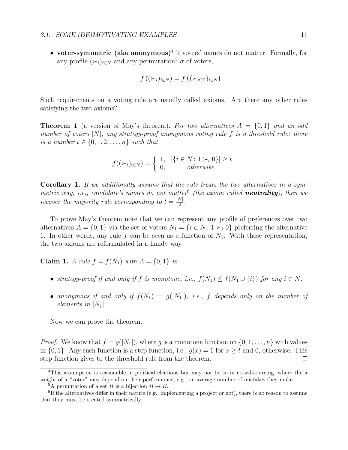• voter-symmetric (aka anonymous)<sup>[4](#page-10-0)</sup> if voters' names do not matter. Formally, for any profile  $(\succ_i)_{i\in\mathbb{N}}$  and any permutation<sup>[5](#page-10-1)</sup>  $\sigma$  of voters,

$$
f((\succ_i)_{i\in N}) = f((\succ_{\sigma(i)})_{i\in N}).
$$

Such requirements on a voting rule are usually called axioms. Are there any other rules satisfying the two axioms?

**Theorem 1** (a version of May's theorem). For two alternatives  $A = \{0, 1\}$  and an odd number of voters  $|N|$ , any strategy-proof anonymous voting rule f is a threshold rule: there is a number  $t \in \{0, 1, 2, \ldots, n\}$  such that

$$
f((\succ_{i})_{i \in N}) = \begin{cases} 1, & |\{i \in N: 1 \succ_{i} 0\}| \ge t \\ 0, & otherwise. \end{cases}
$$

Corollary 1. If we additionally assume that the rule treats the two alternatives in a sym-metric way, i.e., candidate's names do not matter<sup>[6](#page-10-2)</sup> (the axiom called **neutrality**), then we recover the majority rule corresponding to  $t = \frac{|N|}{2}$  $\frac{N}{2}$ .

To prove May's theorem note that we can represent any profile of preferences over two alternatives  $A = \{0, 1\}$  via the set of voters  $N_1 = \{i \in N : 1 \succ_i 0\}$  preferring the alternative 1. In other words, any rule f can be seen as a function of  $N_1$ . With these representation, the two axioms are reformulated in a handy way.

**Claim 1.** A rule  $f = f(N_1)$  with  $A = \{0, 1\}$  is

- strategy-proof if and only if f is monotone, i.e.,  $f(N_1) \leq f(N_1 \cup \{i\})$  for any  $i \in N$ .
- anonymous if and only if  $f(N_1) = g(|N_1|)$ , i.e., f depends only on the number of elements in  $|N_1|$ .

Now we can prove the theorem.

*Proof.* We know that  $f = g(|N_1|)$ , where g is a monotone function on  $\{0, 1, \ldots, n\}$  with values in  $\{0,1\}$ . Any such function is a step function, i.e.,  $g(x) = 1$  for  $x \ge t$  and 0, otherwise. This step function gives to the threshold rule from the theorem.  $\Box$ 

<span id="page-10-0"></span><sup>4</sup>This assumption is reasonable in political elections but may not be so in crowd-sourcing, where the a weight of a "voter" may depend on their performance, e.g., on average number of mistakes they make.

<span id="page-10-2"></span><span id="page-10-1"></span><sup>&</sup>lt;sup>5</sup>A permutation of a set B is a bijection  $B \to B$ .

<sup>&</sup>lt;sup>6</sup>If the alternatives differ in their nature (e.g., implementing a project or not), there is no reason to assume that they must be treated symmetrically.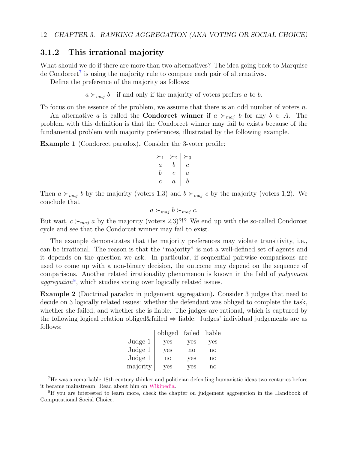#### <span id="page-11-0"></span>3.1.2 This irrational majority

What should we do if there are more than two alternatives? The idea going back to Marquise de Condorcet<sup>[7](#page-11-1)</sup> is using the majority rule to compare each pair of alternatives.

Define the preference of the majority as follows:

 $a \succ_{maj} b$  if and only if the majority of voters prefers a to b.

To focus on the essence of the problem, we assume that there is an odd number of voters  $n$ .

An alternative a is called the **Condorcet winner** if  $a \succ_{maj} b$  for any  $b \in A$ . The problem with this definition is that the Condorcet winner may fail to exists because of the fundamental problem with majority preferences, illustrated by the following example.

Example 1 (Condorcet paradox). Consider the 3-voter profile:

$$
\begin{array}{c|c|c}\n \times_1 & \times_2 & \times_3 \\
\hline\na & b & c \\
b & c & a \\
c & a & b\n\end{array}
$$

Then  $a \succ_{maj} b$  by the majority (voters 1,3) and  $b \succ_{maj} c$  by the majority (voters 1,2). We conclude that

$$
a \succ_{maj} b \succ_{maj} c.
$$

But wait,  $c \succ_{maj} a$  by the majority (voters 2,3)?!? We end up with the so-called Condorcet cycle and see that the Condorcet winner may fail to exist.

The example demonstrates that the majority preferences may violate transitivity, i.e., can be irrational. The reason is that the "majority" is not a well-defined set of agents and it depends on the question we ask. In particular, if sequential pairwise comparisons are used to come up with a non-binary decision, the outcome may depend on the sequence of comparisons. Another related irrationality phenomenon is known in the field of judgement  $aggregation<sup>8</sup>$  $aggregation<sup>8</sup>$  $aggregation<sup>8</sup>$ , which studies voting over logically related issues.

Example 2 (Doctrinal paradox in judgement aggregation). Consider 3 judges that need to decide on 3 logically related issues: whether the defendant was obliged to complete the task, whether she failed, and whether she is liable. The judges are rational, which is captured by the following logical relation obliged&failed ⇒ liable. Judges' individual judgements are as follows:

|          | obliged | failed | liable |
|----------|---------|--------|--------|
| Judge 1  | yes     | yes    | yes    |
| Judge 1  | yes     | no     | no     |
| Judge 1  | no      | yes    | no     |
| majority | ves     | ves    | no     |

<span id="page-11-1"></span><sup>7</sup>He was a remarkable 18th century thinker and politician defending humanistic ideas two centuries before it became mainstream. Read about him on [Wikipedia.](https://en.wikipedia.org/wiki/Marquis_de_Condorcet)

<span id="page-11-2"></span><sup>&</sup>lt;sup>8</sup>If you are interested to learn more, check the chapter on judgement aggregation in the Handbook of Computational Social Choice.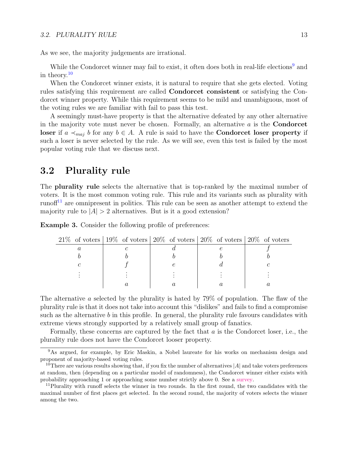#### 3.2. PLURALITY RULE 13

As we see, the majority judgements are irrational.

While the Condorcet winner may fail to exist, it often does both in real-life elections<sup>[9](#page-12-1)</sup> and in theory.[10](#page-12-2)

When the Condorcet winner exists, it is natural to require that she gets elected. Voting rules satisfying this requirement are called Condorcet consistent or satisfying the Condorcet winner property. While this requirement seems to be mild and unambiguous, most of the voting rules we are familiar with fail to pass this test.

A seemingly must-have property is that the alternative defeated by any other alternative in the majority vote must never be chosen. Formally, an alternative  $a$  is the **Condorcet** loser if  $a \prec_{maj} b$  for any  $b \in A$ . A rule is said to have the **Condorcet loser property** if such a loser is never selected by the rule. As we will see, even this test is failed by the most popular voting rule that we discuss next.

### <span id="page-12-0"></span>3.2 Plurality rule

The plurality rule selects the alternative that is top-ranked by the maximal number of voters. It is the most common voting rule. This rule and its variants such as plurality with runof<sup> $11$ </sup> are omnipresent in politics. This rule can be seen as another attempt to extend the majority rule to  $|A| > 2$  alternatives. But is it a good extension?

| <b>Example 3.</b> Consider the following profile of preferences: |  |  |  |  |  |  |
|------------------------------------------------------------------|--|--|--|--|--|--|
|------------------------------------------------------------------|--|--|--|--|--|--|

|  | $21\%$ of voters   19% of voters   20% of voters   20% of voters   20% of voters |  |
|--|----------------------------------------------------------------------------------|--|
|  |                                                                                  |  |
|  |                                                                                  |  |
|  |                                                                                  |  |
|  |                                                                                  |  |
|  |                                                                                  |  |

The alternative a selected by the plurality is hated by 79% of population. The flaw of the plurality rule is that it does not take into account this "dislikes" and fails to find a compromise such as the alternative  $b$  in this profile. In general, the plurality rule favours candidates with extreme views strongly supported by a relatively small group of fanatics.

Formally, these concerns are captured by the fact that a is the Condorcet loser, i.e., the plurality rule does not have the Condorcet looser property.

<span id="page-12-1"></span><sup>&</sup>lt;sup>9</sup>As argued, for example, by Eric Maskin, a Nobel laureate for his works on mechanism design and proponent of majority-based voting rules.

<span id="page-12-2"></span><sup>&</sup>lt;sup>10</sup>There are various results showing that, if you fix the number of alternatives  $|A|$  and take voters preferences at random, then (depending on a particular model of randomness), the Condorcet winner either exists with probability approaching 1 or approaching some number strictly above 0. See a [survey.](https://link.springer.com/article/10.1023/A:1015551010381)

<span id="page-12-3"></span><sup>&</sup>lt;sup>11</sup>Plurality with runoff selects the winner in two rounds. In the first round, the two candidates with the maximal number of first places get selected. In the second round, the majority of voters selects the winner among the two.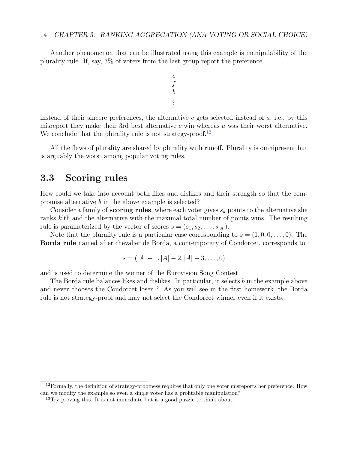Another phenomenon that can be illustrated using this example is manipulability of the plurality rule. If, say, 3% of voters from the last group report the preference

$$
\begin{array}{c} c \\ f \\ b \\ \vdots \end{array}
$$

instead of their sincere preferences, the alternative c gets selected instead of  $a$ , i.e., by this misreport they make their 3rd best alternative  $c$  win whereas  $a$  was their worst alternative. We conclude that the plurality rule is not strategy-proof.<sup>[12](#page-13-1)</sup>

All the flaws of plurality are shared by plurality with runoff. Plurality is omnipresent but is arguably the worst among popular voting rules.

#### <span id="page-13-0"></span>3.3 Scoring rules

How could we take into account both likes and dislikes and their strength so that the compromise alternative b in the above example is selected?

Consider a family of **scoring rules**, where each voter gives  $s_k$  points to the alternative she ranks k'th and the alternative with the maximal total number of points wins. The resulting rule is parameterized by the vector of scores  $s = (s_1, s_2, \ldots, s_{|A|}).$ 

Note that the plurality rule is a particular case corresponding to  $s = (1, 0, 0, \ldots, 0)$ . The Borda rule named after chevalier de Borda, a contemporary of Condorcet, corresponds to

$$
s = (|A| - 1, |A| - 2, |A| - 3, \dots, 0)
$$

and is used to determine the winner of the Eurovision Song Contest.

The Borda rule balances likes and dislikes. In particular, it selects b in the example above and never chooses the Condorcet loser.<sup>[13](#page-13-2)</sup> As you will see in the first homework, the Borda rule is not strategy-proof and may not select the Condorcet winner even if it exists.

<span id="page-13-1"></span><sup>&</sup>lt;sup>12</sup>Formally, the definition of strategy-proofness requires that only one voter misreports her preference. How can we modify the example so even a single voter has a profitable manipulation?

<span id="page-13-2"></span> $13$ Try proving this. It is not immediate but is a good puzzle to think about.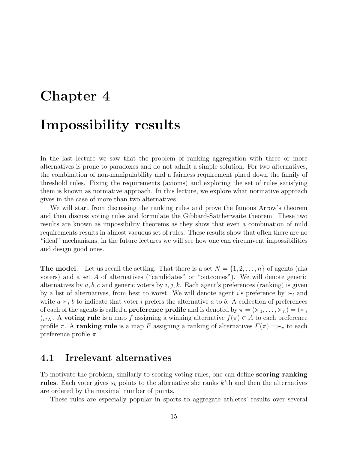# <span id="page-14-0"></span>Chapter 4 Impossibility results

In the last lecture we saw that the problem of ranking aggregation with three or more alternatives is prone to paradoxes and do not admit a simple solution. For two alternatives, the combination of non-manipulability and a fairness requirement pined down the family of threshold rules. Fixing the requirements (axioms) and exploring the set of rules satisfying them is known as normative approach. In this lecture, we explore what normative approach gives in the case of more than two alternatives.

We will start from discussing the ranking rules and prove the famous Arrow's theorem and then discuss voting rules and formulate the Gibbard-Sattherwaite theorem. These two results are known as impossibility theorems as they show that even a combination of mild requirements results in almost vacuous set of rules. These results show that often there are no "ideal" mechanisms; in the future lectures we will see how one can circumvent impossibilities and design good ones.

**The model.** Let us recall the setting. That there is a set  $N = \{1, 2, \ldots, n\}$  of agents (aka voters) and a set A of alternatives ("candidates" or "outcomes"). We will denote generic alternatives by  $a, b, c$  and generic voters by  $i, j, k$ . Each agent's preferences (ranking) is given by a list of alternatives, from best to worst. We will denote agent i's preference by  $\succ_i$  and write  $a \succ_i b$  to indicate that voter i prefers the alternative a to b. A collection of preferences of each of the agents is called a **preference profile** and is denoted by  $\pi = (\succ_1, \ldots, \succ_n) = (\succ_i)$ )<sub>i∈N</sub>. A **voting rule** is a map f assigning a winning alternative  $f(\pi) \in A$  to each preference profile  $\pi$ . A ranking rule is a map F assigning a ranking of alternatives  $F(\pi) \Rightarrow_{\pi}$  to each preference profile  $\pi$ .

### <span id="page-14-1"></span>4.1 Irrelevant alternatives

To motivate the problem, similarly to scoring voting rules, one can define **scoring ranking** rules. Each voter gives  $s_k$  points to the alternative she ranks k'th and then the alternatives are ordered by the maximal number of points.

These rules are especially popular in sports to aggregate athletes' results over several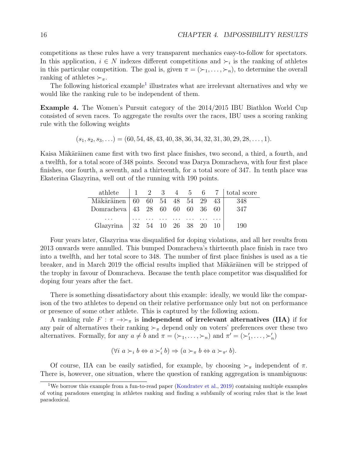competitions as these rules have a very transparent mechanics easy-to-follow for spectators. In this application,  $i \in N$  indexes different competitions and  $\succ_i$  is the ranking of athletes in this particular competition. The goal is, given  $\pi = (\succ_1, \ldots, \succ_n)$ , to determine the overall ranking of athletes  $\succ_{\pi}$ .

The following historical example<sup>[1](#page-15-0)</sup> illustrates what are irrelevant alternatives and why we would like the ranking rule to be independent of them.

Example 4. The Women's Pursuit category of the 2014/2015 IBU Biathlon World Cup consisted of seven races. To aggregate the results over the races, IBU uses a scoring ranking rule with the following weights

 $(s_1, s_2, s_3, \ldots) = (60, 54, 48, 43, 40, 38, 36, 34, 32, 31, 30, 29, 28, \ldots, 1).$ 

Kaisa Mäkäräinen came first with two first place finishes, two second, a third, a fourth, and a twelfth, for a total score of 348 points. Second was Darya Domracheva, with four first place finishes, one fourth, a seventh, and a thirteenth, for a total score of 347. In tenth place was Ekaterina Glazyrina, well out of the running with 190 points.

|                                       |  |                                                            |  |  | athlete $\begin{array}{ccccccccc} 1 & 2 & 3 & 4 & 5 & 6 & 7 & \text{total score} \end{array}$ |
|---------------------------------------|--|------------------------------------------------------------|--|--|-----------------------------------------------------------------------------------------------|
| Mäkäräinen 60 60 54 48 54 29 43   348 |  |                                                            |  |  |                                                                                               |
| Domracheva 43 28 60 60 60 36 60       |  |                                                            |  |  | - 347                                                                                         |
|                                       |  | المتعارض والمتعارض والمتعارض والمتعارض والمتعارض والمتعارض |  |  |                                                                                               |
| Glazyrina   32 54 10 26 38 20 10      |  |                                                            |  |  | - 190                                                                                         |

Four years later, Glazyrina was disqualified for doping violations, and all her results from 2013 onwards were annulled. This bumped Domracheva's thirteenth place finish in race two into a twelfth, and her total score to 348. The number of first place finishes is used as a tie breaker, and in March 2019 the official results implied that Mäkäräinen will be stripped of the trophy in favour of Domracheva. Because the tenth place competitor was disqualified for doping four years after the fact.

There is something dissatisfactory about this example: ideally, we would like the comparison of the two athletes to depend on their relative performance only but not on performance or presence of some other athlete. This is captured by the following axiom.

A ranking rule  $F : \pi \rightarrow \succ_{\pi}$  is independent of irrelevant alternatives (IIA) if for any pair of alternatives their ranking  $\succ_{\pi}$  depend only on voters' preferences over these two alternatives. Formally, for any  $a \neq b$  and  $\pi = (\succ_1, \ldots, \succ_n)$  and  $\pi' = (\succ'_1, \ldots, \succ'_n)$ 

$$
(\forall i \ a \succ_i b \Leftrightarrow a \succ'_i b) \Rightarrow (a \succ_{\pi} b \Leftrightarrow a \succ_{\pi'} b).
$$

Of course, IIA can be easily satisfied, for example, by choosing  $\succ_{\pi}$  independent of  $\pi$ . There is, however, one situation, where the question of ranking aggregation is unambiguous:

<span id="page-15-0"></span><sup>1</sup>We borrow this example from a fun-to-read paper [\(Kondratev et al.,](#page-103-0) [2019\)](#page-103-0) containing multiple examples of voting paradoxes emerging in athletes ranking and finding a subfamily of scoring rules that is the least paradoxical.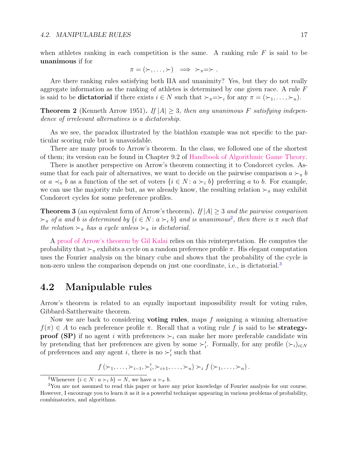when athletes ranking in each competition is the same. A ranking rule  $F$  is said to be unanimous if for

$$
\pi = (\succ, \ldots, \succ) \implies \succ_{\pi} = \succ.
$$

Are there ranking rules satisfying both IIA and unanimity? Yes, but they do not really aggregate information as the ranking of athletes is determined by one given race. A rule F is said to be **dictatorial** if there exists  $i \in N$  such that  $\succ_{\pi} = \succ_i$  for any  $\pi = (\succ_1, \ldots, \succ_n)$ .

**Theorem 2** (Kenneth Arrow 1951). If  $|A| \geq 3$ , then any unanimous F satisfying independence of irrelevant alternatives is a dictatorship.

As we see, the paradox illustrated by the biathlon example was not specific to the particular scoring rule but is unavoidable.

There are many proofs to Arrow's theorem. In the class, we followed one of the shortest of them; its version can be found in Chapter 9.2 of [Handbook of Algorithmic Game Theory.](https://www.cs.cmu.edu/~sandholm/cs15-892F13/algorithmic-game-theory.pdf)

There is another perspective on Arrow's theorem connecting it to Condorcet cycles. Assume that for each pair of alternatives, we want to decide on the pairwise comparison  $a \succ_{\pi} b$ or  $a \prec_{\pi} b$  as a function of the set of voters  $\{i \in N : a \succ_i b\}$  preferring a to b. For example, we can use the majority rule but, as we already know, the resulting relation  $\succ_{\pi}$  may exhibit Condorcet cycles for some preference profiles.

**Theorem 3** (an equivalent form of Arrow's theorem). If  $|A| \geq 3$  and the pairwise comparison  $\succ_{\pi}$  of a and b is determined by  $\{i \in N : a \succ_i b\}$  and is unanimous<sup>[2](#page-16-1)</sup>, then there is  $\pi$  such that the relation  $\succ_{\pi}$  has a cycle unless  $\succ_{\pi}$  is dictatorial.

A [proof of Arrow's theorem by Gil Kalai](http://www.cs.cmu.edu/~odonnell/papers/analysis-survey.pdf) relies on this reinterpretation. He computes the probability that  $\succ_{\pi}$  exhibits a cycle on a random preference profile  $\pi$ . His elegant computation uses the Fourier analysis on the binary cube and shows that the probability of the cycle is non-zero unless the comparison depends on just one coordinate, i.e., is dictatorial.<sup>[3](#page-16-2)</sup>

#### <span id="page-16-0"></span>4.2 Manipulable rules

Arrow's theorem is related to an equally important impossibility result for voting rules, Gibbard-Sattherwaite theorem.

Now we are back to considering **voting rules**, maps  $f$  assigning a winning alternative  $f(\pi) \in A$  to each preference profile  $\pi$ . Recall that a voting rule f is said to be **strategyproof (SP)** if no agent i with preferences  $\succ_i$  can make her more preferable candidate win by pretending that her preferences are given by some  $\succ'_{i}$ . Formally, for any profile  $(\succ_{i})_{i\in N}$ of preferences and any agent *i*, there is no  $\succ'_{i}$  such that

$$
f\left(\succ_1,\ldots,\succ_{i-1},\succ'_i,\succ_{i+1},\ldots,\succ_n\right)\succ_i f\left(\succ_1,\ldots,\succ_n\right).
$$

<span id="page-16-2"></span><span id="page-16-1"></span><sup>&</sup>lt;sup>2</sup>Whenever  $\{i \in N : a \succ_i b\} = N$ , we have  $a \succ_{\pi} b$ .

<sup>3</sup>You are not assumed to read this paper or have any prior knowledge of Fourier analysis for our course. However, I encourage you to learn it as it is a powerful technique appearing in various problems of probability, combinatorics, and algorithms.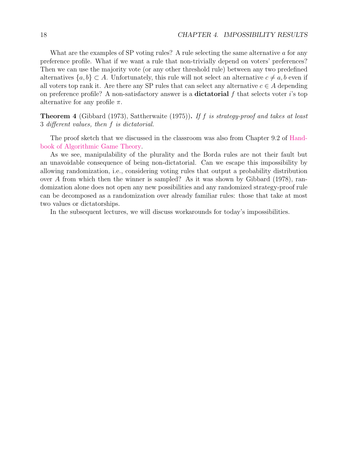What are the examples of SP voting rules? A rule selecting the same alternative  $\alpha$  for any preference profile. What if we want a rule that non-trivially depend on voters' preferences? Then we can use the majority vote (or any other threshold rule) between any two predefined alternatives  $\{a, b\} \subset A$ . Unfortunately, this rule will not select an alternative  $c \neq a, b$  even if all voters top rank it. Are there any SP rules that can select any alternative  $c \in A$  depending on preference profile? A non-satisfactory answer is a **dictatorial** f that selects voter  $i$ 's top alternative for any profile  $\pi$ .

Theorem 4 (Gibbard (1973), Sattherwaite (1975)). If f is strategy-proof and takes at least 3 different values, then f is dictatorial.

The proof sketch that we discussed in the classroom was also from Chapter 9.2 of [Hand](https://www.cs.cmu.edu/~sandholm/cs15-892F13/algorithmic-game-theory.pdf)[book of Algorithmic Game Theory.](https://www.cs.cmu.edu/~sandholm/cs15-892F13/algorithmic-game-theory.pdf)

As we see, manipulability of the plurality and the Borda rules are not their fault but an unavoidable consequence of being non-dictatorial. Can we escape this impossibility by allowing randomization, i.e., considering voting rules that output a probability distribution over A from which then the winner is sampled? As it was shown by Gibbard (1978), randomization alone does not open any new possibilities and any randomized strategy-proof rule can be decomposed as a randomization over already familiar rules: those that take at most two values or dictatorships.

In the subsequent lectures, we will discuss workarounds for today's impossibilities.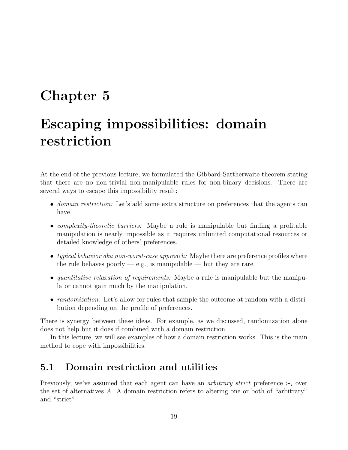# <span id="page-18-0"></span>Chapter 5

# Escaping impossibilities: domain restriction

At the end of the previous lecture, we formulated the Gibbard-Sattherwaite theorem stating that there are no non-trivial non-manipulable rules for non-binary decisions. There are several ways to escape this impossibility result:

- *domain restriction:* Let's add some extra structure on preferences that the agents can have.
- *complexity-theoretic barriers:* Maybe a rule is manipulable but finding a profitable manipulation is nearly impossible as it requires unlimited computational resources or detailed knowledge of others' preferences.
- typical behavior aka non-worst-case approach: Maybe there are preference profiles where the rule behaves poorly  $-e.g.,$  is manipulable — but they are rare.
- quantitative relaxation of requirements: Maybe a rule is manipulable but the manipulator cannot gain much by the manipulation.
- *randomization:* Let's allow for rules that sample the outcome at random with a distribution depending on the profile of preferences.

There is synergy between these ideas. For example, as we discussed, randomization alone does not help but it does if combined with a domain restriction.

In this lecture, we will see examples of how a domain restriction works. This is the main method to cope with impossibilities.

### <span id="page-18-1"></span>5.1 Domain restriction and utilities

Previously, we've assumed that each agent can have an *arbitrary strict* preference  $\succ_i$  over the set of alternatives  $A$ . A domain restriction refers to altering one or both of "arbitrary" and "strict".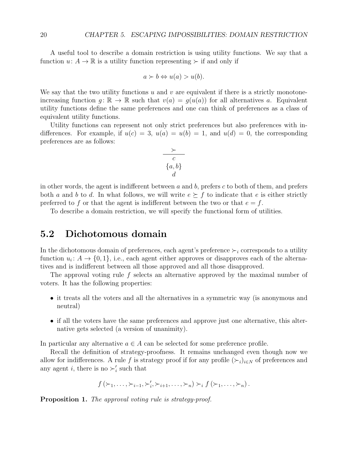A useful tool to describe a domain restriction is using utility functions. We say that a function  $u: A \to \mathbb{R}$  is a utility function representing  $\succ$  if and only if

$$
a \succ b \Leftrightarrow u(a) > u(b).
$$

We say that the two utility functions  $u$  and  $v$  are equivalent if there is a strictly monotoneincreasing function  $q: \mathbb{R} \to \mathbb{R}$  such that  $v(a) = q(u(a))$  for all alternatives a. Equivalent utility functions define the same preferences and one can think of preferences as a class of equivalent utility functions.

Utility functions can represent not only strict preferences but also preferences with indifferences. For example, if  $u(c) = 3$ ,  $u(a) = u(b) = 1$ , and  $u(d) = 0$ , the corresponding preferences are as follows:

$$
\begin{array}{c}\n \succ \\
 \hline\n c \\
 \{a, b\} \\
 d\n \end{array}
$$

in other words, the agent is indifferent between  $a$  and  $b$ , prefers  $c$  to both of them, and prefers both a and b to d. In what follows, we will write  $e \succeq f$  to indicate that e is either strictly preferred to f or that the agent is indifferent between the two or that  $e = f$ .

To describe a domain restriction, we will specify the functional form of utilities.

### <span id="page-19-0"></span>5.2 Dichotomous domain

In the dichotomous domain of preferences, each agent's preference  $\succ_i$  corresponds to a utility function  $u_i: A \to \{0,1\}$ , i.e., each agent either approves or disapproves each of the alternatives and is indifferent between all those approved and all those disapproved.

The approval voting rule f selects an alternative approved by the maximal number of voters. It has the following properties:

- it treats all the voters and all the alternatives in a symmetric way (is anonymous and neutral)
- if all the voters have the same preferences and approve just one alternative, this alternative gets selected (a version of unanimity).

In particular any alternative  $a \in A$  can be selected for some preference profile.

Recall the definition of strategy-proofness. It remains unchanged even though now we allow for indifferences. A rule f is strategy proof if for any profile  $(\succ_i)_{i\in N}$  of preferences and any agent *i*, there is no  $\succ_i'$  such that

$$
f(\succ_1,\ldots,\succ_{i-1},\succ'_i,\succ_{i+1},\ldots,\succ_n)\succ_i f(\succ_1,\ldots,\succ_n).
$$

Proposition 1. The approval voting rule is strategy-proof.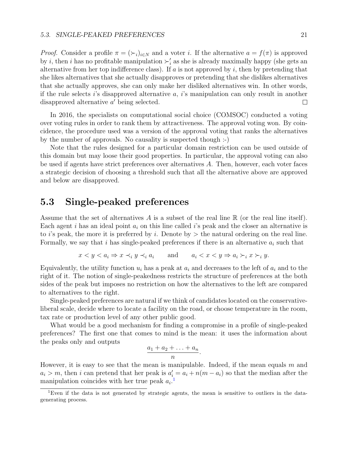*Proof.* Consider a profile  $\pi = (\succ_i)_{i \in N}$  and a voter i. If the alternative  $a = f(\pi)$  is approved by *i*, then *i* has no profitable manipulation  $\succ'_{i}$  as she is already maximally happy (she gets an alternative from her top indifference class). If  $a$  is not approved by  $i$ , then by pretending that she likes alternatives that she actually disapproves or pretending that she dislikes alternatives that she actually approves, she can only make her disliked alternatives win. In other words, if the rule selects is disapproved alternative a, is manipulation can only result in another disapproved alternative a' being selected. □

In 2016, the specialists on computational social choice (COMSOC) conducted a voting over voting rules in order to rank them by attractiveness. The approval voting won. By coincidence, the procedure used was a version of the approval voting that ranks the alternatives by the number of approvals. No causality is suspected though :-)

Note that the rules designed for a particular domain restriction can be used outside of this domain but may loose their good properties. In particular, the approval voting can also be used if agents have strict preferences over alternatives A. Then, however, each voter faces a strategic decision of choosing a threshold such that all the alternative above are approved and below are disapproved.

### <span id="page-20-0"></span>5.3 Single-peaked preferences

Assume that the set of alternatives A is a subset of the real line  $\mathbb R$  (or the real line itself). Each agent i has an ideal point  $a_i$  on this line called is peak and the closer an alternative is to i's peak, the more it is preferred by i. Denote by  $>$  the natural ordering on the real line. Formally, we say that i has single-peaked preferences if there is an alternative  $a_i$  such that

$$
x < y < a_i \Rightarrow x \prec_i y \prec_i a_i \quad \text{and} \quad a_i < x < y \Rightarrow a_i \succ_i x \succ_i y.
$$

Equivalently, the utility function  $u_i$  has a peak at  $a_i$  and decreases to the left of  $a_i$  and to the right of it. The notion of single-peakedness restricts the structure of preferences at the both sides of the peak but imposes no restriction on how the alternatives to the left are compared to alternatives to the right.

Single-peaked preferences are natural if we think of candidates located on the conservativeliberal scale, decide where to locate a facility on the road, or choose temperature in the room, tax rate or production level of any other public good.

What would be a good mechanism for finding a compromise in a profile of single-peaked preferences? The first one that comes to mind is the mean: it uses the information about the peaks only and outputs

$$
\frac{a_1+a_2+\ldots+a_n}{n}.
$$

However, it is easy to see that the mean is manipulable. Indeed, if the mean equals m and  $a_i > m$ , then i can pretend that her peak is  $a'_i = a_i + n(m - a_i)$  so that the median after the manipulation coincides with her true peak  $a_i$ <sup>[1](#page-20-1)</sup>

<span id="page-20-1"></span><sup>&</sup>lt;sup>1</sup>Even if the data is not generated by strategic agents, the mean is sensitive to outliers in the datagenerating process.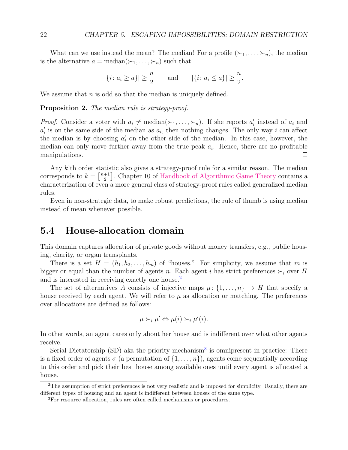What can we use instead the mean? The median! For a profile  $(\succ_1, \ldots, \succ_n)$ , the median is the alternative  $a = \text{median}(\succ_1, \ldots, \succ_n)$  such that

$$
|\{i: a_i \ge a\}| \ge \frac{n}{2}
$$
 and  $|\{i: a_i \le a\}| \ge \frac{n}{2}$ .

We assume that  $n$  is odd so that the median is uniquely defined.

#### Proposition 2. The median rule is strategy-proof.

*Proof.* Consider a voter with  $a_i \neq \text{median}(\succ_1, \ldots, \succ_n)$ . If she reports  $a'_i$  instead of  $a_i$  and  $a'_i$  is on the same side of the median as  $a_i$ , then nothing changes. The only way i can affect the median is by choosing  $a'_i$  on the other side of the median. In this case, however, the median can only move further away from the true peak  $a_i$ . Hence, there are no profitable manipulations.  $\Box$ 

Any k'th order statistic also gives a strategy-proof rule for a similar reason. The median corresponds to  $k = \left\lceil \frac{n+1}{2} \right\rceil$  $\frac{+1}{2}$ . Chapter 10 of [Handbook of Algorithmic Game Theory](https://www.cs.cmu.edu/~sandholm/cs15-892F13/algorithmic-game-theory.pdf) contains a characterization of even a more general class of strategy-proof rules called generalized median rules.

Even in non-strategic data, to make robust predictions, the rule of thumb is using median instead of mean whenever possible.

#### <span id="page-21-0"></span>5.4 House-allocation domain

This domain captures allocation of private goods without money transfers, e.g., public housing, charity, or organ transplants.

There is a set  $H = (h_1, h_2, \ldots, h_m)$  of "houses." For simplicity, we assume that m is bigger or equal than the number of agents n. Each agent i has strict preferences  $\succ_i$  over H and is interested in receiving exactly one house.<sup>[2](#page-21-1)</sup>

The set of alternatives A consists of injective maps  $\mu: \{1, \ldots, n\} \to H$  that specify a house received by each agent. We will refer to  $\mu$  as allocation or matching. The preferences over allocations are defined as follows:

$$
\mu \succ_i \mu' \Leftrightarrow \mu(i) \succ_i \mu'(i).
$$

In other words, an agent cares only about her house and is indifferent over what other agents receive.

Serial Dictatorship  $(SD)$  aka the priority mechanism<sup>[3](#page-21-2)</sup> is omnipresent in practice: There is a fixed order of agents  $\sigma$  (a permutation of  $\{1,\ldots,n\}$ ), agents come sequentially according to this order and pick their best house among available ones until every agent is allocated a house.

<span id="page-21-1"></span><sup>2</sup>The assumption of strict preferences is not very realistic and is imposed for simplicity. Usually, there are different types of housing and an agent is indifferent between houses of the same type.

<span id="page-21-2"></span><sup>3</sup>For resource allocation, rules are often called mechanisms or procedures.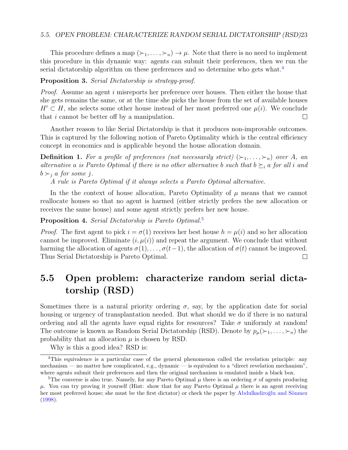#### 5.5. OPEN PROBLEM: CHARACTERIZE RANDOM SERIAL DICTATORSHIP (RSD)23

This procedure defines a map  $(\succ_1, \ldots, \succ_n) \to \mu$ . Note that there is no need to implement this procedure in this dynamic way: agents can submit their preferences, then we run the serial dictatorship algorithm on these preferences and so determine who gets what.<sup>[4](#page-22-1)</sup>

#### Proposition 3. Serial Dictatorship is strategy-proof.

Proof. Assume an agent i misreports her preference over houses. Then either the house that she gets remains the same, or at the time she picks the house from the set of available houses  $H' \subset H$ , she selects some other house instead of her most preferred one  $\mu(i)$ . We conclude that i cannot be better off by a manipulation.  $\Box$ 

Another reason to like Serial Dictatorship is that it produces non-improvable outcomes. This is captured by the following notion of Pareto Optimality which is the central efficiency concept in economics and is applicable beyond the house allocation domain.

**Definition 1.** For a profile of preferences (not necessarily strict)  $(\succ_1, \ldots, \succ_n)$  over A, an alternative a is Pareto Optimal if there is no other alternative b such that  $b \succeq_i a$  for all i and  $b \succ_i a$  for some *i*.

A rule is Pareto Optimal if it always selects a Pareto Optimal alternative.

In the the context of house allocation, Pareto Optimality of  $\mu$  means that we cannot reallocate houses so that no agent is harmed (either strictly prefers the new allocation or receives the same house) and some agent strictly prefers her new house.

Proposition 4. Serial Dictatorship is Pareto Optimal.<sup>[5](#page-22-2)</sup>

*Proof.* The first agent to pick  $i = \sigma(1)$  receives her best house  $h = \mu(i)$  and so her allocation cannot be improved. Eliminate  $(i, \mu(i))$  and repeat the argument. We conclude that without harming the allocation of agents  $\sigma(1), \ldots, \sigma(t-1)$ , the allocation of  $\sigma(t)$  cannot be improved. Thus Serial Dictatorship is Pareto Optimal.  $\Box$ 

### <span id="page-22-0"></span>5.5 Open problem: characterize random serial dictatorship (RSD)

Sometimes there is a natural priority ordering  $\sigma$ , say, by the application date for social housing or urgency of transplantation needed. But what should we do if there is no natural ordering and all the agents have equal rights for resources? Take  $\sigma$  uniformly at random! The outcome is known as Random Serial Dictatorship (RSD). Denote by  $p_\mu(\succ_1,\ldots,\succ_n)$  the probability that an allocation  $\mu$  is chosen by RSD.

<span id="page-22-1"></span>Why is this a good idea? RSD is:

<sup>4</sup>This equivalence is a particular case of the general phenomenon called the revelation principle: any mechanism — no matter how complicated, e.g., dynamic — is equivalent to a "direct revelation mechanism", where agents submit their preferences and then the original mechanism is emulated inside a black box.

<span id="page-22-2"></span><sup>&</sup>lt;sup>5</sup>The converse is also true. Namely, for any Pareto Optimal  $\mu$  there is an ordering  $\sigma$  of agents producing  $\mu$ . You can try proving it yourself (Hint: show that for any Pareto Optimal  $\mu$  there is an agent receiving her most preferred house; she must be the first dictator) or check the paper by Abdulkadiroğlu and Sönmez [\(1998\)](#page-101-0).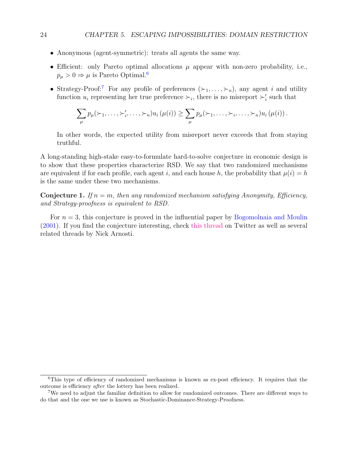- Anonymous (agent-symmetric): treats all agents the same way.
- Efficient: only Pareto optimal allocations  $\mu$  appear with non-zero probability, i.e.,  $p_{\mu} > 0 \Rightarrow \mu$  is Pareto Optimal.<sup>[6](#page-23-0)</sup>
- Strategy-Proof:<sup>[7](#page-23-1)</sup> For any profile of preferences  $(\succ_1,\ldots,\succ_n)$ , any agent i and utility function  $u_i$  representing her true preference  $\succ_i$ , there is no misreport  $\succ'_i$  such that

$$
\sum_{\mu} p_{\mu}(\succ_1,\ldots,\succ'_i,\ldots,\succ_n) u_i(\mu(i)) \geq \sum_{\mu} p_{\mu}(\succ_1,\ldots,\succ_i,\ldots,\succ_n) u_i(\mu(i)).
$$

In other words, the expected utility from misreport never exceeds that from staying truthful.

A long-standing high-stake easy-to-formulate hard-to-solve conjecture in economic design is to show that these properties characterize RSD. We say that two randomized mechanisms are equivalent if for each profile, each agent i, and each house h, the probability that  $\mu(i) = h$ is the same under these two mechanisms.

**Conjecture 1.** If  $n = m$ , then any randomized mechanism satisfying Anonymity, Efficiency, and Strategy-proofness is equivalent to RSD.

For  $n = 3$ , this conjecture is proved in the influential paper by [Bogomolnaia and Moulin](#page-102-0) [\(2001\)](#page-102-0). If you find the conjecture interesting, check [this thread](https://twitter.com/NickArnosti/status/1486443382323003397?s=20&t=v-4btn9UcWMFDBnfYS3qug) on Twitter as well as several related threads by Nick Arnosti.

<span id="page-23-0"></span><sup>&</sup>lt;sup>6</sup>This type of efficiency of randomized mechanisms is known as ex-post efficiency. It requires that the outcome is efficiency after the lottery has been realized.

<span id="page-23-1"></span><sup>7</sup>We need to adjust the familiar definition to allow for randomized outcomes. There are different ways to do that and the one we use is known as Stochastic-Dominance-Strategy-Proofness.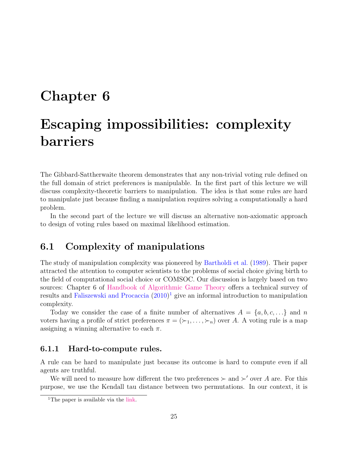## <span id="page-24-0"></span>Chapter 6

# Escaping impossibilities: complexity barriers

The Gibbard-Sattherwaite theorem demonstrates that any non-trivial voting rule defined on the full domain of strict preferences is manipulable. In the first part of this lecture we will discuss complexity-theoretic barriers to manipulation. The idea is that some rules are hard to manipulate just because finding a manipulation requires solving a computationally a hard problem.

In the second part of the lecture we will discuss an alternative non-axiomatic approach to design of voting rules based on maximal likelihood estimation.

### <span id="page-24-1"></span>6.1 Complexity of manipulations

The study of manipulation complexity was pioneered by [Bartholdi et al.](#page-101-1) [\(1989\)](#page-101-1). Their paper attracted the attention to computer scientists to the problems of social choice giving birth to the field of computational social choice or COMSOC. Our discussion is largely based on two sources: Chapter 6 of [Handbook of Algorithmic Game Theory](https://www.cs.cmu.edu/~sandholm/cs15-892F13/algorithmic-game-theory.pdf) offers a technical survey of results and [Faliszewski and Procaccia](#page-103-1) [\(2010\)](#page-103-1) [1](#page-24-3) give an informal introduction to manipulation complexity.

Today we consider the case of a finite number of alternatives  $A = \{a, b, c, ...\}$  and n voters having a profile of strict preferences  $\pi = (\succ_1, \ldots, \succ_n)$  over A. A voting rule is a map assigning a winning alternative to each  $\pi$ .

#### <span id="page-24-2"></span>6.1.1 Hard-to-compute rules.

A rule can be hard to manipulate just because its outcome is hard to compute even if all agents are truthful.

We will need to measure how different the two preferences  $\succ$  and  $\succ'$  over A are. For this purpose, we use the Kendall tau distance between two permutations. In our context, it is

<span id="page-24-3"></span><sup>&</sup>lt;sup>1</sup>The paper is available via the [link.](https://ojs.aaai.org/index.php/aimagazine/article/download/2314/2180)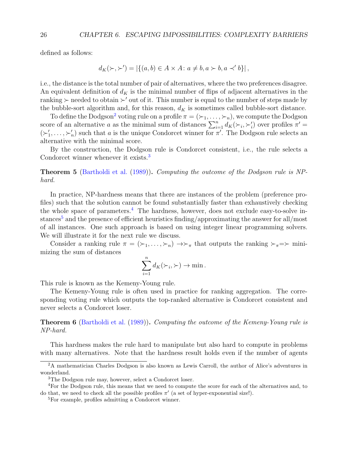defined as follows:

$$
d_K(\succ,\succ') = |\{(a,b) \in A \times A \colon a \neq b, a \succ b, a \prec' b\}|,
$$

i.e., the distance is the total number of pair of alternatives, where the two preferences disagree. An equivalent definition of  $d_K$  is the minimal number of flips of adjacent alternatives in the ranking  $\succ$  needed to obtain  $\succ'$  out of it. This number is equal to the number of steps made by the bubble-sort algorithm and, for this reason,  $d_K$  is sometimes called bubble-sort distance.

To define the Dodgson<sup>[2](#page-25-0)</sup> voting rule on a profile  $\pi = (\succ_1, \ldots, \succ_n)$ , we compute the Dodgson score of an alternative a as the minimal sum of distances  $\sum_{i=1}^{n} d_K(\succ_i, \succ'_i)$  over profiles  $\pi' =$  $(\succ_1', \ldots, \succ_n')$  such that a is the unique Condorcet winner for  $\pi'$ . The Dodgson rule selects an alternative with the minimal score.

By the construction, the Dodgson rule is Condorcet consistent, i.e., the rule selects a Condorcet winner whenever it exists.<sup>[3](#page-25-1)</sup>

Theorem 5 [\(Bartholdi et al.](#page-101-1) [\(1989\)](#page-101-1)). Computing the outcome of the Dodgson rule is NPhard.

In practice, NP-hardness means that there are instances of the problem (preference profiles) such that the solution cannot be found substantially faster than exhaustively checking the whole space of parameters.<sup>[4](#page-25-2)</sup> The hardness, however, does not exclude easy-to-solve in-stances<sup>[5](#page-25-3)</sup> and the presence of efficient heuristics finding/approximating the answer for all/most of all instances. One such approach is based on using integer linear programming solvers. We will illustrate it for the next rule we discuss.

Consider a ranking rule  $\pi = (\succ_1, \ldots, \succ_n) \rightarrow \succ_{\pi}$  that outputs the ranking  $\succ_{\pi} = \succ$  minimizing the sum of distances

$$
\sum_{i=1}^n d_K(\succ_i,\succ) \to \min.
$$

This rule is known as the Kemeny-Young rule.

The Kemeny-Young rule is often used in practice for ranking aggregation. The corresponding voting rule which outputs the top-ranked alternative is Condorcet consistent and never selects a Condorcet loser.

Theorem 6 [\(Bartholdi et al.](#page-101-1) [\(1989\)](#page-101-1)). Computing the outcome of the Kemeny-Young rule is NP-hard.

This hardness makes the rule hard to manipulate but also hard to compute in problems with many alternatives. Note that the hardness result holds even if the number of agents

<span id="page-25-0"></span><sup>&</sup>lt;sup>2</sup>A mathematician Charles Dodgson is also known as Lewis Carroll, the author of Alice's adventures in wonderland.

<span id="page-25-2"></span><span id="page-25-1"></span><sup>3</sup>The Dodgson rule may, however, select a Condorcet loser.

<sup>4</sup>For the Dodgson rule, this means that we need to compute the score for each of the alternatives and, to do that, we need to check all the possible profiles  $\pi'$  (a set of hyper-exponential size!).

<span id="page-25-3"></span><sup>5</sup>For example, profiles admitting a Condorcet winner.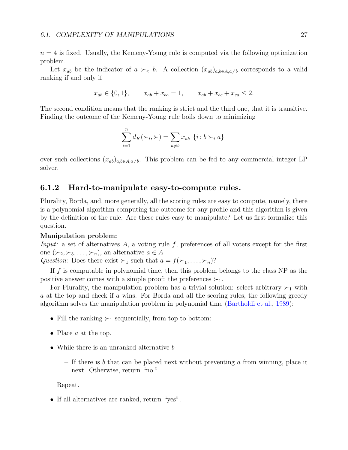$n = 4$  is fixed. Usually, the Kemeny-Young rule is computed via the following optimization problem.

Let  $x_{ab}$  be the indicator of  $a \succ_{\pi} b$ . A collection  $(x_{ab})_{a,b\in A,a\neq b}$  corresponds to a valid ranking if and only if

$$
x_{ab} \in \{0, 1\},
$$
  $x_{ab} + x_{ba} = 1,$   $x_{ab} + x_{bc} + x_{ca} \le 2.$ 

The second condition means that the ranking is strict and the third one, that it is transitive. Finding the outcome of the Kemeny-Young rule boils down to minimizing

$$
\sum_{i=1}^{n} d_K(\succ_i, \succ) = \sum_{a \neq b} x_{ab} | \{i : b \succ_i a\} |
$$

over such collections  $(x_{ab})_{a,b\in A,a\neq b}$ . This problem can be fed to any commercial integer LP solver.

#### <span id="page-26-0"></span>6.1.2 Hard-to-manipulate easy-to-compute rules.

Plurality, Borda, and, more generally, all the scoring rules are easy to compute, namely, there is a polynomial algorithm computing the outcome for any profile and this algorithm is given by the definition of the rule. Are these rules easy to manipulate? Let us first formalize this question.

#### Manipulation problem:

*Input:* a set of alternatives A, a voting rule f, preferences of all voters except for the first one  $(\succ_2, \succ_3, \ldots, \succ_n)$ , an alternative  $a \in A$ 

Question: Does there exist  $\succ_1$  such that  $a = f(\succ_1, \ldots, \succ_n)$ ?

If f is computable in polynomial time, then this problem belongs to the class NP as the positive answer comes with a simple proof: the preferences  $\succ_1$ .

For Plurality, the manipulation problem has a trivial solution: select arbitrary  $\succ_1$  with a at the top and check if a wins. For Borda and all the scoring rules, the following greedy algorithm solves the manipulation problem in polynomial time [\(Bartholdi et al.,](#page-101-1) [1989\)](#page-101-1):

- Fill the ranking  $\succ_1$  sequentially, from top to bottom:
- Place a at the top.
- While there is an unranked alternative b
	- If there is b that can be placed next without preventing a from winning, place it next. Otherwise, return "no."

Repeat.

• If all alternatives are ranked, return "yes".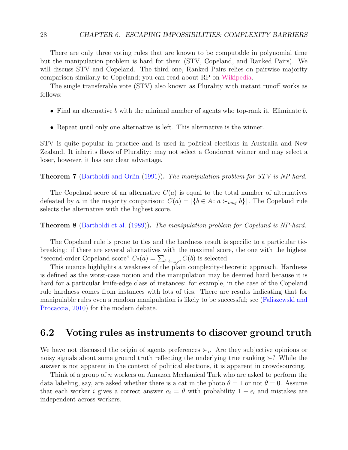There are only three voting rules that are known to be computable in polynomial time but the manipulation problem is hard for them (STV, Copeland, and Ranked Pairs). We will discuss STV and Copeland. The third one, Ranked Pairs relies on pairwise majority comparison similarly to Copeland; you can read about RP on [Wikipedia.](https://en.wikipedia.org/wiki/Ranked_pairs)

The single transferable vote (STV) also known as Plurality with instant runoff works as follows:

- Find an alternative b with the minimal number of agents who top-rank it. Eliminate b.
- Repeat until only one alternative is left. This alternative is the winner.

STV is quite popular in practice and is used in political elections in Australia and New Zealand. It inherits flaws of Plurality: may not select a Condorcet winner and may select a loser, however, it has one clear advantage.

**Theorem 7** [\(Bartholdi and Orlin](#page-101-2) [\(1991\)](#page-101-2)). The manipulation problem for STV is NP-hard.

The Copeland score of an alternative  $C(a)$  is equal to the total number of alternatives defeated by a in the majority comparison:  $C(a) = |\{b \in A : a \succ_{maj} b\}|$ . The Copeland rule selects the alternative with the highest score.

**Theorem 8** [\(Bartholdi et al.](#page-101-1) [\(1989\)](#page-101-1)). The manipulation problem for Copeland is NP-hard.

The Copeland rule is prone to ties and the hardness result is specific to a particular tiebreaking: if there are several alternatives with the maximal score, the one with the highest "second-order Copeland score"  $C_2(a) = \sum_{b \prec_{maj} a} C(b)$  is selected.

This nuance highlights a weakness of the plain complexity-theoretic approach. Hardness is defined as the worst-case notion and the manipulation may be deemed hard because it is hard for a particular knife-edge class of instances: for example, in the case of the Copeland rule hardness comes from instances with lots of ties. There are results indicating that for manipulable rules even a random manipulation is likely to be successful; see [\(Faliszewski and](#page-103-1) [Procaccia,](#page-103-1) [2010\)](#page-103-1) for the modern debate.

#### <span id="page-27-0"></span>6.2 Voting rules as instruments to discover ground truth

We have not discussed the origin of agents preferences  $\succ_i$ . Are they subjective opinions or noisy signals about some ground truth reflecting the underlying true ranking ≻? While the answer is not apparent in the context of political elections, it is apparent in crowdsourcing.

Think of a group of n workers on Amazon Mechanical Turk who are asked to perform the data labeling, say, are asked whether there is a cat in the photo  $\theta = 1$  or not  $\theta = 0$ . Assume that each worker i gives a correct answer  $a_i = \theta$  with probability  $1 - \epsilon_i$  and mistakes are independent across workers.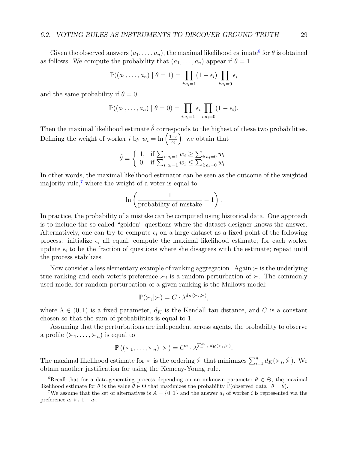Given the observed answers  $(a_1, \ldots, a_n)$ , the maximal likelihood estimate<sup>[6](#page-28-0)</sup> for  $\theta$  is obtained as follows. We compute the probability that  $(a_1, \ldots, a_n)$  appear if  $\theta = 1$ 

$$
\mathbb{P}((a_1,\ldots,a_n) \mid \theta = 1) = \prod_{i:a_i=1} (1-\epsilon_i) \prod_{i:a_i=0} \epsilon_i
$$

and the same probability if  $\theta = 0$ 

$$
\mathbb{P}((a_1,\ldots,a_n) \mid \theta=0)=\prod_{i:a_i=1} \epsilon_i \prod_{i:a_i=0} (1-\epsilon_i).
$$

Then the maximal likelihood estimate  $\hat{\theta}$  corresponds to the highest of these two probabilities. Defining the weight of worker *i* by  $w_i = \ln \left( \frac{1-\epsilon}{\epsilon_i} \right)$  $\epsilon_i$ , we obtain that

$$
\hat{\theta} = \begin{cases} 1, & \text{if } \sum_{i:a_i=1} w_i \ge \sum_{i:a_i=0} w_i \\ 0, & \text{if } \sum_{i:a_i=1} w_i \le \sum_{i:a_i=0} w_i \end{cases}
$$

In other words, the maximal likelihood estimator can be seen as the outcome of the weighted majority rule,<sup> $7$ </sup> where the weight of a voter is equal to

$$
\ln\left(\frac{1}{\text{probability of mistake}}-1\right).
$$

In practice, the probability of a mistake can be computed using historical data. One approach is to include the so-called "golden" questions where the dataset designer knows the answer. Alternatively, one can try to compute  $\epsilon_i$  on a large dataset as a fixed point of the following process: initialize  $\epsilon_i$  all equal; compute the maximal likelihood estimate; for each worker update  $\epsilon_i$  to be the fraction of questions where she disagrees with the estimate; repeat until the process stabilizes.

Now consider a less elementary example of ranking aggregation. Again  $\succ$  is the underlying true ranking and each voter's preference  $\succ_i$  is a random perturbation of  $\succ$ . The commonly used model for random perturbation of a given ranking is the Mallows model:

$$
\mathbb{P}(\succ_i|\succ) = C \cdot \lambda^{d_K(\succ_i,\succ)},
$$

where  $\lambda \in (0,1)$  is a fixed parameter,  $d_K$  is the Kendall tau distance, and C is a constant chosen so that the sum of probabilities is equal to 1.

Assuming that the perturbations are independent across agents, the probability to observe a profile  $(\succ_1, \ldots, \succ_n)$  is equal to

$$
\mathbb{P}\left((\succ_1,\ldots,\succ_n)\mid\succ\right)=C^n\cdot\lambda^{\sum_{i=1}^n d_K(\succ_i,\succ)}.
$$

The maximal likelihood estimate for  $\succ$  is the ordering  $\hat{\succ}$  that minimizes  $\sum_{i=1}^{n} d_K(\succ_i, \hat{\succ})$ . We obtain another justification for using the Kemeny-Young rule.

<span id="page-28-0"></span><sup>&</sup>lt;sup>6</sup>Recall that for a data-generating process depending on an unknown parameter  $\theta \in \Theta$ , the maximal likelihood estimate for  $\theta$  is the value  $\theta \in \Theta$  that maximizes the probability P(observed data  $|\theta = \theta$ ).

<span id="page-28-1"></span><sup>&</sup>lt;sup>7</sup>We assume that the set of alternatives is  $A = \{0, 1\}$  and the answer  $a_i$  of worker i is represented via the preference  $a_i \succ_i 1 - a_i$ .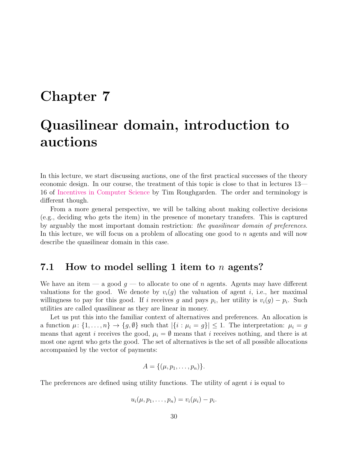## <span id="page-29-0"></span>Chapter 7

# Quasilinear domain, introduction to auctions

In this lecture, we start discussing auctions, one of the first practical successes of the theory economic design. In our course, the treatment of this topic is close to that in lectures 13— 16 of [Incentives in Computer Science](http://timroughgarden.org/notes.html#:~:text=2014%2C%20winter%202017)-,Incentives,-in%20Computer%20Science) by Tim Roughgarden. The order and terminology is different though.

From a more general perspective, we will be talking about making collective decisions (e.g., deciding who gets the item) in the presence of monetary transfers. This is captured by arguably the most important domain restriction: the quasilinear domain of preferences. In this lecture, we will focus on a problem of allocating one good to  $n$  agents and will now describe the quasilinear domain in this case.

### <span id="page-29-1"></span>7.1 How to model selling 1 item to  $n$  agents?

We have an item — a good  $g$  — to allocate to one of n agents. Agents may have different valuations for the good. We denote by  $v_i(q)$  the valuation of agent i, i.e., her maximal willingness to pay for this good. If i receives g and pays  $p_i$ , her utility is  $v_i(g) - p_i$ . Such utilities are called quasilinear as they are linear in money.

Let us put this into the familiar context of alternatives and preferences. An allocation is a function  $\mu: \{1, \ldots, n\} \to \{g, \emptyset\}$  such that  $|\{i : \mu_i = g\}| \leq 1$ . The interpretation:  $\mu_i = g$ means that agent i receives the good,  $\mu_i = \emptyset$  means that i receives nothing, and there is at most one agent who gets the good. The set of alternatives is the set of all possible allocations accompanied by the vector of payments:

$$
A = \{(\mu, p_1, \ldots, p_n)\}.
$$

The preferences are defined using utility functions. The utility of agent  $i$  is equal to

$$
u_i(\mu, p_1,\ldots, p_n)=v_i(\mu_i)-p_i.
$$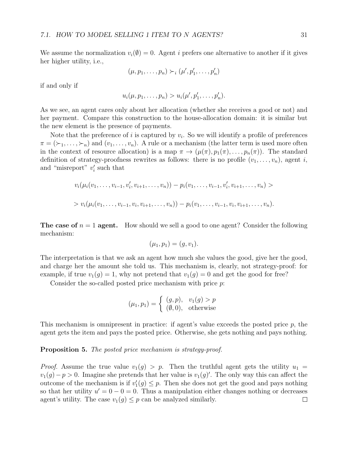We assume the normalization  $v_i(\emptyset) = 0$ . Agent *i* prefers one alternative to another if it gives her higher utility, i.e.,

$$
(\mu, p_1, \ldots, p_n) \succ_i (\mu', p'_1, \ldots, p'_n)
$$

if and only if

$$
u_i(\mu, p_1, \ldots, p_n) > u_i(\mu', p'_1, \ldots, p'_n).
$$

As we see, an agent cares only about her allocation (whether she receives a good or not) and her payment. Compare this construction to the house-allocation domain: it is similar but the new element is the presence of payments.

Note that the preference of i is captured by  $v_i$ . So we will identify a profile of preferences  $\pi = (\succ_1, \ldots, \succ_n)$  and  $(v_1, \ldots, v_n)$ . A rule or a mechanism (the latter term is used more often in the context of resource allocation) is a map  $\pi \to (\mu(\pi), p_1(\pi), \ldots, p_n(\pi))$ . The standard definition of strategy-proofness rewrites as follows: there is no profile  $(v_1, \ldots, v_n)$ , agent i, and "misreport"  $v_i'$  such that

$$
v_i(\mu_i(v_1,\ldots,v_{i-1},v'_i,v_{i+1},\ldots,v_n)) - p_i(v_1,\ldots,v_{i-1},v'_i,v_{i+1},\ldots,v_n) >
$$
  
> 
$$
v_i(\mu_i(v_1,\ldots,v_{i-1},v_i,v_{i+1},\ldots,v_n)) - p_i(v_1,\ldots,v_{i-1},v_i,v_{i+1},\ldots,v_n).
$$

**The case of**  $n = 1$  **agent.** How should we sell a good to one agent? Consider the following mechanism:

$$
(\mu_1, p_1) = (g, v_1).
$$

The interpretation is that we ask an agent how much she values the good, give her the good, and charge her the amount she told us. This mechanism is, clearly, not strategy-proof: for example, if true  $v_1(g) = 1$ , why not pretend that  $v_1(g) = 0$  and get the good for free?

Consider the so-called posted price mechanism with price p:

$$
(\mu_1, p_1) = \begin{cases} (g, p), & v_1(g) > p \\ (\emptyset, 0), & \text{otherwise} \end{cases}
$$

This mechanism is omnipresent in practice: if agent's value exceeds the posted price  $p$ , the agent gets the item and pays the posted price. Otherwise, she gets nothing and pays nothing.

Proposition 5. The posted price mechanism is strategy-proof.

*Proof.* Assume the true value  $v_1(g) > p$ . Then the truthful agent gets the utility  $u_1 =$  $v_1(g) - p > 0$ . Imagine she pretends that her value is  $v_1(g)'$ . The only way this can affect the outcome of the mechanism is if  $v'_1(g) \leq p$ . Then she does not get the good and pays nothing so that her utility  $u' = 0 - 0 = 0$ . Thus a manipulation either changes nothing or decreases agent's utility. The case  $v_1(g) \leq p$  can be analyzed similarly.  $\Box$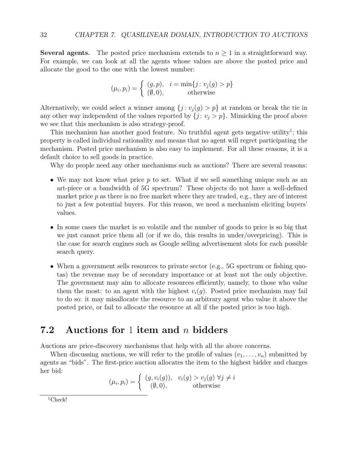**Several agents.** The posted price mechanism extends to  $n \geq 1$  in a straightforward way. For example, we can look at all the agents whose values are above the posted price and allocate the good to the one with the lowest number:

$$
(\mu_i, p_i) = \begin{cases} (g, p), & i = \min\{j : v_j(g) > p\} \\ (\emptyset, 0), & \text{otherwise} \end{cases}
$$

Alternatively, we could select a winner among  $\{j : v_j(g) > p\}$  at random or break the tie in any other way independent of the values reported by  $\{j : v_j > p\}$ . Mimicking the proof above we see that this mechanism is also strategy-proof.

This mechanism has another good feature. No truthful agent gets negative utility<sup>[1](#page-31-1)</sup>; this property is called individual rationality and means that no agent will regret participating the mechanism. Posted price mechanism is also easy to implement. For all these reasons, it is a default choice to sell goods in practice.

Why do people need any other mechanisms such as auctions? There are several reasons:

- We may not know what price p to set. What if we sell something unique such as an art-piece or a bandwidth of 5G spectrum? These objects do not have a well-defined market price  $p$  as there is no free market where they are traded, e.g., they are of interest to just a few potential buyers. For this reason, we need a mechanism eliciting buyers' values.
- In some cases the market is so volatile and the number of goods to price is so big that we just cannot price them all (or if we do, this results in under/overpricing). This is the case for search engines such as Google selling advertisement slots for each possible search query.
- When a government sells resources to private sector (e.g.,  $5G$  spectrum or fishing quotas) the revenue may be of secondary importance or at least not the only objective. The government may aim to allocate resources efficiently, namely, to those who value them the most: to an agent with the highest  $v_i(q)$ . Posted price mechanism may fail to do so: it may misallocate the resource to an arbitrary agent who value it above the posted price, or fail to allocate the resource at all if the posted price is too high.

### <span id="page-31-0"></span>7.2 Auctions for 1 item and n bidders

Auctions are price-discovery mechanisms that help with all the above concerns.

When discussing auctions, we will refer to the profile of values  $(v_1, \ldots, v_n)$  submitted by agents as "bids". The first-price auction allocates the item to the highest bidder and charges her bid:

$$
(\mu_i, p_i) = \begin{cases} (g, v_i(g)), & v_i(g) > v_j(g) \ \forall j \neq i \\ (0, 0), & \text{otherwise} \end{cases}
$$

<span id="page-31-1"></span> $1$ Check!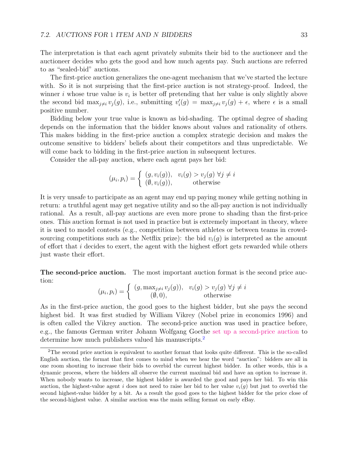The interpretation is that each agent privately submits their bid to the auctioneer and the auctioneer decides who gets the good and how much agents pay. Such auctions are referred to as "sealed-bid" auctions.

The first-price auction generalizes the one-agent mechanism that we've started the lecture with. So it is not surprising that the first-price auction is not strategy-proof. Indeed, the winner *i* whose true value is  $v_i$  is better off pretending that her value is only slightly above the second bid  $\max_{j\neq i} v_j(g)$ , i.e., submitting  $v'_i(g) = \max_{j\neq i} v_j(g) + \epsilon$ , where  $\epsilon$  is a small positive number.

Bidding below your true value is known as bid-shading. The optimal degree of shading depends on the information that the bidder knows about values and rationality of others. This makes bidding in the first-price auction a complex strategic decision and makes the outcome sensitive to bidders' beliefs about their competitors and thus unpredictable. We will come back to bidding in the first-price auction in subsequent lectures.

Consider the all-pay auction, where each agent pays her bid:

$$
(\mu_i, p_i) = \begin{cases} (g, v_i(g)), & v_i(g) > v_j(g) \ \forall j \neq i \\ (\emptyset, v_i(g)), & \text{otherwise} \end{cases}
$$

It is very unsafe to participate as an agent may end up paying money while getting nothing in return: a truthful agent may get negative utility and so the all-pay auction is not individually rational. As a result, all-pay auctions are even more prone to shading than the first-price ones. This auction format is not used in practice but is extremely important in theory, where it is used to model contests (e.g., competition between athletes or between teams in crowdsourcing competitions such as the Netflix prize): the bid  $v_i(q)$  is interpreted as the amount of effort that  $i$  decides to exert, the agent with the highest effort gets rewarded while others just waste their effort.

The second-price auction. The most important auction format is the second price auction:

$$
(\mu_i, p_i) = \begin{cases} (g, \max_{j \neq i} v_j(g)), & v_i(g) > v_j(g) \ \forall j \neq i \\ (0, 0), & \text{otherwise} \end{cases}
$$

As in the first-price auction, the good goes to the highest bidder, but she pays the second highest bid. It was first studied by William Vikrey (Nobel prize in economics 1996) and is often called the Vikrey auction. The second-price auction was used in practice before, e.g., the famous German writer Johann Wolfgang Goethe [set up a second-price auction](https://www.econ2.uni-bonn.de/pdf/goethes_second.pdf) to determine how much publishers valued his manuscripts.<sup>[2](#page-32-0)</sup>

<span id="page-32-0"></span><sup>&</sup>lt;sup>2</sup>The second price auction is equivalent to another format that looks quite different. This is the so-called English auction, the format that first comes to mind when we hear the word "auction": bidders are all in one room shouting to increase their bids to overbid the current highest bidder. In other words, this is a dynamic process, where the bidders all observe the current maximal bid and have an option to increase it. When nobody wants to increase, the highest bidder is awarded the good and pays her bid. To win this auction, the highest-value agent i does not need to raise her bid to her value  $v_i(g)$  but just to overbid the second highest-value bidder by a bit. As a result the good goes to the highest bidder for the price close of the second-highest value. A similar auction was the main selling format on early eBay.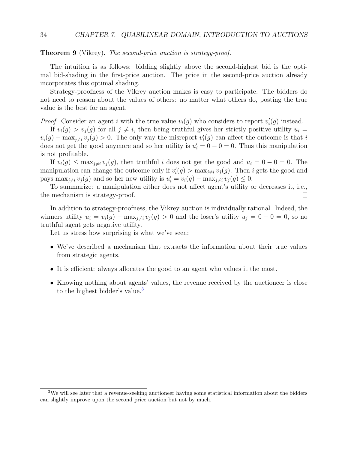Theorem 9 (Vikrey). The second-price auction is strategy-proof.

The intuition is as follows: bidding slightly above the second-highest bid is the optimal bid-shading in the first-price auction. The price in the second-price auction already incorporates this optimal shading.

Strategy-proofness of the Vikrey auction makes is easy to participate. The bidders do not need to reason about the values of others: no matter what others do, posting the true value is the best for an agent.

*Proof.* Consider an agent i with the true value  $v_i(g)$  who considers to report  $v'_i(g)$  instead.

If  $v_i(g) > v_i(g)$  for all  $j \neq i$ , then being truthful gives her strictly positive utility  $u_i =$  $v_i(g) - \max_{j \neq i} v_j(g) > 0$ . The only way the misreport  $v'_i(g)$  can affect the outcome is that i does not get the good anymore and so her utility is  $u'_i = 0 - 0 = 0$ . Thus this manipulation is not profitable.

If  $v_i(g) \leq \max_{j \neq i} v_j(g)$ , then truthful i does not get the good and  $u_i = 0 - 0 = 0$ . The manipulation can change the outcome only if  $v_i'(g) > \max_{j \neq i} v_j(g)$ . Then i gets the good and pays max<sub>j≠i</sub>  $v_j(g)$  and so her new utility is  $u'_i = v_i(g) - \max_{j \neq i} v_j(g) \leq 0$ .

To summarize: a manipulation either does not affect agent's utility or decreases it, i.e., the mechanism is strategy-proof.  $\Box$ 

In addition to strategy-proofness, the Vikrey auction is individually rational. Indeed, the winners utility  $u_i = v_i(g) - \max_{j \neq i} v_j(g) > 0$  and the loser's utility  $u_j = 0 - 0 = 0$ , so no truthful agent gets negative utility.

Let us stress how surprising is what we've seen:

- We've described a mechanism that extracts the information about their true values from strategic agents.
- It is efficient: always allocates the good to an agent who values it the most.
- Knowing nothing about agents' values, the revenue received by the auctioneer is close to the highest bidder's value.<sup>[3](#page-33-0)</sup>

<span id="page-33-0"></span><sup>&</sup>lt;sup>3</sup>We will see later that a revenue-seeking auctioneer having some statistical information about the bidders can slightly improve upon the second price auction but not by much.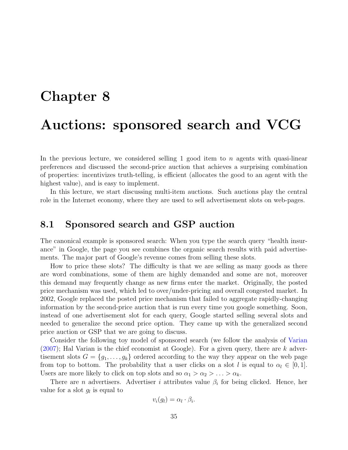# <span id="page-34-0"></span>Chapter 8 Auctions: sponsored search and VCG

In the previous lecture, we considered selling 1 good item to n agents with quasi-linear preferences and discussed the second-price auction that achieves a surprising combination of properties: incentivizes truth-telling, is efficient (allocates the good to an agent with the highest value), and is easy to implement.

In this lecture, we start discussing multi-item auctions. Such auctions play the central role in the Internet economy, where they are used to sell advertisement slots on web-pages.

#### <span id="page-34-1"></span>8.1 Sponsored search and GSP auction

The canonical example is sponsored search: When you type the search query "health insurance" in Google, the page you see combines the organic search results with paid advertisements. The major part of Google's revenue comes from selling these slots.

How to price these slots? The difficulty is that we are selling as many goods as there are word combinations, some of them are highly demanded and some are not, moreover this demand may frequently change as new firms enter the market. Originally, the posted price mechanism was used, which led to over/under-pricing and overall congested market. In 2002, Google replaced the posted price mechanism that failed to aggregate rapidly-changing information by the second-price auction that is run every time you google something. Soon, instead of one advertisement slot for each query, Google started selling several slots and needed to generalize the second price option. They came up with the generalized second price auction or GSP that we are going to discuss.

Consider the following toy model of sponsored search (we follow the analysis of [Varian](#page-105-0)  $(2007)$ ; Hal Varian is the chief economist at Google). For a given query, there are k advertisement slots  $G = \{g_1, \ldots, g_k\}$  ordered according to the way they appear on the web page from top to bottom. The probability that a user clicks on a slot l is equal to  $\alpha_l \in [0,1]$ . Users are more likely to click on top slots and so  $\alpha_1 > \alpha_2 > \ldots > \alpha_k$ .

There are *n* advertisers. Advertiser *i* attributes value  $\beta_i$  for being clicked. Hence, her value for a slot  $g_l$  is equal to

$$
v_i(g_l) = \alpha_l \cdot \beta_i.
$$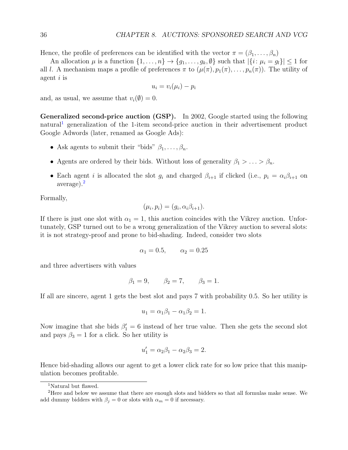Hence, the profile of preferences can be identified with the vector  $\pi = (\beta_1, \ldots, \beta_n)$ 

An allocation  $\mu$  is a function  $\{1, \ldots, n\} \to \{g_1, \ldots, g_k, \emptyset\}$  such that  $|\{i : \mu_i = g_l\}| \leq 1$  for all l. A mechanism maps a profile of preferences  $\pi$  to  $(\mu(\pi), p_1(\pi), \ldots, p_n(\pi))$ . The utility of agent  $i$  is

$$
u_i = v_i(\mu_i) - p_i
$$

and, as usual, we assume that  $v_i(\emptyset) = 0$ .

Generalized second-price auction (GSP). In 2002, Google started using the following natural<sup>[1](#page-35-0)</sup> generalization of the 1-item second-price auction in their advertisement product Google Adwords (later, renamed as Google Ads):

- Ask agents to submit their "bids"  $\beta_1, \ldots, \beta_n$ .
- Agents are ordered by their bids. Without loss of generality  $\beta_1 > \ldots > \beta_n$ .
- Each agent i is allocated the slot  $g_i$  and charged  $\beta_{i+1}$  if clicked (i.e.,  $p_i = \alpha_i \beta_{i+1}$  on average).[2](#page-35-1)

Formally,

$$
(\mu_i, p_i) = (g_i, \alpha_i \beta_{i+1}).
$$

If there is just one slot with  $\alpha_1 = 1$ , this auction coincides with the Vikrey auction. Unfortunately, GSP turned out to be a wrong generalization of the Vikrey auction to several slots: it is not strategy-proof and prone to bid-shading. Indeed, consider two slots

$$
\alpha_1 = 0.5, \qquad \alpha_2 = 0.25
$$

and three advertisers with values

$$
\beta_1 = 9,
$$
  $\beta_2 = 7,$   $\beta_3 = 1.$ 

If all are sincere, agent 1 gets the best slot and pays 7 with probability 0.5. So her utility is

$$
u_1 = \alpha_1 \beta_1 - \alpha_1 \beta_2 = 1.
$$

Now imagine that she bids  $\beta'_1 = 6$  instead of her true value. Then she gets the second slot and pays  $\beta_3 = 1$  for a click. So her utility is

$$
u_1' = \alpha_2 \beta_1 - \alpha_2 \beta_3 = 2.
$$

Hence bid-shading allows our agent to get a lower click rate for so low price that this manipulation becomes profitable.

<span id="page-35-1"></span><span id="page-35-0"></span><sup>1</sup>Natural but flawed.

<sup>2</sup>Here and below we assume that there are enough slots and bidders so that all formulas make sense. We add dummy bidders with  $\beta_j = 0$  or slots with  $\alpha_m = 0$  if necessary.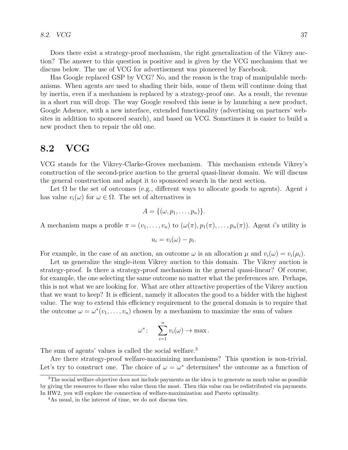Does there exist a strategy-proof mechanism, the right generalization of the Vikrey auction? The answer to this question is positive and is given by the VCG mechanism that we discuss below. The use of VCG for advertisement was pioneered by Facebook.

Has Google replaced GSP by VCG? No, and the reason is the trap of manipulable mechanisms. When agents are used to shading their bids, some of them will continue doing that by inertia, even if a mechanism is replaced by a strategy-proof one. As a result, the revenue in a short run will drop. The way Google resolved this issue is by launching a new product, Google Adsence, with a new interface, extended functionality (advertising on partners' websites in addition to sponsored search), and based on VCG. Sometimes it is easier to build a new product then to repair the old one.

#### 8.2 VCG

VCG stands for the Vikrey-Clarke-Groves mechanism. This mechanism extends Vikrey's construction of the second-price auction to the general quasi-linear domain. We will discuss the general construction and adapt it to sponsored search in the next section.

Let  $\Omega$  be the set of outcomes (e.g., different ways to allocate goods to agents). Agent i has value  $v_i(\omega)$  for  $\omega \in \Omega$ . The set of alternatives is

$$
A = \{(\omega, p_1, \ldots, p_n)\}.
$$

A mechanism maps a profile  $\pi = (v_1, \ldots, v_n)$  to  $(\omega(\pi), p_1(\pi), \ldots, p_n(\pi))$ . Agent *i*'s utility is

$$
u_i = v_i(\omega) - p_i.
$$

For example, in the case of an auction, an outcome  $\omega$  is an allocation  $\mu$  and  $v_i(\omega) = v_i(\mu_i)$ .

Let us generalize the single-item Vikrey auction to this domain. The Vikrey auction is strategy-proof. Is there a strategy-proof mechanism in the general quasi-linear? Of course, for example, the one selecting the same outcome no matter what the preferences are. Perhaps, this is not what we are looking for. What are other attractive properties of the Vikrey auction that we want to keep? It is efficient, namely it allocates the good to a bidder with the highest value. The way to extend this efficiency requirement to the general domain is to require that the outcome  $\omega = \omega^*(v_1, \ldots, v_n)$  chosen by a mechanism to maximize the sum of values

$$
\omega^* \colon \quad \sum_{i=1}^n v_i(\omega) \to \max.
$$

The sum of agents' values is called the social welfare.<sup>[3](#page-36-0)</sup>

Are there strategy-proof welfare-maximizing mechanisms? This question is non-trivial. Let's try to construct one. The choice of  $\omega = \omega^*$  determines<sup>[4](#page-36-1)</sup> the outcome as a function of

<span id="page-36-0"></span><sup>&</sup>lt;sup>3</sup>The social welfare objective does not include payments as the idea is to generate as much value as possible by giving the resources to those who value them the most. Then this value can be redistributed via payments. In HW2, you will explore the connection of welfare-maximization and Pareto optimality.

<span id="page-36-1"></span><sup>4</sup>As usual, in the interest of time, we do not discuss ties.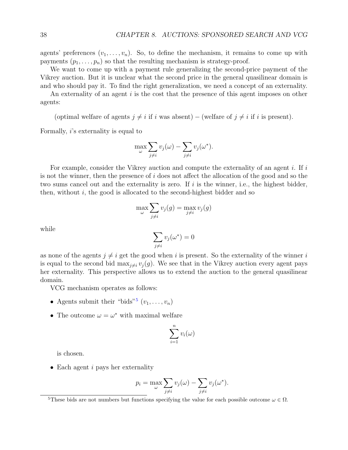agents' preferences  $(v_1, \ldots, v_n)$ . So, to define the mechanism, it remains to come up with payments  $(p_1, \ldots, p_n)$  so that the resulting mechanism is strategy-proof.

We want to come up with a payment rule generalizing the second-price payment of the Vikrey auction. But it is unclear what the second price in the general quasilinear domain is and who should pay it. To find the right generalization, we need a concept of an externality.

An externality of an agent i is the cost that the presence of this agent imposes on other agents:

(optimal welfare of agents  $j \neq i$  if i was absent) – (welfare of  $j \neq i$  if i is present).

Formally, i's externality is equal to

$$
\max_{\omega} \sum_{j \neq i} v_j(\omega) - \sum_{j \neq i} v_j(\omega^*).
$$

For example, consider the Vikrey auction and compute the externality of an agent  $i$ . If  $i$ is not the winner, then the presence of  $i$  does not affect the allocation of the good and so the two sums cancel out and the externality is zero. If  $i$  is the winner, i.e., the highest bidder, then, without  $i$ , the good is allocated to the second-highest bidder and so

$$
\max_{\omega} \sum_{j \neq i} v_j(g) = \max_{j \neq i} v_j(g)
$$

while

$$
\sum_{j\neq i} v_j(\omega^*)=0
$$

as none of the agents  $j \neq i$  get the good when i is present. So the externality of the winner i is equal to the second bid max<sub>i $\neq i$ </sub>  $v_j(g)$ . We see that in the Vikrey auction every agent pays her externality. This perspective allows us to extend the auction to the general quasilinear domain.

VCG mechanism operates as follows:

- Agents submit their "bids"<sup>[5](#page-37-0)</sup>  $(v_1, \ldots, v_n)$
- The outcome  $\omega = \omega^*$  with maximal welfare

$$
\sum_{i=1}^n v_i(\omega)
$$

is chosen.

• Each agent  $i$  pays her externality

$$
p_i = \max_{\omega} \sum_{j \neq i} v_j(\omega) - \sum_{j \neq i} v_j(\omega^*).
$$

<span id="page-37-0"></span><sup>&</sup>lt;sup>5</sup>These bids are not numbers but functions specifying the value for each possible outcome  $\omega \in \Omega$ .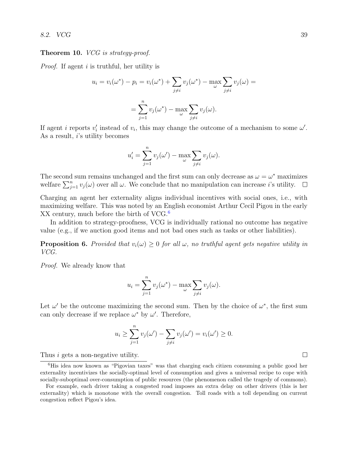#### **Theorem 10.** *VCG* is strategy-proof.

*Proof.* If agent *i* is truthful, her utility is

$$
u_i = v_i(\omega^*) - p_i = v_i(\omega^*) + \sum_{j \neq i} v_j(\omega^*) - \max_{\omega} \sum_{j \neq i} v_j(\omega) =
$$

$$
= \sum_{j=1}^n v_j(\omega^*) - \max_{\omega} \sum_{j \neq i} v_j(\omega).
$$

If agent *i* reports  $v'_i$  instead of  $v_i$ , this may change the outcome of a mechanism to some  $\omega'$ . As a result, i's utility becomes

$$
u'_{i} = \sum_{j=1}^{n} v_{j}(\omega') - \max_{\omega} \sum_{j \neq i} v_{j}(\omega).
$$

The second sum remains unchanged and the first sum can only decrease as  $\omega = \omega^*$  maximizes welfare  $\sum_{j=1}^{n} v_j(\omega)$  over all  $\omega$ . We conclude that no manipulation can increase *i*'s utility.

Charging an agent her externality aligns individual incentives with social ones, i.e., with maximizing welfare. This was noted by an English economist Arthur Cecil Pigou in the early XX century, much before the birth of VCG.<sup>[6](#page-38-0)</sup>

In addition to strategy-proofness, VCG is individually rational no outcome has negative value (e.g., if we auction good items and not bad ones such as tasks or other liabilities).

**Proposition 6.** Provided that  $v_i(\omega) \geq 0$  for all  $\omega$ , no truthful agent gets negative utility in VCG.

Proof. We already know that

$$
u_i = \sum_{j=1}^n v_j(\omega^*) - \max_{\omega} \sum_{j \neq i} v_j(\omega).
$$

Let  $\omega'$  be the outcome maximizing the second sum. Then by the choice of  $\omega^*$ , the first sum can only decrease if we replace  $\omega^*$  by  $\omega'$ . Therefore,

$$
u_i \geq \sum_{j=1}^n v_j(\omega') - \sum_{j \neq i} v_j(\omega') = v_i(\omega') \geq 0.
$$

Thus *i* gets a non-negative utility.

□

<span id="page-38-0"></span><sup>6</sup>His idea now known as "Pigovian taxes" was that charging each citizen consuming a public good her externality incentivizes the socially-optimal level of consumption and gives a universal recipe to cope with socially-suboptimal over-consumption of public resources (the phenomenon called the tragedy of commons).

For example, each driver taking a congested road imposes an extra delay on other drivers (this is her externality) which is monotone with the overall congestion. Toll roads with a toll depending on current congestion reflect Pigou's idea.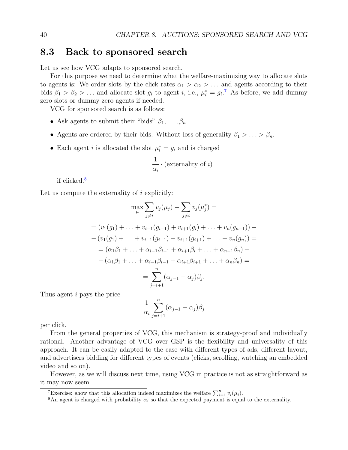#### 8.3 Back to sponsored search

Let us see how VCG adapts to sponsored search.

For this purpose we need to determine what the welfare-maximizing way to allocate slots to agents is: We order slots by the click rates  $\alpha_1 > \alpha_2 > \ldots$  and agents according to their bids  $\beta_1 > \beta_2 > ...$  and allocate slot  $g_i$  to agent i, i.e.,  $\mu_i^* = g_i$ .<sup>[7](#page-39-0)</sup> As before, we add dummy zero slots or dummy zero agents if needed.

VCG for sponsored search is as follows:

- Ask agents to submit their "bids"  $\beta_1, \ldots, \beta_n$ .
- Agents are ordered by their bids. Without loss of generality  $\beta_1 > \ldots > \beta_n$ .
- Each agent *i* is allocated the slot  $\mu_i^* = g_i$  and is charged

$$
\frac{1}{\alpha_i} \cdot (\text{externality of } i)
$$

if clicked.[8](#page-39-1)

Let us compute the externality of  $i$  explicitly:

$$
\max_{\mu} \sum_{j \neq i} v_j(\mu_j) - \sum_{j \neq i} v_j(\mu_j^*) =
$$
  
=  $(v_1(g_1) + \ldots + v_{i-1}(g_{i-1}) + v_{i+1}(g_i) + \ldots + v_n(g_{n-1})) -$   
-  $(v_1(g_1) + \ldots + v_{i-1}(g_{i-1}) + v_{i+1}(g_{i+1}) + \ldots + v_n(g_n)) =$   
=  $(\alpha_1 \beta_1 + \ldots + \alpha_{i-1} \beta_{i-1} + \alpha_{i+1} \beta_i + \ldots + \alpha_{n-1} \beta_n) -$   
-  $(\alpha_1 \beta_1 + \ldots + \alpha_{i-1} \beta_{i-1} + \alpha_{i+1} \beta_{i+1} + \ldots + \alpha_n \beta_n) =$   
=  $\sum_{j=i+1}^n (\alpha_{j-1} - \alpha_j) \beta_j.$ 

Thus agent i pays the price

$$
\frac{1}{\alpha_i} \sum_{j=i+1}^n (\alpha_{j-1} - \alpha_j) \beta_j
$$

per click.

From the general properties of VCG, this mechanism is strategy-proof and individually rational. Another advantage of VCG over GSP is the flexibility and universality of this approach. It can be easily adapted to the case with different types of ads, different layout, and advertisers bidding for different types of events (clicks, scrolling, watching an embedded video and so on).

However, as we will discuss next time, using VCG in practice is not as straightforward as it may now seem.

<span id="page-39-0"></span><sup>&</sup>lt;sup>7</sup>Exercise: show that this allocation indeed maximizes the welfare  $\sum_{i=1}^{n} v_i(\mu_i)$ .

<span id="page-39-1"></span><sup>&</sup>lt;sup>8</sup>An agent is charged with probability  $\alpha_i$  so that the expected payment is equal to the externality.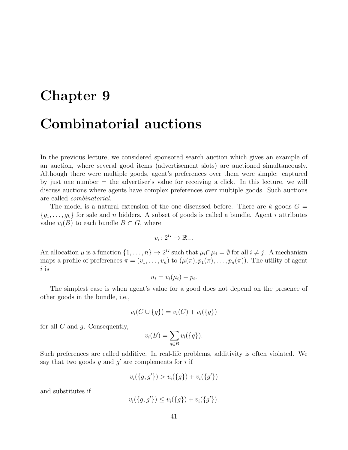# Chapter 9 Combinatorial auctions

In the previous lecture, we considered sponsored search auction which gives an example of an auction, where several good items (advertisement slots) are auctioned simultaneously. Although there were multiple goods, agent's preferences over them were simple: captured by just one number = the advertiser's value for receiving a click. In this lecture, we will discuss auctions where agents have complex preferences over multiple goods. Such auctions are called combinatorial.

The model is a natural extension of the one discussed before. There are  $k$  goods  $G =$  ${g_1, \ldots, g_k}$  for sale and n bidders. A subset of goods is called a bundle. Agent i attributes value  $v_i(B)$  to each bundle  $B \subset G$ , where

$$
v_i \colon 2^G \to \mathbb{R}_+.
$$

An allocation  $\mu$  is a function  $\{1, \ldots, n\} \to 2^G$  such that  $\mu_i \cap \mu_j = \emptyset$  for all  $i \neq j$ . A mechanism maps a profile of preferences  $\pi = (v_1, \ldots, v_n)$  to  $(\mu(\pi), p_1(\pi), \ldots, p_n(\pi))$ . The utility of agent i is

$$
u_i = v_i(\mu_i) - p_i.
$$

The simplest case is when agent's value for a good does not depend on the presence of other goods in the bundle, i.e.,

$$
v_i(C \cup \{g\}) = v_i(C) + v_i(\{g\})
$$

for all  $C$  and  $q$ . Consequently,

$$
v_i(B) = \sum_{g \in B} v_i(\{g\}).
$$

Such preferences are called additive. In real-life problems, additivity is often violated. We say that two goods  $g$  and  $g'$  are complements for i if

$$
v_i({g, g'}) > v_i({g}) + v_i({g'})
$$

and substitutes if

$$
v_i({g, g'}) \le v_i({g}) + v_i({g'}).
$$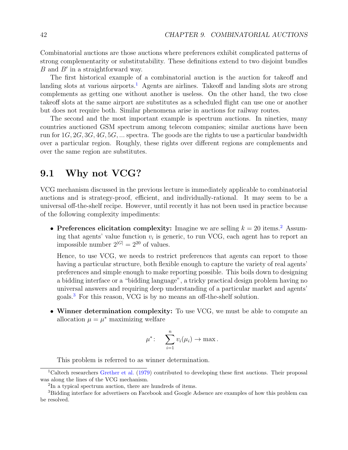Combinatorial auctions are those auctions where preferences exhibit complicated patterns of strong complementarity or substitutability. These definitions extend to two disjoint bundles  $B$  and  $B'$  in a straightforward way.

The first historical example of a combinatorial auction is the auction for takeoff and landing slots at various airports.<sup>[1](#page-41-0)</sup> Agents are airlines. Takeoff and landing slots are strong complements as getting one without another is useless. On the other hand, the two close takeoff slots at the same airport are substitutes as a scheduled flight can use one or another but does not require both. Similar phenomena arise in auctions for railway routes.

The second and the most important example is spectrum auctions. In nineties, many countries auctioned GSM spectrum among telecom companies; similar auctions have been run for  $1G, 2G, 3G, 4G, 5G, \ldots$  spectra. The goods are the rights to use a particular bandwidth over a particular region. Roughly, these rights over different regions are complements and over the same region are substitutes.

## 9.1 Why not VCG?

VCG mechanism discussed in the previous lecture is immediately applicable to combinatorial auctions and is strategy-proof, efficient, and individually-rational. It may seem to be a universal off-the-shelf recipe. However, until recently it has not been used in practice because of the following complexity impediments:

• Preferences elicitation complexity: Imagine we are selling  $k = 20$  $k = 20$  $k = 20$  items.<sup>2</sup> Assuming that agents' value function  $v_i$  is generic, to run VCG, each agent has to report an impossible number  $2^{|G|} = 2^{20}$  of values.

Hence, to use VCG, we needs to restrict preferences that agents can report to those having a particular structure, both flexible enough to capture the variety of real agents' preferences and simple enough to make reporting possible. This boils down to designing a bidding interface or a "bidding language", a tricky practical design problem having no universal answers and requiring deep understanding of a particular market and agents' goals.[3](#page-41-2) For this reason, VCG is by no means an off-the-shelf solution.

• Winner determination complexity: To use VCG, we must be able to compute an allocation  $\mu = \mu^*$  maximizing welfare

$$
\mu^*\colon\quad \sum_{i=1}^n v_i(\mu_i)\to \max.
$$

This problem is referred to as winner determination.

<span id="page-41-0"></span><sup>&</sup>lt;sup>1</sup>Caltech researchers [Grether et al.](#page-103-0) [\(1979\)](#page-103-0) contributed to developing these first auctions. Their proposal was along the lines of the VCG mechanism.

<span id="page-41-2"></span><span id="page-41-1"></span><sup>2</sup> In a typical spectrum auction, there are hundreds of items.

<sup>&</sup>lt;sup>3</sup>Bidding interface for advertisers on Facebook and Google Adsence are examples of how this problem can be resolved.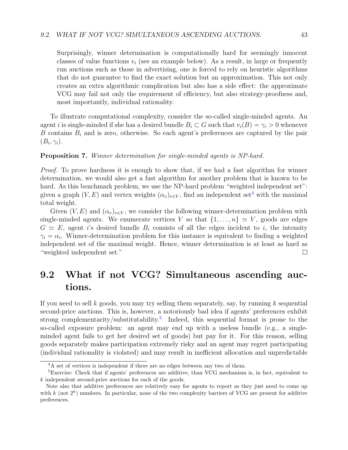Surprisingly, winner determination is computationally hard for seemingly innocent classes of value functions  $v_i$  (see an example below). As a result, in large or frequently run auctions such as those in advertising, one is forced to rely on heuristic algorithms that do not guarantee to find the exact solution but an approximation. This not only creates an extra algorithmic complication but also has a side effect: the approximate VCG may fail not only the requirement of efficiency, but also strategy-proofness and, most importantly, individual rationality.

To illustrate computational complexity, consider the so-called single-minded agents. An agent i is single-minded if she has a desired bundle  $B_i \subset G$  such that  $v_i(B) = \gamma_i > 0$  whenever B contains  $B_i$  and is zero, otherwise. So each agent's preferences are captured by the pair  $(B_i, \gamma_i).$ 

#### Proposition 7. Winner determination for single-minded agents is NP-hard.

Proof. To prove hardness it is enough to show that, if we had a fast algorithm for winner determination, we would also get a fast algorithm for another problem that is known to be hard. As this benchmark problem, we use the NP-hard problem "weighted independent set": given a graph  $(V, E)$  and vertex weights  $(\alpha_v)_{v \in V}$ , find an independent set<sup>[4](#page-42-0)</sup> with the maximal total weight.

Given  $(V, E)$  and  $(\alpha_v)_{v \in V}$ , we consider the following winner-determination problem with single-minded agents. We enumerate vertices V so that  $\{1,\ldots,n\} \simeq V$ , goods are edges  $G \simeq E$ , agent is desired bundle  $B_i$  consists of all the edges incident to i, the intensity  $\gamma_i = \alpha_i$ . Winner-determination problem for this instance is equivalent to finding a weighted independent set of the maximal weight. Hence, winner determination is at least as hard as "weighted independent set."  $\Box$ 

# 9.2 What if not VCG? Simultaneous ascending auctions.

If you need to sell k goods, you may try selling them separately, say, by running k sequential second-price auctions. This is, however, a notoriously bad idea if agents' preferences exhibit strong complementarity/substitutability.<sup>[5](#page-42-1)</sup> Indeed, this sequential format is prone to the so-called exposure problem: an agent may end up with a useless bundle (e.g., a singleminded agent fails to get her desired set of goods) but pay for it. For this reason, selling goods separately makes participation extremely risky and an agent may regret participating (individual rationality is violated) and may result in inefficient allocation and unpredictable

<span id="page-42-1"></span><span id="page-42-0"></span><sup>&</sup>lt;sup>4</sup>A set of vertices is independent if there are no edges between any two of them.

<sup>&</sup>lt;sup>5</sup>Exercise: Check that if agents' preferences are additive, than VCG mechanism is, in fact, equivalent to k independent second-price auctions for each of the goods.

Note also that additive preferences are relatively easy for agents to report as they just need to come up with  $k$  (not  $2^k$ ) numbers. In particular, none of the two complexity barriers of VCG are present for additive preferences.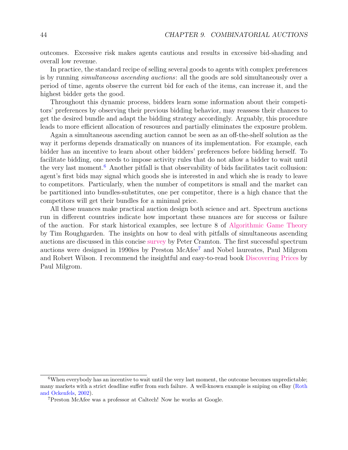outcomes. Excessive risk makes agents cautious and results in excessive bid-shading and overall low revenue.

In practice, the standard recipe of selling several goods to agents with complex preferences is by running simultaneous ascending auctions: all the goods are sold simultaneously over a period of time, agents observe the current bid for each of the items, can increase it, and the highest bidder gets the good.

Throughout this dynamic process, bidders learn some information about their competitors' preferences by observing their previous bidding behavior, may reassess their chances to get the desired bundle and adapt the bidding strategy accordingly. Arguably, this procedure leads to more efficient allocation of resources and partially eliminates the exposure problem.

Again a simultaneous ascending auction cannot be seen as an off-the-shelf solution as the way it performs depends dramatically on nuances of its implementation. For example, each bidder has an incentive to learn about other bidders' preferences before bidding herself. To facilitate bidding, one needs to impose activity rules that do not allow a bidder to wait until the very last moment. $6$  Another pitfall is that observability of bids facilitates tacit collusion: agent's first bids may signal which goods she is interested in and which she is ready to leave to competitors. Particularly, when the number of competitors is small and the market can be partitioned into bundles-substitutes, one per competitor, there is a high chance that the competitors will get their bundles for a minimal price.

All these nuances make practical auction design both science and art. Spectrum auctions run in different countries indicate how important these nuances are for success or failure of the auction. For stark historical examples, see lecture 8 of [Algorithmic Game Theory](http://timroughgarden.org/notes.html#:~:text=CS269I%2C%20fall%202016)-,Algorithmic%20Game%20Theory%20(CS364A%2C%20fall%202013),-The%20book%20Twenty) by Tim Roughgarden. The insights on how to deal with pitfalls of simultaneous ascending auctions are discussed in this concise [survey](https://www.cramton.umd.edu/papers2000-2004/cramton-simultaneous-ascending-auction.pdf) by Peter Cramton. The first successful spectrum auctions were designed in 1990ies by Preston McAfee[7](#page-43-1) and Nobel laureates, Paul Milgrom and Robert Wilson. I recommend the insightful and easy-to-read book [Discovering Prices](https://cup.columbia.edu/book/discovering-prices/9780231175982) by Paul Milgrom.

<span id="page-43-0"></span><sup>&</sup>lt;sup>6</sup>When everybody has an incentive to wait until the very last moment, the outcome becomes unpredictable; many markets with a strict deadline suffer from such failure. A well-known example is sniping on eBay [\(Roth](#page-104-0) [and Ockenfels,](#page-104-0) [2002\)](#page-104-0).

<span id="page-43-1"></span><sup>7</sup>Preston McAfee was a professor at Caltech! Now he works at Google.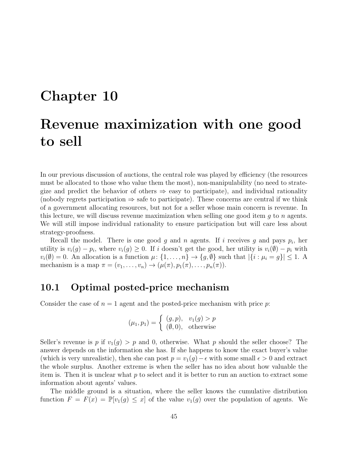# Chapter 10 Revenue maximization with one good to sell

In our previous discussion of auctions, the central role was played by efficiency (the resources must be allocated to those who value them the most), non-manipulability (no need to strategize and predict the behavior of others  $\Rightarrow$  easy to participate), and individual rationality (nobody regrets participation  $\Rightarrow$  safe to participate). These concerns are central if we think of a government allocating resources, but not for a seller whose main concern is revenue. In this lecture, we will discuss revenue maximization when selling one good item  $q$  to  $n$  agents. We will still impose individual rationality to ensure participation but will care less about strategy-proofness.

Recall the model. There is one good  $g$  and  $n$  agents. If  $i$  receives  $g$  and pays  $p_i$ , her utility is  $v_i(g) - p_i$ , where  $v_i(g) \geq 0$ . If i doesn't get the good, her utility is  $v_i(\emptyset) - p_i$  with  $v_i(\emptyset) = 0$ . An allocation is a function  $\mu: \{1, \ldots, n\} \to \{g, \emptyset\}$  such that  $|\{i : \mu_i = g\}| \leq 1$ . A mechanism is a map  $\pi = (v_1, \ldots, v_n) \rightarrow (\mu(\pi), p_1(\pi), \ldots, p_n(\pi)).$ 

#### 10.1 Optimal posted-price mechanism

Consider the case of  $n = 1$  agent and the posted-price mechanism with price p.

$$
(\mu_1, p_1) = \begin{cases} (g, p), & v_1(g) > p \\ (\emptyset, 0), & \text{otherwise} \end{cases}
$$

Seller's revenue is p if  $v_1(g) > p$  and 0, otherwise. What p should the seller choose? The answer depends on the information she has. If she happens to know the exact buyer's value (which is very unrealistic), then she can post  $p = v_1(g) - \epsilon$  with some small  $\epsilon > 0$  and extract the whole surplus. Another extreme is when the seller has no idea about how valuable the item is. Then it is unclear what  $p$  to select and it is better to run an auction to extract some information about agents' values.

The middle ground is a situation, where the seller knows the cumulative distribution function  $F = F(x) = \mathbb{P}[v_1(g) \leq x]$  of the value  $v_1(g)$  over the population of agents. We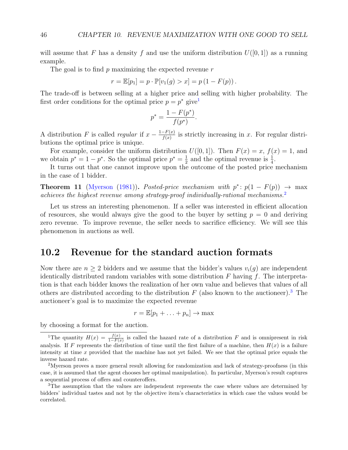will assume that F has a density f and use the uniform distribution  $U([0, 1])$  as a running example.

The goal is to find  $p$  maximizing the expected revenue  $r$ 

$$
r = \mathbb{E}[p_1] = p \cdot \mathbb{P}[v_1(g) > x] = p(1 - F(p)).
$$

The trade-off is between selling at a higher price and selling with higher probability. The first order conditions for the optimal price  $p = p^*$  give<sup>[1](#page-45-0)</sup>

$$
p^* = \frac{1 - F(p^*)}{f(p^*)}.
$$

A distribution F is called regular if  $x - \frac{1-F(x)}{f(x)}$  $\frac{f(x)-f(x)}{f(x)}$  is strictly increasing in x. For regular distributions the optimal price is unique.

For example, consider the uniform distribution  $U([0, 1])$ . Then  $F(x) = x$ ,  $f(x) = 1$ , and we obtain  $p^* = 1 - p^*$ . So the optimal price  $p^* = \frac{1}{2}$  $\frac{1}{2}$  and the optimal revenue is  $\frac{1}{4}$ .

It turns out that one cannot improve upon the outcome of the posted price mechanism in the case of 1 bidder.

**Theorem 11** [\(Myerson](#page-104-1) [\(1981\)](#page-104-1)). Posted-price mechanism with  $p^* \colon p(1 - F(p)) \to \max$ achieves the highest revenue among strategy-proof individually-rational mechanisms.<sup>[2](#page-45-1)</sup>

Let us stress an interesting phenomenon. If a seller was interested in efficient allocation of resources, she would always give the good to the buyer by setting  $p = 0$  and deriving zero revenue. To improve revenue, the seller needs to sacrifice efficiency. We will see this phenomenon in auctions as well.

#### 10.2 Revenue for the standard auction formats

Now there are  $n \geq 2$  bidders and we assume that the bidder's values  $v_i(g)$  are independent identically distributed random variables with some distribution  $F$  having  $f$ . The interpretation is that each bidder knows the realization of her own value and believes that values of all others are distributed according to the distribution  $F$  (also known to the auctioneer).<sup>[3](#page-45-2)</sup> The auctioneer's goal is to maximize the expected revenue

$$
r = \mathbb{E}[p_1 + \ldots + p_n] \to \max
$$

by choosing a format for the auction.

<span id="page-45-0"></span><sup>1</sup>The quantity  $H(x) = \frac{f(x)}{1-F(x)}$  is called the hazard rate of a distribution F and is omnipresent in risk analysis. If F represents the distribution of time until the first failure of a machine, then  $H(x)$  is a failure intensity at time  $x$  provided that the machine has not yet failed. We see that the optimal price equals the inverse hazard rate.

<span id="page-45-1"></span><sup>2</sup>Myerson proves a more general result allowing for randomization and lack of strategy-proofness (in this case, it is assumed that the agent chooses her optimal manipulation). In particular, Myerson's result captures a sequential process of offers and counteroffers.

<span id="page-45-2"></span><sup>3</sup>The assumption that the values are independent represents the case where values are determined by bidders' individual tastes and not by the objective item's characteristics in which case the values would be correlated.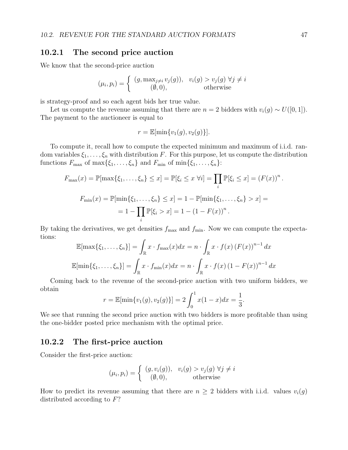#### 10.2.1 The second price auction

We know that the second-price auction

$$
(\mu_i, p_i) = \begin{cases} (g, \max_{j \neq i} v_j(g)), & v_i(g) > v_j(g) \ \forall j \neq i \\ (0, 0), & \text{otherwise} \end{cases}
$$

is strategy-proof and so each agent bids her true value.

Let us compute the revenue assuming that there are  $n = 2$  bidders with  $v_i(g) \sim U([0, 1])$ . The payment to the auctioneer is equal to

$$
r = \mathbb{E}[\min\{v_1(g), v_2(g)\}].
$$

To compute it, recall how to compute the expected minimum and maximum of i.i.d. random variables  $\xi_1, \ldots, \xi_n$  with distribution F. For this purpose, let us compute the distribution functions  $F_{\text{max}}$  of  $\max\{\xi_1,\ldots,\xi_n\}$  and  $F_{\text{min}}$  of  $\min\{\xi_1,\ldots,\xi_n\}$ :

$$
F_{\max}(x) = \mathbb{P}[\max\{\xi_1, ..., \xi_n\} \le x] = \mathbb{P}[\xi_i \le x \,\forall i] = \prod_i \mathbb{P}[\xi_i \le x] = (F(x))^n.
$$
  

$$
F_{\min}(x) = \mathbb{P}[\min\{\xi_1, ..., \xi_n\} \le x] = 1 - \mathbb{P}[\min\{\xi_1, ..., \xi_n\} > x] =
$$
  

$$
= 1 - \prod_i \mathbb{P}[\xi_i > x] = 1 - (1 - F(x))^n.
$$

By taking the derivatives, we get densities  $f_{\text{max}}$  and  $f_{\text{min}}$ . Now we can compute the expectations:

$$
\mathbb{E}[\max\{\xi_1,\ldots,\xi_n\}] = \int_{\mathbb{R}} x \cdot f_{\max}(x) dx = n \cdot \int_{\mathbb{R}} x \cdot f(x) (F(x))^{n-1} dx
$$

$$
\mathbb{E}[\min\{\xi_1,\ldots,\xi_n\}] = \int_{\mathbb{R}} x \cdot f_{\min}(x) dx = n \cdot \int_{\mathbb{R}} x \cdot f(x) (1 - F(x))^{n-1} dx
$$

Coming back to the revenue of the second-price auction with two uniform bidders, we obtain

$$
r = \mathbb{E}[\min\{v_1(g), v_2(g)\}] = 2 \int_0^1 x(1-x)dx = \frac{1}{3}.
$$

We see that running the second price auction with two bidders is more profitable than using the one-bidder posted price mechanism with the optimal price.

#### 10.2.2 The first-price auction

Consider the first-price auction:

$$
(\mu_i, p_i) = \begin{cases} (g, v_i(g)), & v_i(g) > v_j(g) \ \forall j \neq i \\ (0, 0), & \text{otherwise} \end{cases}
$$

How to predict its revenue assuming that there are  $n \geq 2$  bidders with i.i.d. values  $v_i(g)$ distributed according to  $F$ ?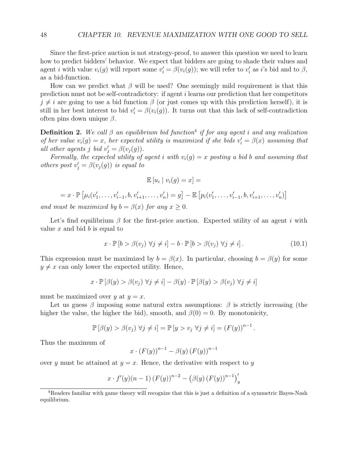Since the first-price auction is not strategy-proof, to answer this question we need to learn how to predict bidders' behavior. We expect that bidders are going to shade their values and agent *i* with value  $v_i(g)$  will report some  $v'_i = \beta(v_i(g))$ ; we will refer to  $v'_i$  as *i*'s bid and to  $\beta$ , as a bid-function.

How can we predict what  $\beta$  will be used? One seemingly mild requirement is that this prediction must not be self-contradictory: if agent i learns our prediction that her competitors  $j \neq i$  are going to use a bid function  $\beta$  (or just comes up with this prediction herself), it is still in her best interest to bid  $v_i' = \beta(v_i(g))$ . It turns out that this lack of self-contradiction often pins down unique  $\beta$ .

**Definition 2.** We call  $\beta$  an equilibrium bid function<sup>[4](#page-47-0)</sup> if for any agent i and any realization of her value  $v_i(g) = x$ , her expected utility is maximized if she bids  $v'_i = \beta(x)$  assuming that all other agents j bid  $v'_j = \beta(v_j(g)).$ 

Formally, the expected utility of agent i with  $v_i(g) = x$  posting a bid b and assuming that others post  $v'_j = \beta(v_j(g))$  is equal to

$$
\mathbb{E}\left[u_i\mid v_i(g)=x\right]=
$$

$$
= x \cdot \mathbb{P} \left[ \mu_i(v'_1, \ldots, v'_{i-1}, b, v'_{i+1}, \ldots, v'_n) = g \right] - \mathbb{E} \left[ p_i(v'_1, \ldots, v'_{i-1}, b, v'_{i+1}, \ldots, v'_n) \right]
$$

and must be maximized by  $b = \beta(x)$  for any  $x \geq 0$ .

Let's find equilibrium  $\beta$  for the first-price auction. Expected utility of an agent i with value  $x$  and bid  $b$  is equal to

<span id="page-47-1"></span>
$$
x \cdot \mathbb{P} \left[ b > \beta(v_j) \ \forall j \neq i \right] - b \cdot \mathbb{P} \left[ b > \beta(v_j) \ \forall j \neq i \right]. \tag{10.1}
$$

1

This expression must be maximized by  $b = \beta(x)$ . In particular, choosing  $b = \beta(y)$  for some  $y \neq x$  can only lower the expected utility. Hence,

$$
x \cdot \mathbb{P} [\beta(y) > \beta(v_j) \ \forall j \neq i] - \beta(y) \cdot \mathbb{P} [\beta(y) > \beta(v_j) \ \forall j \neq i]
$$

must be maximized over y at  $y = x$ .

Let us guess  $\beta$  imposing some natural extra assumptions:  $\beta$  is strictly increasing (the higher the value, the higher the bid), smooth, and  $\beta(0) = 0$ . By monotonicity,

$$
\mathbb{P}\left[\beta(y) > \beta(v_j) \,\forall j \neq i\right] = \mathbb{P}\left[y > v_j \,\forall j \neq i\right] = (F(y))^{n-1}.
$$

Thus the maximum of

$$
x \cdot (F(y))^{n-1} - \beta(y) (F(y))^{n-1}
$$

over y must be attained at  $y = x$ . Hence, the derivative with respect to y

$$
x \cdot f'(y)(n-1) (F(y))^{n-2} - (\beta(y) (F(y))^{n-1})'_y
$$

<span id="page-47-0"></span><sup>4</sup>Readers familiar with game theory will recognize that this is just a definition of a symmetric Bayes-Nash equilibrium.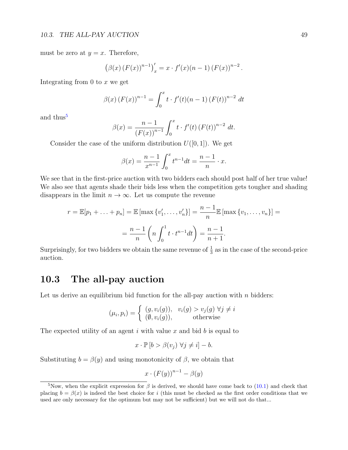must be zero at  $y = x$ . Therefore,

$$
(\beta(x) (F(x))^{n-1})'_{x} = x \cdot f'(x) (n-1) (F(x))^{n-2}.
$$

Integrating from 0 to  $x$  we get

$$
\beta(x) (F(x))^{n-1} = \int_0^x t \cdot f'(t) (n-1) (F(t))^{n-2} dt
$$

and thus<sup>[5](#page-48-0)</sup>

$$
\beta(x) = \frac{n-1}{(F(x))^{n-1}} \int_0^x t \cdot f'(t) (F(t))^{n-2} dt.
$$

Consider the case of the uniform distribution  $U([0, 1])$ . We get

$$
\beta(x) = \frac{n-1}{x^{n-1}} \int_0^x t^{n-1} dt = \frac{n-1}{n} \cdot x.
$$

We see that in the first-price auction with two bidders each should post half of her true value! We also see that agents shade their bids less when the competition gets tougher and shading disappears in the limit  $n \to \infty$ . Let us compute the revenue

$$
r = \mathbb{E}[p_1 + \dots + p_n] = \mathbb{E}[\max \{v'_1, \dots, v'_n\}] = \frac{n-1}{n} \mathbb{E}[\max \{v_1, \dots, v_n\}] = \frac{n-1}{n} \left(n \int_0^1 t \cdot t^{n-1} dt\right) = \frac{n-1}{n+1}.
$$

Surprisingly, for two bidders we obtain the same revenue of  $\frac{1}{3}$  as in the case of the second-price auction.

## 10.3 The all-pay auction

Let us derive an equilibrium bid function for the all-pay auction with  $n$  bidders:

$$
(\mu_i, p_i) = \begin{cases} (g, v_i(g)), & v_i(g) > v_j(g) \ \forall j \neq i \\ (\emptyset, v_i(g)), & \text{otherwise} \end{cases}
$$

The expected utility of an agent i with value x and bid  $b$  is equal to

$$
x \cdot \mathbb{P} [b > \beta(v_j) \ \forall j \neq i] - b.
$$

Substituting  $b = \beta(y)$  and using monotonicity of  $\beta$ , we obtain that

$$
x \cdot (F(y))^{n-1} - \beta(y)
$$

<span id="page-48-0"></span><sup>&</sup>lt;sup>5</sup>Now, when the explicit expression for  $\beta$  is derived, we should have come back to [\(10.1\)](#page-47-1) and check that placing  $b = \beta(x)$  is indeed the best choice for i (this must be checked as the first order conditions that we used are only necessary for the optimum but may not be sufficient) but we will not do that...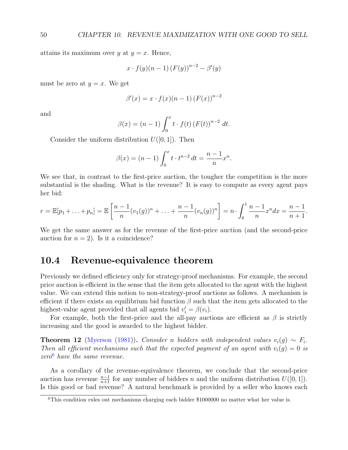attains its maximum over y at  $y = x$ . Hence,

$$
x \cdot f(y)(n-1) (F(y))^{n-2} - \beta'(y)
$$

must be zero at  $y = x$ . We get

$$
\beta'(x) = x \cdot f(x) (n - 1) (F(x))^{n-2}
$$

and

$$
\beta(x) = (n - 1) \int_0^x t \cdot f(t) (F(t))^{n-2} dt.
$$

Consider the uniform distribution  $U([0, 1])$ . Then

$$
\beta(x) = (n-1) \int_0^x t \cdot t^{n-2} dt = \frac{n-1}{n} x^n.
$$

We see that, in contrast to the first-price auction, the tougher the competition is the more substantial is the shading. What is the revenue? It is easy to compute as every agent pays her bid:

$$
r = \mathbb{E}[p_1 + \ldots + p_n] = \mathbb{E}\left[\frac{n-1}{n}(v_1(g))^n + \ldots + \frac{n-1}{n}(v_n(g))^n\right] = n \cdot \int_0^1 \frac{n-1}{n} x^n dx = \frac{n-1}{n+1}.
$$

We get the same answer as for the revenue of the first-price auction (and the second-price auction for  $n = 2$ ). Is it a coincidence?

#### 10.4 Revenue-equivalence theorem

Previously we defined efficiency only for strategy-proof mechanisms. For example, the second price auction is efficient in the sense that the item gets allocated to the agent with the highest value. We can extend this notion to non-strategy-proof auctions as follows. A mechanism is efficient if there exists an equilibrium bid function  $\beta$  such that the item gets allocated to the highest-value agent provided that all agents bid  $v_i' = \beta(v_i)$ .

For example, both the first-price and the all-pay auctions are efficient as  $\beta$  is strictly increasing and the good is awarded to the highest bidder.

**Theorem 12** [\(Myerson](#page-104-1) [\(1981\)](#page-104-1)). Consider n bidders with independent values  $v_i(g) \sim F_i$ . Then all efficient mechanisms such that the expected payment of an agent with  $v_i(q) = 0$  is  $zero<sup>6</sup>$  $zero<sup>6</sup>$  $zero<sup>6</sup>$  have the same revenue.

As a corollary of the revenue-equivalence theorem, we conclude that the second-price auction has revenue  $\frac{n-1}{n+1}$  for any number of bidders n and the uniform distribution  $U([0, 1])$ . Is this good or bad revenue? A natural benchmark is provided by a seller who knows each

<span id="page-49-0"></span><sup>6</sup>This condition rules out mechanisms charging each bidder \$1000000 no matter what her value is.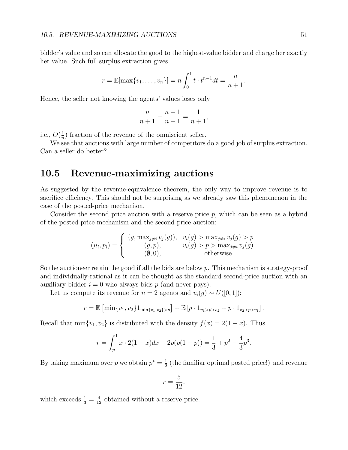bidder's value and so can allocate the good to the highest-value bidder and charge her exactly her value. Such full surplus extraction gives

$$
r = \mathbb{E}[\max\{v_1, \ldots, v_n\}] = n \int_0^1 t \cdot t^{n-1} dt = \frac{n}{n+1}.
$$

Hence, the seller not knowing the agents' values loses only

$$
\frac{n}{n+1} - \frac{n-1}{n+1} = \frac{1}{n+1},
$$

i.e.,  $O(\frac{1}{n})$  $\frac{1}{n}$ ) fraction of the revenue of the omniscient seller.

We see that auctions with large number of competitors do a good job of surplus extraction. Can a seller do better?

### 10.5 Revenue-maximizing auctions

As suggested by the revenue-equivalence theorem, the only way to improve revenue is to sacrifice efficiency. This should not be surprising as we already saw this phenomenon in the case of the posted-price mechanism.

Consider the second price auction with a reserve price p, which can be seen as a hybrid of the posted price mechanism and the second price auction:

$$
(\mu_i, p_i) = \begin{cases} (g, \max_{j \neq i} v_j(g)), & v_i(g) > \max_{j \neq i} v_j(g) > p \\ (g, p), & v_i(g) > p > \max_{j \neq i} v_j(g) \\ (\emptyset, 0), & \text{otherwise} \end{cases}
$$

So the auctioneer retain the good if all the bids are below  $p$ . This mechanism is strategy-proof and individually-rational as it can be thought as the standard second-price auction with an auxiliary bidder  $i = 0$  who always bids p (and never pays).

Let us compute its revenue for  $n = 2$  agents and  $v_i(g) \sim U([0, 1])$ :

$$
r = \mathbb{E} \left[ \min\{v_1, v_2\} 1_{\min\{v_1, v_2\} > p} \right] + \mathbb{E} \left[ p \cdot 1_{v_1 > p > v_2} + p \cdot 1_{v_2 > p > v_1} \right].
$$

Recall that  $\min\{v_1, v_2\}$  is distributed with the density  $f(x) = 2(1-x)$ . Thus

$$
r = \int_{p}^{1} x \cdot 2(1-x) dx + 2p(p(1-p)) = \frac{1}{3} + p^2 - \frac{4}{3}p^3.
$$

By taking maximum over p we obtain  $p^* = \frac{1}{2}$  $\frac{1}{2}$  (the familiar optimal posted price!) and revenue

$$
r = \frac{5}{12},
$$

which exceeds  $\frac{1}{3} = \frac{4}{12}$  obtained without a reserve price.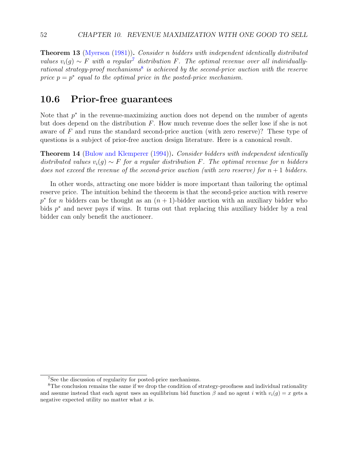Theorem 13 [\(Myerson](#page-104-1) [\(1981\)](#page-104-1)). Consider n bidders with independent identically distributed values  $v_i(q) \sim F$  with a regular<sup>[7](#page-51-0)</sup> distribution F. The optimal revenue over all individually-rational strategy-proof mechanisms<sup>[8](#page-51-1)</sup> is achieved by the second-price auction with the reserve price  $p = p^*$  equal to the optimal price in the posted-price mechanism.

#### 10.6 Prior-free guarantees

Note that  $p^*$  in the revenue-maximizing auction does not depend on the number of agents but does depend on the distribution  $F$ . How much revenue does the seller lose if she is not aware of F and runs the standard second-price auction (with zero reserve)? These type of questions is a subject of prior-free auction design literature. Here is a canonical result.

**Theorem 14** [\(Bulow and Klemperer](#page-102-0) [\(1994\)](#page-102-0)). Consider bidders with independent identically distributed values  $v_i(g) \sim F$  for a regular distribution F. The optimal revenue for n bidders does not exceed the revenue of the second-price auction (with zero reserve) for  $n+1$  bidders.

In other words, attracting one more bidder is more important than tailoring the optimal reserve price. The intuition behind the theorem is that the second-price auction with reserve  $p^*$  for *n* bidders can be thought as an  $(n + 1)$ -bidder auction with an auxiliary bidder who bids  $p^*$  and never pays if wins. It turns out that replacing this auxiliary bidder by a real bidder can only benefit the auctioneer.

<span id="page-51-1"></span><span id="page-51-0"></span><sup>7</sup>See the discussion of regularity for posted-price mechanisms.

<sup>&</sup>lt;sup>8</sup>The conclusion remains the same if we drop the condition of strategy-proofness and individual rationality and assume instead that each agent uses an equilibrium bid function  $\beta$  and no agent i with  $v_i(g) = x$  gets a negative expected utility no matter what  $x$  is.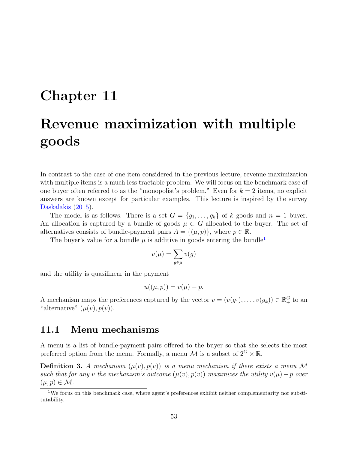# Chapter 11

# Revenue maximization with multiple goods

In contrast to the case of one item considered in the previous lecture, revenue maximization with multiple items is a much less tractable problem. We will focus on the benchmark case of one buyer often referred to as the "monopolist's problem." Even for  $k = 2$  items, no explicit answers are known except for particular examples. This lecture is inspired by the survey [Daskalakis](#page-102-1) [\(2015\)](#page-102-1).

The model is as follows. There is a set  $G = \{g_1, \ldots, g_k\}$  of k goods and  $n = 1$  buyer. An allocation is captured by a bundle of goods  $\mu \subset G$  allocated to the buyer. The set of alternatives consists of bundle-payment pairs  $A = \{(\mu, p)\}\,$ , where  $p \in \mathbb{R}$ .

The buyer's value for a bundle  $\mu$  is additive in goods entering the bundle<sup>[1](#page-52-0)</sup>

$$
v(\mu) = \sum_{g \in \mu} v(g)
$$

and the utility is quasilinear in the payment

$$
u((\mu, p)) = v(\mu) - p.
$$

A mechanism maps the preferences captured by the vector  $v = (v(g_1), \ldots, v(g_k)) \in \mathbb{R}^G_+$  to an "alternative"  $(\mu(v), p(v))$ .

## 11.1 Menu mechanisms

A menu is a list of bundle-payment pairs offered to the buyer so that she selects the most preferred option from the menu. Formally, a menu  $\mathcal M$  is a subset of  $2^G \times \mathbb R$ .

**Definition 3.** A mechanism  $(\mu(v), p(v))$  is a menu mechanism if there exists a menu M such that for any v the mechanism's outcome  $(\mu(v), p(v))$  maximizes the utility  $v(\mu) - p$  over  $(\mu, p) \in \mathcal{M}.$ 

<span id="page-52-0"></span><sup>&</sup>lt;sup>1</sup>We focus on this benchmark case, where agent's preferences exhibit neither complementarity nor substitutability.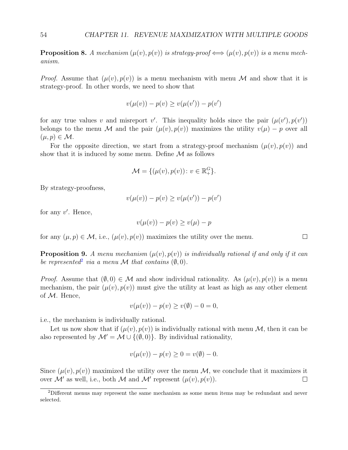<span id="page-53-1"></span>**Proposition 8.** A mechanism  $(\mu(v), p(v))$  is strategy-proof  $\iff (\mu(v), p(v))$  is a menu mechanism.

*Proof.* Assume that  $(\mu(v), p(v))$  is a menu mechanism with menu M and show that it is strategy-proof. In other words, we need to show that

$$
v(\mu(v)) - p(v) \ge v(\mu(v')) - p(v')
$$

for any true values v and misreport v'. This inequality holds since the pair  $(\mu(v'), p(v'))$ belongs to the menu M and the pair  $(\mu(v), p(v))$  maximizes the utility  $v(\mu) - p$  over all  $(\mu, p) \in \mathcal{M}.$ 

For the opposite direction, we start from a strategy-proof mechanism  $(\mu(v), p(v))$  and show that it is induced by some menu. Define  $\mathcal M$  as follows

$$
\mathcal{M} = \{(\mu(v), p(v)) \colon v \in \mathbb{R}_+^G\}.
$$

By strategy-proofness,

$$
v(\mu(v)) - p(v) \ge v(\mu(v')) - p(v')
$$

for any  $v'$ . Hence,

$$
v(\mu(v)) - p(v) \ge v(\mu) - p
$$

for any  $(\mu, p) \in \mathcal{M}$ , i.e.,  $(\mu(v), p(v))$  maximizes the utility over the menu.

<span id="page-53-2"></span>**Proposition 9.** A menu mechanism  $(\mu(v), p(v))$  is individually rational if and only if it can be represented<sup>[2](#page-53-0)</sup> via a menu M that contains  $(\emptyset, 0)$ .

*Proof.* Assume that  $(\emptyset, 0) \in \mathcal{M}$  and show individual rationality. As  $(\mu(v), p(v))$  is a menu mechanism, the pair  $(\mu(v), p(v))$  must give the utility at least as high as any other element of  $M$ . Hence,

 $v(\mu(v)) - p(v) > v(\emptyset) - 0 = 0,$ 

i.e., the mechanism is individually rational.

Let us now show that if  $(\mu(v), p(v))$  is individually rational with menu M, then it can be also represented by  $\mathcal{M}' = \mathcal{M} \cup \{(\emptyset, 0)\}\$ . By individual rationality,

$$
v(\mu(v)) - p(v) \ge 0 = v(\emptyset) - 0.
$$

Since  $(\mu(v), p(v))$  maximized the utility over the menu M, we conclude that it maximizes it over M' as well, i.e., both M and M' represent  $(\mu(v), p(v))$ .  $\Box$ 

 $\Box$ 

<span id="page-53-0"></span><sup>2</sup>Different menus may represent the same mechanism as some menu items may be redundant and never selected.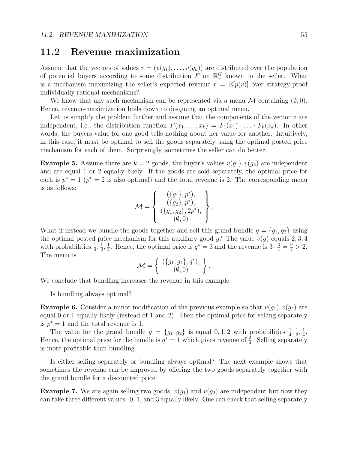### 11.2 Revenue maximization

Assume that the vectors of values  $v = (v(g_1), \ldots, v(g_k))$  are distributed over the population of potential buyers according to some distribution  $F$  on  $\mathbb{R}^G_+$  known to the seller. What is a mechanism maximizing the seller's expected revenue  $r = \mathbb{E}[p(v)]$  over strategy-proof individually-rational mechanisms?

We know that any such mechanism can be represented via a menu  $\mathcal M$  containing  $(\emptyset, 0)$ . Hence, revenue-maximization boils down to designing an optimal menu.

Let us simplify the problem further and assume that the components of the vector  $v$  are independent, i.e., the distribution function  $F(x_1, \ldots, x_k) = F_1(x_1) \cdot \ldots \cdot F_k(x_k)$ . In other words, the buyers value for one good tells nothing about her value for another. Intuitively, in this case, it must be optimal to sell the goods separately using the optimal posted price mechanism for each of them. Surprisingly, sometimes the seller can do better.

**Example 5.** Assume there are  $k = 2$  goods, the buyer's values  $v(g_1)$ ,  $v(g_2)$  are independent and are equal 1 or 2 equally likely. If the goods are sold separately, the optimal price for each is  $p^* = 1$  ( $p^* = 2$  is also optimal) and the total revenue is 2. The corresponding menu is as follows:

$$
\mathcal{M} = \left\{ \begin{array}{c} (\{g_1\}, p^*), \\ (\{g_2\}, p^*), \\ (\{g_1, g_2\}, 2p^*), \\ (\emptyset, 0) \end{array} \right\}.
$$

What if instead we bundle the goods together and sell this grand bundle  $g = \{g_1, g_2\}$  using the optimal posted price mechanism for this auxiliary good  $g$ ? The value  $v(g)$  equals 2, 3, 4 with probabilities  $\frac{1}{4}$ ,  $\frac{1}{2}$  $\frac{1}{2}, \frac{1}{4}$  $\frac{1}{4}$ . Hence, the optimal price is  $q^* = 3$  and the revenue is  $3 \cdot \frac{3}{4} = \frac{9}{4} > 2$ . The menu is

$$
\mathcal{M} = \left\{ \begin{array}{c} (\{g_1, g_2\}, q^*), \\ (\emptyset, 0) \end{array} \right\}.
$$

We conclude that bundling increases the revenue in this example.

Is bundling always optimal?

**Example 6.** Consider a minor modification of the previous example so that  $v(g_1), v(g_2)$  are equal 0 or 1 equally likely (instead of 1 and 2). Then the optimal price for selling separately is  $p^* = 1$  and the total revenue is 1.

The value for the grand bundle  $g = \{g_1, g_2\}$  is equal 0, 1, 2 with probabilities  $\frac{1}{4}, \frac{1}{2}$  $\frac{1}{2}, \frac{1}{4}$  $\frac{1}{4}$ . Hence, the optimal price for the bundle is  $q^* = 1$  which gives revenue of  $\frac{3}{4}$ . Selling separately is more profitable than bundling.

Is either selling separately or bundling always optimal? The next example shows that sometimes the revenue can be improved by offering the two goods separately together with the grand bundle for a discounted price.

<span id="page-54-0"></span>**Example 7.** We are again selling two goods,  $v(g_1)$  and  $v(g_2)$  are independent but now they can take three different values: 0, 1, and 3 equally likely. One can check that selling separately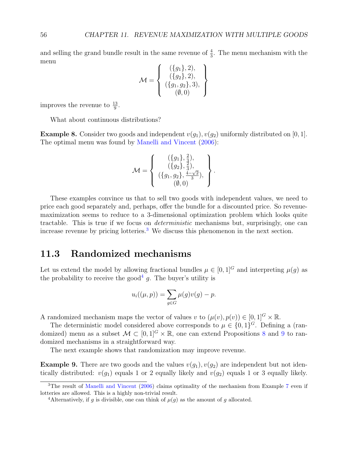and selling the grand bundle result in the same revenue of  $\frac{4}{3}$ . The menu mechanism with the menu  $\sum_{i=1}^{n}$ 

$$
\mathcal{M} = \left\{ \begin{array}{c} (\{g_1\}, 2), \\ (\{g_2\}, 2), \\ (\{g_1, g_2\}, 3), \\ (\emptyset, 0) \end{array} \right\}
$$

improves the revenue to  $\frac{13}{9}$ .

What about continuous distributions?

**Example 8.** Consider two goods and independent  $v(g_1)$ ,  $v(g_2)$  uniformly distributed on [0, 1]. The optimal menu was found by [Manelli and Vincent](#page-104-2) [\(2006\)](#page-104-2):

$$
\mathcal{M} = \left\{ \begin{array}{c} (\{g_1\}, \frac{2}{3}), \\ (\{g_2\}, \frac{2}{3}), \\ (\{g_1, g_2\}, \frac{4-\sqrt{2}}{3}), \\ (\emptyset, 0) \end{array} \right\}.
$$

These examples convince us that to sell two goods with independent values, we need to price each good separately and, perhaps, offer the bundle for a discounted price. So revenuemaximization seems to reduce to a 3-dimensional optimization problem which looks quite tractable. This is true if we focus on deterministic mechanisms but, surprisingly, one can increase revenue by pricing lotteries.<sup>[3](#page-55-0)</sup> We discuss this phenomenon in the next section.

#### 11.3 Randomized mechanisms

Let us extend the model by allowing fractional bundles  $\mu \in [0,1]^G$  and interpreting  $\mu(q)$  as the probability to receive the good<sup>[4](#page-55-1)</sup> g. The buyer's utility is

$$
u_i((\mu, p)) = \sum_{g \in G} \mu(g)v(g) - p.
$$

A randomized mechanism maps the vector of values v to  $(\mu(v), p(v)) \in [0, 1]^G \times \mathbb{R}$ .

The deterministic model considered above corresponds to  $\mu \in \{0,1\}^G$ . Defining a (randomized) menu as a subset  $\mathcal{M} \subset [0,1]^G \times \mathbb{R}$ , one can extend Propositions [8](#page-53-1) and [9](#page-53-2) to randomized mechanisms in a straightforward way.

The next example shows that randomization may improve revenue.

**Example 9.** There are two goods and the values  $v(g_1), v(g_2)$  are independent but not identically distributed:  $v(g_1)$  equals 1 or 2 equally likely and  $v(g_2)$  equals 1 or 3 equally likely.

<span id="page-55-0"></span><sup>&</sup>lt;sup>3</sup>The result of [Manelli and Vincent](#page-104-2) [\(2006\)](#page-104-2) claims optimality of the mechanism from Example [7](#page-54-0) even if lotteries are allowed. This is a highly non-trivial result.

<span id="page-55-1"></span><sup>&</sup>lt;sup>4</sup>Alternatively, if g is divisible, one can think of  $\mu(g)$  as the amount of g allocated.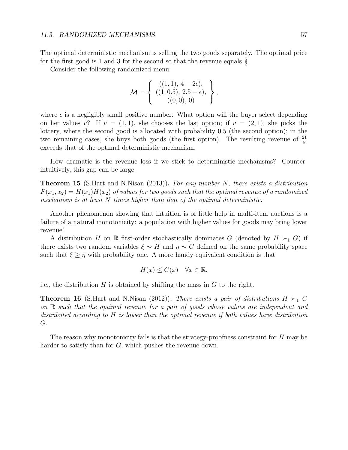The optimal deterministic mechanism is selling the two goods separately. The optimal price for the first good is 1 and 3 for the second so that the revenue equals  $\frac{5}{2}$ .

Consider the following randomized menu:

$$
\mathcal{M} = \left\{ \begin{array}{c} ((1,1), 4-2\epsilon), \\ ((1,0.5), 2.5-\epsilon), \\ ((0,0), 0) \end{array} \right\},\,
$$

where  $\epsilon$  is a negligibly small positive number. What option will the buyer select depending on her values v? If  $v = (1, 1)$ , she chooses the last option; if  $v = (2, 1)$ , she picks the lottery, where the second good is allocated with probability 0.5 (the second option); in the two remaining cases, she buys both goods (the first option). The resulting revenue of  $\frac{21}{8}$ exceeds that of the optimal deterministic mechanism.

How dramatic is the revenue loss if we stick to deterministic mechanisms? Counterintuitively, this gap can be large.

**Theorem 15** (S.Hart and N.Nisan  $(2013)$ ). For any number N, there exists a distribution  $F(x_1, x_2) = H(x_1)H(x_2)$  of values for two goods such that the optimal revenue of a randomized mechanism is at least N times higher than that of the optimal deterministic.

Another phenomenon showing that intuition is of little help in multi-item auctions is a failure of a natural monotonicity: a population with higher values for goods may bring lower revenue!

A distribution H on R first-order stochastically dominates G (denoted by  $H \succ_1 G$ ) if there exists two random variables  $\xi \sim H$  and  $\eta \sim G$  defined on the same probability space such that  $\xi \geq \eta$  with probability one. A more handy equivalent condition is that

$$
H(x) \le G(x) \quad \forall x \in \mathbb{R},
$$

i.e., the distribution  $H$  is obtained by shifting the mass in  $G$  to the right.

**Theorem 16** (S.Hart and N.Nisan (2012)). There exists a pair of distributions  $H \succ_1 G$ on R such that the optimal revenue for a pair of goods whose values are independent and distributed according to H is lower than the optimal revenue if both values have distribution G.

The reason why monotonicity fails is that the strategy-proofness constraint for  $H$  may be harder to satisfy than for G, which pushes the revenue down.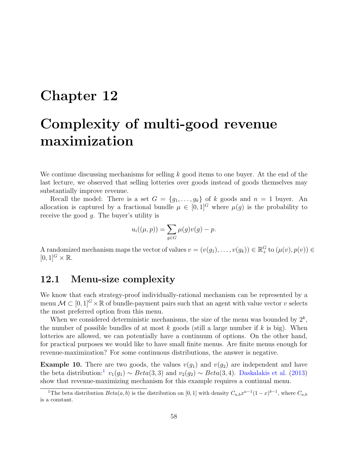# Chapter 12

# Complexity of multi-good revenue maximization

We continue discussing mechanisms for selling  $k$  good items to one buyer. At the end of the last lecture, we observed that selling lotteries over goods instead of goods themselves may substantially improve revenue.

Recall the model: There is a set  $G = \{g_1, \ldots, g_k\}$  of k goods and  $n = 1$  buyer. An allocation is captured by a fractional bundle  $\mu \in [0,1]^G$  where  $\mu(q)$  is the probability to receive the good g. The buyer's utility is

$$
u_i((\mu, p)) = \sum_{g \in G} \mu(g)v(g) - p.
$$

A randomized mechanism maps the vector of values  $v = (v(g_1), \ldots, v(g_k)) \in \mathbb{R}_+^G$  to  $(\mu(v), p(v)) \in$  $[0, 1]^G \times \mathbb{R}$ .

### 12.1 Menu-size complexity

We know that each strategy-proof individually-rational mechanism can be represented by a menu  $\mathcal{M} \subset [0,1]^G \times \mathbb{R}$  of bundle-payment pairs such that an agent with value vector v selects the most preferred option from this menu.

When we considered deterministic mechanisms, the size of the menu was bounded by  $2^k$ , the number of possible bundles of at most  $k$  goods (still a large number if  $k$  is big). When lotteries are allowed, we can potentially have a continuum of options. On the other hand, for practical purposes we would like to have small finite menus. Are finite menus enough for revenue-maximization? For some continuous distributions, the answer is negative.

**Example 10.** There are two goods, the values  $v(g_1)$  and  $v(g_2)$  are independent and have the beta distribution:<sup>[1](#page-57-0)</sup>  $v_1(g_1) \sim Beta(3, 3)$  and  $v_2(g_2) \sim Beta(3, 4)$ . [Daskalakis et al.](#page-102-2) [\(2013\)](#page-102-2) show that revenue-maximizing mechanism for this example requires a continual menu.

<span id="page-57-0"></span><sup>&</sup>lt;sup>1</sup>The beta distribution  $Beta(a, b)$  is the distribution on [0, 1] with density  $C_{a,b}x^{a-1}(1-x)^{b-1}$ , where  $C_{a,b}$ is a constant.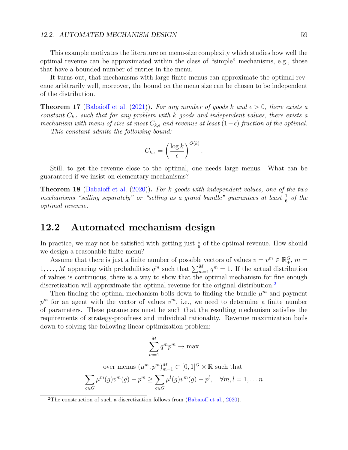#### 12.2. AUTOMATED MECHANISM DESIGN 59

This example motivates the literature on menu-size complexity which studies how well the optimal revenue can be approximated within the class of "simple" mechanisms, e.g., those that have a bounded number of entries in the menu.

It turns out, that mechanisms with large finite menus can approximate the optimal revenue arbitrarily well, moreover, the bound on the menu size can be chosen to be independent of the distribution.

**Theorem 17** [\(Babaioff et al.](#page-101-0) [\(2021\)](#page-101-0)). For any number of goods k and  $\epsilon > 0$ , there exists a constant  $C_{k,\epsilon}$  such that for any problem with k goods and independent values, there exists a mechanism with menu of size at most  $C_{k,\epsilon}$  and revenue at least  $(1-\epsilon)$  fraction of the optimal.

This constant admits the following bound:

$$
C_{k,\epsilon} = \left(\frac{\log k}{\epsilon}\right)^{O(k)}
$$

.

Still, to get the revenue close to the optimal, one needs large menus. What can be guaranteed if we insist on elementary mechanisms?

**Theorem 18** [\(Babaioff et al.](#page-101-1)  $(2020)$ ). For k goods with independent values, one of the two mechanisms "selling separately" or "selling as a grand bundle" guarantees at least  $\frac{1}{6}$  of the optimal revenue.

#### 12.2 Automated mechanism design

In practice, we may not be satisfied with getting just  $\frac{1}{6}$  of the optimal revenue. How should we design a reasonable finite menu?

Assume that there is just a finite number of possible vectors of values  $v = v^m \in \mathbb{R}^G_+$ ,  $m =$  $1, \ldots, M$  appearing with probabilities  $q^m$  such that  $\sum_{m=1}^{M} q^m = 1$ . If the actual distribution of values is continuous, there is a way to show that the optimal mechanism for fine enough discretization will approximate the optimal revenue for the original distribution.<sup>[2](#page-58-0)</sup>

Then finding the optimal mechanism boils down to finding the bundle  $\mu^m$  and payment  $p^m$  for an agent with the vector of values  $v^m$ , i.e., we need to determine a finite number of parameters. These parameters must be such that the resulting mechanism satisfies the requirements of strategy-proofness and individual rationality. Revenue maximization boils down to solving the following linear optimization problem:

$$
\sum_{m=1}^{M} q^m p^m \to \max
$$

over menus 
$$
(\mu^m, p^m)_{m=1}^M \subset [0, 1]^G \times \mathbb{R}
$$
 such that  
\n
$$
\sum_{g \in G} \mu^m(g) v^m(g) - p^m \ge \sum_{g \in G} \mu^l(g) v^m(g) - p^l, \quad \forall m, l = 1, \dots n
$$

<span id="page-58-0"></span><sup>&</sup>lt;sup>2</sup>The construction of such a discretization follows from [\(Babaioff et al.,](#page-101-1) [2020\)](#page-101-1).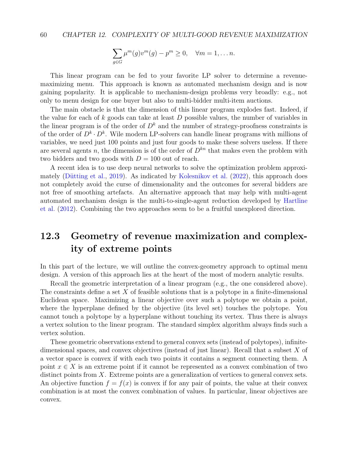$$
\sum_{g \in G} \mu^m(g) v^m(g) - p^m \ge 0, \quad \forall m = 1, \dots n.
$$

This linear program can be fed to your favorite LP solver to determine a revenuemaximizing menu. This approach is known as automated mechanism design and is now gaining popularity. It is applicable to mechanism-design problems very broadly: e.g., not only to menu design for one buyer but also to multi-bidder multi-item auctions.

The main obstacle is that the dimension of this linear program explodes fast. Indeed, if the value for each of  $k$  goods can take at least  $D$  possible values, the number of variables in the linear program is of the order of  $D<sup>k</sup>$  and the number of strategy-proofness constraints is of the order of  $D^k \cdot D^k$ . Wile modern LP-solvers can handle linear programs with millions of variables, we need just 100 points and just four goods to make these solvers useless. If there are several agents n, the dimension is of the order of  $D^{kn}$  that makes even the problem with two bidders and two goods with  $D = 100$  out of reach.

A recent idea is to use deep neural networks to solve the optimization problem approxi-mately (Dütting et al., [2019\)](#page-103-1). As indicated by [Kolesnikov et al.](#page-103-2)  $(2022)$ , this approach does not completely avoid the curse of dimensionality and the outcomes for several bidders are not free of smoothing artefacts. An alternative approach that may help with multi-agent automated mechanism design is the multi-to-single-agent reduction developed by [Hartline](#page-103-3) [et al.](#page-103-3) [\(2012\)](#page-103-3). Combining the two approaches seem to be a fruitful unexplored direction.

## 12.3 Geometry of revenue maximization and complexity of extreme points

In this part of the lecture, we will outline the convex-geometry approach to optimal menu design. A version of this approach lies at the heart of the most of modern analytic results.

Recall the geometric interpretation of a linear program (e.g., the one considered above). The constraints define a set  $X$  of feasible solutions that is a polytope in a finite-dimensional Euclidean space. Maximizing a linear objective over such a polytope we obtain a point, where the hyperplane defined by the objective (its level set) touches the polytope. You cannot touch a polytope by a hyperplane without touching its vertex. Thus there is always a vertex solution to the linear program. The standard simplex algorithm always finds such a vertex solution.

These geometric observations extend to general convex sets (instead of polytopes), infinitedimensional spaces, and convex objectives (instead of just linear). Recall that a subset X of a vector space is convex if with each two points it contains a segment connecting them. A point  $x \in X$  is an extreme point if it cannot be represented as a convex combination of two distinct points from X. Extreme points are a generalization of vertices to general convex sets. An objective function  $f = f(x)$  is convex if for any pair of points, the value at their convex combination is at most the convex combination of values. In particular, linear objectives are convex.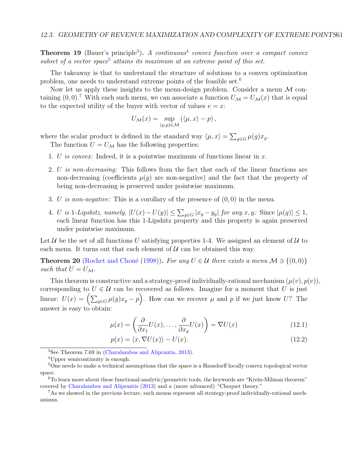**Theorem 19** (Bauer's principle<sup>[3](#page-60-0)</sup>). A continuous<sup>[4](#page-60-1)</sup> convex function over a compact convex subset of a vector space<sup>[5](#page-60-2)</sup> attains its maximum at an extreme point of this set.

The takeaway is that to understand the structure of solutions to a convex optimization problem, one needs to understand extreme points of the feasible set.[6](#page-60-3)

Now let us apply these insights to the menu-design problem. Consider a menu  $\mathcal M$  containing  $(0,0)$ .<sup>[7](#page-60-4)</sup> With each such menu, we can associate a function  $U_M = U_M(x)$  that is equal to the expected utility of the buyer with vector of values  $v = x$ :

$$
U_{\mathcal{M}}(x) = \sup_{(\mu,p)\in\mathcal{M}} \left( \langle \mu, x \rangle - p \right),
$$

where the scalar product is defined in the standard way  $\langle \mu, x \rangle = \sum_{g \in G} \mu(g) x_g$ .

The function  $U = U_{\mathcal{M}}$  has the following properties:

- 1. U is convex: Indeed, it is a pointwise maximum of functions linear in x.
- 2. U is non-decreasing: This follows from the fact that each of the linear functions are non-decreasing (coefficients  $\mu(q)$  are non-negative) and the fact that the property of being non-decreasing is preserved under pointwise maximum.
- 3. U is non-negative: This is a corollary of the presence of  $(0,0)$  in the menu.
- 4. U is 1-Lipshitz, namely,  $|U(x) U(y)| \le \sum_{g \in G} |x_g y_g|$  for any  $x, y$ : Since  $|\mu(g)| \le 1$ , each linear function has this 1-Lipshitz property and this property is again preserved under pointwise maximum.

Let  $U$  be the set of all functions U satisfying properties 1-4. We assigned an element of U to each menu. It turns out that each element of  $U$  can be obtained this way.

**Theorem 20** (Rochet and Choné [\(1998\)](#page-104-3)). For any  $U \in \mathcal{U}$  there exists a menu  $\mathcal{M} \ni \{(0,0)\}\$ such that  $U = U_{\mathcal{M}}$ .

This theorem is constructive and a strategy-proof individually-rational mechanism  $(\mu(v), p(v)),$ corresponding to  $U \in \mathcal{U}$  can be recovered as follows. Imagine for a moment that U is just linear:  $U(x) = \left(\sum_{g \in G} \mu(g)x_g - p\right)$ . How can we recover  $\mu$  and  $p$  if we just know U? The answer is easy to obtain:

$$
\mu(x) = \left(\frac{\partial}{\partial x_1} U(x), \dots, \frac{\partial}{\partial x_g} U(x)\right) = \nabla U(x) \tag{12.1}
$$

$$
p(x) = \langle x, \nabla U(x) \rangle - U(x). \tag{12.2}
$$

<span id="page-60-0"></span><sup>3</sup>See Theorem 7.69 in [\(Charalambos and Aliprantis,](#page-102-3) [2013\)](#page-102-3).

<span id="page-60-2"></span><span id="page-60-1"></span><sup>4</sup>Upper semicontinuity is enough.

<sup>&</sup>lt;sup>5</sup>One needs to make a technical assumptions that the space is a Hausdorff locally convex topological vector space.

<span id="page-60-3"></span><sup>6</sup>To learn more about these functional-analytic/geometric tools, the keywords are "Krein-Milman theorem" covered by [Charalambos and Aliprantis](#page-102-3) [\(2013\)](#page-102-3) and a (more advanced) "Choquet theory."

<span id="page-60-4"></span><sup>7</sup>As we showed in the previous lecture, such menus represent all strategy-proof individually-rational mechanisms.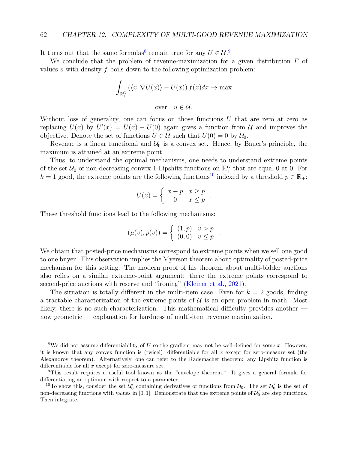It turns out that the same formulas<sup>[8](#page-61-0)</sup> remain true for any  $U \in \mathcal{U}$ <sup>[9](#page-61-1)</sup>.

We conclude that the problem of revenue-maximization for a given distribution  $F$  of values v with density f boils down to the following optimization problem:

$$
\int_{\mathbb{R}_+^G} (\langle x, \nabla U(x) \rangle - U(x)) f(x) dx \to \max
$$

over  $u \in \mathcal{U}$ .

Without loss of generality, one can focus on those functions  $U$  that are zero at zero as replacing  $U(x)$  by  $U'(x) = U(x) - U(0)$  again gives a function from U and improves the objective. Denote the set of functions  $U \in \mathcal{U}$  such that  $U(0) = 0$  by  $\mathcal{U}_0$ .

Revenue is a linear functional and  $\mathcal{U}_0$  is a convex set. Hence, by Bauer's principle, the maximum is attained at an extreme point.

Thus, to understand the optimal mechanisms, one needs to understand extreme points of the set  $\mathcal{U}_0$  of non-decreasing convex 1-Lipshitz functions on  $\mathbb{R}^G_+$  that are equal 0 at 0. For  $k = 1$  good, the extreme points are the following functions<sup>[10](#page-61-2)</sup> indexed by a threshold  $p \in \mathbb{R}_+$ :

$$
U(x) = \begin{cases} x - p & x \ge p \\ 0 & x \le p \end{cases}.
$$

These threshold functions lead to the following mechanisms:

$$
(\mu(v), p(v)) = \begin{cases} (1, p) & v > p \\ (0, 0) & v \le p \end{cases}.
$$

We obtain that posted-price mechanisms correspond to extreme points when we sell one good to one buyer. This observation implies the Myerson theorem about optimality of posted-price mechanism for this setting. The modern proof of his theorem about multi-bidder auctions also relies on a similar extreme-point argument: there the extreme points correspond to second-price auctions with reserve and "ironing" [\(Kleiner et al.,](#page-103-4) [2021\)](#page-103-4).

The situation is totally different in the multi-item case. Even for  $k = 2$  goods, finding a tractable characterization of the extreme points of  $U$  is an open problem in math. Most likely, there is no such characterization. This mathematical difficulty provides another now geometric — explanation for hardness of multi-item revenue maximization.

<span id="page-61-0"></span><sup>&</sup>lt;sup>8</sup>We did not assume differentiability of U so the gradient may not be well-defined for some x. However, it is known that any convex function is (twice!) differentiable for all  $x$  except for zero-measure set (the Alexandrov theorem). Alternatively, one can refer to the Rademacher theorem: any Lipshitz function is differentiable for all  $x$  except for zero-measure set.

<span id="page-61-1"></span><sup>9</sup>This result requires a useful tool known as the "envelope theorem." It gives a general formula for differentiating an optimum with respect to a parameter.

<span id="page-61-2"></span><sup>&</sup>lt;sup>10</sup>To show this, consider the set  $\mathcal{U}'_0$  containing derivatives of functions from  $\mathcal{U}_0$ . The set  $\mathcal{U}'_0$  is the set of non-decreasing functions with values in [0, 1]. Demonstrate that the extreme points of  $\mathcal{U}'_0$  are step functions. Then integrate.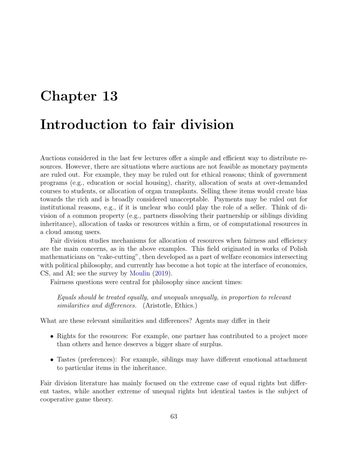# Chapter 13 Introduction to fair division

Auctions considered in the last few lectures offer a simple and efficient way to distribute resources. However, there are situations where auctions are not feasible as monetary payments are ruled out. For example, they may be ruled out for ethical reasons; think of government programs (e.g., education or social housing), charity, allocation of seats at over-demanded courses to students, or allocation of organ transplants. Selling these items would create bias towards the rich and is broadly considered unacceptable. Payments may be ruled out for institutional reasons, e.g., if it is unclear who could play the role of a seller. Think of division of a common property (e.g., partners dissolving their partnership or siblings dividing inheritance), allocation of tasks or resources within a firm, or of computational resources in a cloud among users.

Fair division studies mechanisms for allocation of resources when fairness and efficiency are the main concerns, as in the above examples. This field originated in works of Polish mathematicians on "cake-cutting", then developed as a part of welfare economics intersecting with political philosophy, and currently has become a hot topic at the interface of economics, CS, and AI; see the survey by [Moulin](#page-104-4) [\(2019\)](#page-104-4).

Fairness questions were central for philosophy since ancient times:

Equals should be treated equally, and unequals unequally, in proportion to relevant similarities and differences. (Aristotle, Ethics.)

What are these relevant similarities and differences? Agents may differ in their

- Rights for the resources: For example, one partner has contributed to a project more than others and hence deserves a bigger share of surplus.
- Tastes (preferences): For example, siblings may have different emotional attachment to particular items in the inheritance.

Fair division literature has mainly focused on the extreme case of equal rights but different tastes, while another extreme of unequal rights but identical tastes is the subject of cooperative game theory.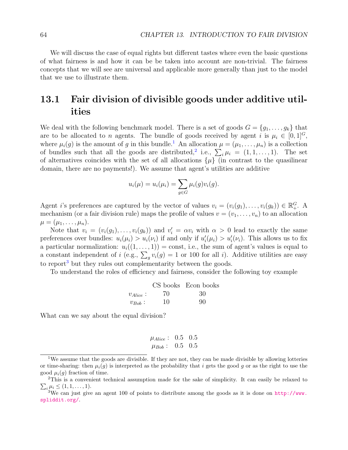We will discuss the case of equal rights but different tastes where even the basic questions of what fairness is and how it can be be taken into account are non-trivial. The fairness concepts that we will see are universal and applicable more generally than just to the model that we use to illustrate them.

# 13.1 Fair division of divisible goods under additive utilities

We deal with the following benchmark model. There is a set of goods  $G = \{g_1, \ldots, g_k\}$  that are to be allocated to n agents. The bundle of goods received by agent i is  $\mu_i \in [0,1]^G$ , where  $\mu_i(g)$  is the amount of g in this bundle.<sup>[1](#page-63-0)</sup> An allocation  $\mu = (\mu_1, \ldots, \mu_n)$  is a collection of bundles such that all the goods are distributed,<sup>[2](#page-63-1)</sup> i.e.,  $\sum_i \mu_i = (1, 1, ..., 1)$ . The set of alternatives coincides with the set of all allocations  $\{\mu\}$  (in contrast to the quasilinear domain, there are no payments!). We assume that agent's utilities are additive

$$
u_i(\mu) = u_i(\mu_i) = \sum_{g \in G} \mu_i(g)v_i(g).
$$

Agent *i*'s preferences are captured by the vector of values  $v_i = (v_i(g_1), \ldots, v_i(g_k)) \in \mathbb{R}^G_+$ . A mechanism (or a fair division rule) maps the profile of values  $v = (v_1, \ldots, v_n)$  to an allocation  $\mu = (\mu_1, \ldots, \mu_n).$ 

Note that  $v_i = (v_i(g_1), \ldots, v_i(g_k))$  and  $v'_i = \alpha v_i$  with  $\alpha > 0$  lead to exactly the same preferences over bundles:  $u_i(\mu_i) > u_i(\nu_i)$  if and only if  $u'_i(\mu_i) > u'_i(\nu_i)$ . This allows us to fix a particular normalization:  $u_i((1,\ldots,1)) = \text{const}$ , i.e., the sum of agent's values is equal to a constant independent of i (e.g.,  $\sum_{g} v_i(g) = 1$  or 100 for all i). Additive utilities are easy to report<sup>[3](#page-63-2)</sup> but they rules out complementarity between the goods.

To understand the roles of efficiency and fairness, consider the following toy example

|               |    | CS books Econ books |
|---------------|----|---------------------|
| $v_{Alice}$ : | 70 | 30                  |
| $v_{Bob}$ :   | 10 | 90                  |

What can we say about the equal division?

$$
\mu_{Alice}: 0.5 0.5 \mu_{Bob}: 0.5 0.5
$$

<span id="page-63-0"></span><sup>&</sup>lt;sup>1</sup>We assume that the goods are divisible. If they are not, they can be made divisible by allowing lotteries or time-sharing: then  $\mu_i(g)$  is interpreted as the probability that i gets the good g or as the right to use the good  $\mu_i(q)$  fraction of time.

<span id="page-63-1"></span><sup>&</sup>lt;sup>2</sup>This is a convenient technical assumption made for the sake of simplicity. It can easily be relaxed to  $\sum_i \mu_i \leq (1, 1, \ldots, 1).$ 

<span id="page-63-2"></span><sup>&</sup>lt;sup>3</sup>We can just give an agent 100 of points to distribute among the goods as it is done on  $http://www.$ [spliddit.org/](http://www.spliddit.org/).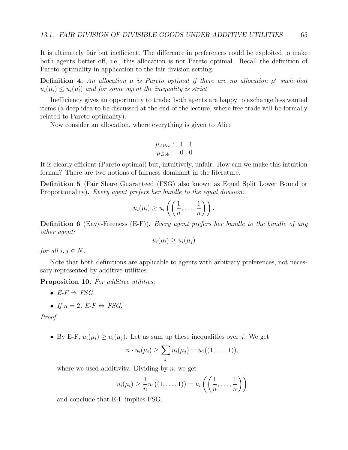It is ultimately fair but inefficient. The difference in preferences could be exploited to make both agents better off, i.e., this allocation is not Pareto optimal. Recall the definition of Pareto optimality in application to the fair division setting.

**Definition 4.** An allocation  $\mu$  is Pareto optimal if there are no allocation  $\mu'$  such that  $u_i(\mu_i) \leq u_i(\mu'_i)$  and for some agent the inequality is strict.

Inefficiency gives an opportunity to trade: both agents are happy to exchange less wanted items (a deep idea to be discussed at the end of the lecture, where free trade will be formally related to Pareto optimality).

Now consider an allocation, where everything is given to Alice

$$
\mu_{Alice}: 1 1
$$

$$
\mu_{Bob}: 0 0
$$

It is clearly efficient (Pareto optimal) but, intuitively, unfair. How can we make this intuition formal? There are two notions of fairness dominant in the literature.

Definition 5 (Fair Share Guaranteed (FSG) also known as Equal Split Lower Bound or Proportionality). Every agent prefers her bundle to the equal division:

$$
u_i(\mu_i) \geq u_i\left(\left(\frac{1}{n},\ldots,\frac{1}{n}\right)\right).
$$

**Definition 6** (Envy-Freeness  $(E-F)$ ). Every agent prefers her bundle to the bundle of any other agent:

$$
u_i(\mu_i) \ge u_i(\mu_j)
$$

for all  $i, j \in N$ .

Note that both definitions are applicable to agents with arbitrary preferences, not necessary represented by additive utilities.

Proposition 10. For additive utilities:

- $E-F \Rightarrow FSG.$
- If  $n = 2$ ,  $E$ - $F \Leftrightarrow FSG$ .

Proof.

• By E-F,  $u_i(\mu_i) \geq u_i(\mu_i)$ . Let us sum up these inequalities over j. We get

$$
n \cdot u_i(\mu_i) \geq \sum_j u_i(\mu_j) = u_1((1, \ldots, 1)),
$$

where we used additivity. Dividing by  $n$ , we get

$$
u_i(\mu_i) \geq \frac{1}{n}u_1((1,\ldots,1)) = u_i\left(\left(\frac{1}{n},\ldots,\frac{1}{n}\right)\right)
$$

and conclude that E-F implies FSG.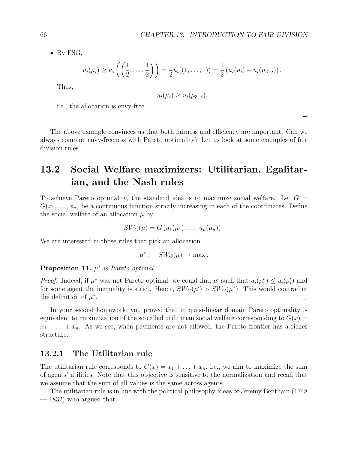• By FSG,

$$
u_i(\mu_i) \ge u_i\left(\left(\frac{1}{2},\ldots,\frac{1}{2}\right)\right) = \frac{1}{2}u_i((1,\ldots,1)) = \frac{1}{2}(u_i(\mu_i) + u_i(\mu_{3-i})).
$$

Thus,

$$
u_i(\mu_i) \ge u_i(\mu_{3-i}),
$$

i.e., the allocation is envy-free.

 $\Box$ 

The above example convinces us that both fairness and efficiency are important. Can we always combine envy-freeness with Pareto optimality? Let us look at some examples of fair division rules.

# 13.2 Social Welfare maximizers: Utilitarian, Egalitarian, and the Nash rules

To achieve Pareto optimality, the standard idea is to maximize social welfare. Let  $G =$  $G(x_1, \ldots, x_n)$  be a continuous function strictly increasing in each of the coordinates. Define the social welfare of an allocation  $\mu$  by

$$
SW_G(\mu) = G(u_1(\mu_1), \ldots, u_n(\mu_n)).
$$

We are interested in those rules that pick an allocation

$$
\mu^* : \quad SW_G(\mu) \to \max.
$$

<span id="page-65-0"></span>Proposition 11.  $\mu^*$  is Pareto optimal.

*Proof.* Indeed, if  $\mu^*$  was not Pareto optimal, we could find  $\mu'$  such that  $u_i(\mu_i^*) \leq u_i(\mu_i')$  and for some agent the inequality is strict. Hence,  $SW_G(\mu') > SW_G(\mu^*)$ . This would contradict the definition of  $\mu^*$ .  $\Box$ 

In your second homework, you proved that in quasi-linear domain Pareto optimality is equivalent to maximization of the so-called utilitarian social welfare corresponding to  $G(x)$  $x_1 + \ldots + x_n$ . As we see, when payments are not allowed, the Pareto frontier has a richer structure.

#### 13.2.1 The Utilitarian rule

The utilitarian rule corresponds to  $G(x) = x_1 + \ldots + x_n$ , i.e., we aim to maximize the sum of agents' utilities. Note that this objective is sensitive to the normalization and recall that we assume that the sum of all values is the same across agents.

The utilitarian rule is in line with the political philosophy ideas of Jeremy Bentham (1748 — 1832) who argued that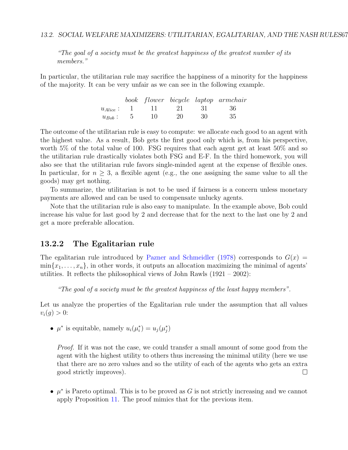#### 13.2. SOCIAL WELFARE MAXIMIZERS: UTILITARIAN, EGALITARIAN, AND THE NASH RULES67

"The goal of a society must be the greatest happiness of the greatest number of its members."

In particular, the utilitarian rule may sacrifice the happiness of a minority for the happiness of the majority. It can be very unfair as we can see in the following example.

|              |                     |    |      | book flower bicycle laptop armchair |
|--------------|---------------------|----|------|-------------------------------------|
|              | $u_{Alice}: 1 1 21$ |    | - 31 | - 36                                |
| $u_{Bob}: 5$ | 10                  | 20 | -30  | -35                                 |

The outcome of the utilitarian rule is easy to compute: we allocate each good to an agent with the highest value. As a result, Bob gets the first good only which is, from his perspective, worth 5% of the total value of 100. FSG requires that each agent get at least 50% and so the utilitarian rule drastically violates both FSG and E-F. In the third homework, you will also see that the utilitarian rule favors single-minded agent at the expense of flexible ones. In particular, for  $n \geq 3$ , a flexible agent (e.g., the one assigning the same value to all the goods) may get nothing.

To summarize, the utilitarian is not to be used if fairness is a concern unless monetary payments are allowed and can be used to compensate unlucky agents.

Note that the utilitarian rule is also easy to manipulate. In the example above, Bob could increase his value for last good by 2 and decrease that for the next to the last one by 2 and get a more preferable allocation.

#### 13.2.2 The Egalitarian rule

The egalitarian rule introduced by [Pazner and Schmeidler](#page-104-5) [\(1978\)](#page-104-5) corresponds to  $G(x)$  =  $\min\{x_1,\ldots,x_n\}$ , in other words, it outputs an allocation maximizing the minimal of agents' utilities. It reflects the philosophical views of John Rawls  $(1921 - 2002)$ :

"The goal of a society must be the greatest happiness of the least happy members".

Let us analyze the properties of the Egalitarian rule under the assumption that all values  $v_i(q) > 0$ :

•  $\mu^*$  is equitable, namely  $u_i(\mu_i^*) = u_j(\mu_j^*)$ 

Proof. If it was not the case, we could transfer a small amount of some good from the agent with the highest utility to others thus increasing the minimal utility (here we use that there are no zero values and so the utility of each of the agents who gets an extra good strictly improves).  $\Box$ 

•  $\mu^*$  is Pareto optimal. This is to be proved as G is not strictly increasing and we cannot apply Proposition [11.](#page-65-0) The proof mimics that for the previous item.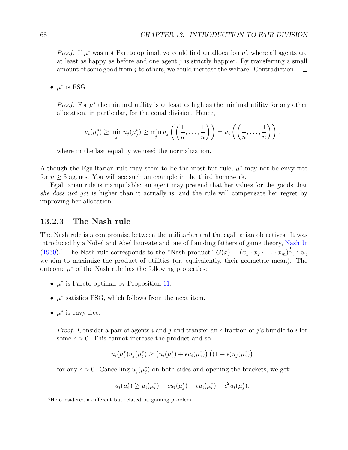$\Box$ 

*Proof.* If  $\mu^*$  was not Pareto optimal, we could find an allocation  $\mu'$ , where all agents are at least as happy as before and one agent  $j$  is strictly happier. By transferring a small amount of some good from j to others, we could increase the welfare. Contradiction.  $\Box$ 

•  $\mu^*$  is FSG

*Proof.* For  $\mu^*$  the minimal utility is at least as high as the minimal utility for any other allocation, in particular, for the equal division. Hence,

$$
u_i(\mu_i^*) \geq \min_j u_j(\mu_j^*) \geq \min_j u_j\left(\left(\frac{1}{n},\ldots,\frac{1}{n}\right)\right) = u_i\left(\left(\frac{1}{n},\ldots,\frac{1}{n}\right)\right),
$$

where in the last equality we used the normalization.

Although the Egalitarian rule may seem to be the most fair rule,  $\mu^*$  may not be envy-free for  $n \geq 3$  agents. You will see such an example in the third homework.

Egalitarian rule is manipulable: an agent may pretend that her values for the goods that she does not get is higher than it actually is, and the rule will compensate her regret by improving her allocation.

#### 13.2.3 The Nash rule

The Nash rule is a compromise between the utilitarian and the egalitarian objectives. It was introduced by a Nobel and Abel laureate and one of founding fathers of game theory, [Nash Jr](#page-104-6) [\(1950\)](#page-104-6).<sup>[4](#page-67-0)</sup> The Nash rule corresponds to the "Nash product"  $G(x) = (x_1 \cdot x_2 \cdot \ldots \cdot x_m)^{\frac{1}{n}}$ , i.e., we aim to maximize the product of utilities (or, equivalently, their geometric mean). The outcome  $\mu^*$  of the Nash rule has the following properties:

- $\mu^*$  is Pareto optimal by Proposition [11.](#page-65-0)
- $\mu^*$  satisfies FSG, which follows from the next item.
- $\mu^*$  is envy-free.

*Proof.* Consider a pair of agents i and j and transfer an  $\epsilon$ -fraction of j's bundle to i for some  $\epsilon > 0$ . This cannot increase the product and so

$$
u_i(\mu_i^*) u_j(\mu_j^*) \ge \left(u_i(\mu_i^*) + \epsilon u_i(\mu_j^*)\right) \left((1 - \epsilon) u_j(\mu_j^*)\right)
$$

for any  $\epsilon > 0$ . Cancelling  $u_j(\mu_j^*)$  on both sides and opening the brackets, we get:

$$
u_i(\mu_i^*) \ge u_i(\mu_i^*) + \epsilon u_i(\mu_j^*) - \epsilon u_i(\mu_i^*) - \epsilon^2 u_i(\mu_j^*).
$$

<span id="page-67-0"></span><sup>4</sup>He considered a different but related bargaining problem.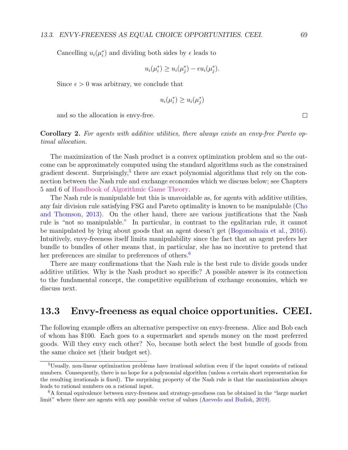Cancelling  $u_i(\mu_i^*)$  and dividing both sides by  $\epsilon$  leads to

$$
u_i(\mu_i^*) \ge u_i(\mu_j^*) - \epsilon u_i(\mu_j^*).
$$

Since  $\epsilon > 0$  was arbitrary, we conclude that

$$
u_i(\mu_i^*) \ge u_i(\mu_j^*)
$$

and so the allocation is envy-free.

Corollary 2. For agents with additive utilities, there always exists an envy-free Pareto optimal allocation.

The maximization of the Nash product is a convex optimization problem and so the outcome can be approximately computed using the standard algorithms such as the constrained gradient descent. Surprisingly,<sup>[5](#page-68-0)</sup> there are exact polynomial algorithms that rely on the connection between the Nash rule and exchange economies which we discuss below; see Chapters 5 and 6 of [Handbook of Algorithmic Game Theory.](https://www.cs.cmu.edu/~sandholm/cs15-892F13/algorithmic-game-theory.pdf)

The Nash rule is manipulable but this is unavoidable as, for agents with additive utilities, any fair division rule satisfying FSG and Pareto optimality is known to be manipulable [\(Cho](#page-102-4) [and Thomson,](#page-102-4) [2013\)](#page-102-4). On the other hand, there are various justifications that the Nash rule is "not so manipulable." In particular, in contrast to the egalitarian rule, it cannot be manipulated by lying about goods that an agent doesn't get [\(Bogomolnaia et al.,](#page-102-5) [2016\)](#page-102-5). Intuitively, envy-freeness itself limits manipulability since the fact that an agent prefers her bundle to bundles of other means that, in particular, she has no incentive to pretend that her preferences are similar to preferences of others.<sup>[6](#page-68-1)</sup>

There are many confirmations that the Nash rule is the best rule to divide goods under additive utilities. Why is the Nash product so specific? A possible answer is its connection to the fundamental concept, the competitive equilibrium of exchange economies, which we discuss next.

#### 13.3 Envy-freeness as equal choice opportunities. CEEI.

The following example offers an alternative perspective on envy-freeness. Alice and Bob each of whom has \$100. Each goes to a supermarket and spends money on the most preferred goods. Will they envy each other? No, because both select the best bundle of goods from the same choice set (their budget set).

 $\Box$ 

<span id="page-68-0"></span><sup>5</sup>Usually, non-linear optimization problems have irrational solution even if the input consists of rational numbers. Consequently, there is no hope for a polynomial algorithm (unless a certain short representation for the resulting irrationals is fixed). The surprising property of the Nash rule is that the maximization always leads to rational numbers on a rational input.

<span id="page-68-1"></span><sup>6</sup>A formal equivalence between envy-freeness and strategy-proofness can be obtained in the "large market limit" where there are agents with any possible vector of values [\(Azevedo and Budish,](#page-101-2) [2019\)](#page-101-2).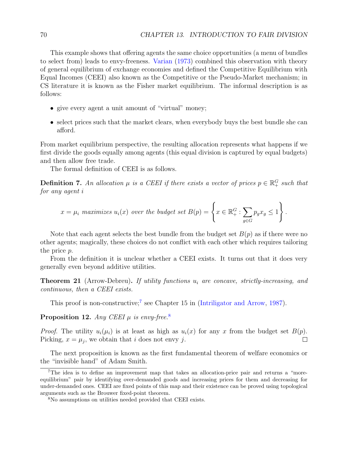This example shows that offering agents the same choice opportunities (a menu of bundles to select from) leads to envy-freeness. [Varian](#page-105-0) [\(1973\)](#page-105-0) combined this observation with theory of general equilibrium of exchange economies and defined the Competitive Equilibrium with Equal Incomes (CEEI) also known as the Competitive or the Pseudo-Market mechanism; in CS literature it is known as the Fisher market equilibrium. The informal description is as follows:

- give every agent a unit amount of "virtual" money;
- select prices such that the market clears, when everybody buys the best bundle she can afford.

From market equilibrium perspective, the resulting allocation represents what happens if we first divide the goods equally among agents (this equal division is captured by equal budgets) and then allow free trade.

The formal definition of CEEI is as follows.

**Definition 7.** An allocation  $\mu$  is a CEEI if there exists a vector of prices  $p \in \mathbb{R}_+^G$  such that for any agent i

$$
x = \mu_i \text{ maximizes } u_i(x) \text{ over the budget set } B(p) = \left\{ x \in \mathbb{R}_+^G : \sum_{g \in G} p_g x_g \le 1 \right\}.
$$

Note that each agent selects the best bundle from the budget set  $B(p)$  as if there were no other agents; magically, these choices do not conflict with each other which requires tailoring the price p.

From the definition it is unclear whether a CEEI exists. It turns out that it does very generally even beyond additive utilities.

**Theorem 21** (Arrow-Debreu). If utility functions  $u_i$  are concave, strictly-increasing, and continuous, then a CEEI exists.

This proof is non-constructive;<sup>[7](#page-69-0)</sup> see Chapter 15 in [\(Intriligator and Arrow,](#page-103-5) [1987\)](#page-103-5).

Proposition 12. Any CEEI  $\mu$  is envy-free.<sup>[8](#page-69-1)</sup>

*Proof.* The utility  $u_i(\mu_i)$  is at least as high as  $u_i(x)$  for any x from the budget set  $B(p)$ . Picking,  $x = \mu_j$ , we obtain that i does not envy j. П

The next proposition is known as the first fundamental theorem of welfare economics or the "invisible hand" of Adam Smith.

<span id="page-69-0"></span><sup>&</sup>lt;sup>7</sup>The idea is to define an improvement map that takes an allocation-price pair and returns a "moreequilibrium" pair by identifying over-demanded goods and increasing prices for them and decreasing for under-demanded ones. CEEI are fixed points of this map and their existence can be proved using topological arguments such as the Brouwer fixed-point theorem.

<span id="page-69-1"></span><sup>8</sup>No assumptions on utilities needed provided that CEEI exists.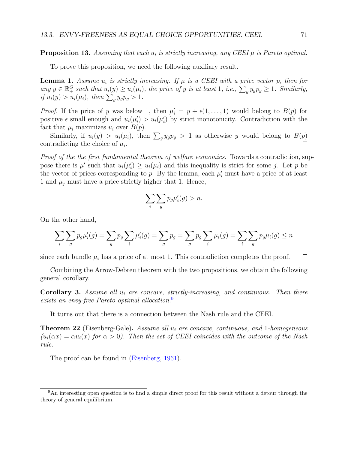#### **Proposition 13.** Assuming that each  $u_i$  is strictly increasing, any CEEI  $\mu$  is Pareto optimal.

To prove this proposition, we need the following auxiliary result.

**Lemma 1.** Assume  $u_i$  is strictly increasing. If  $\mu$  is a CEEI with a price vector p, then for any  $y \in \mathbb{R}_+^G$  such that  $u_i(y) \ge u_i(\mu_i)$ , the price of y is at least 1, i.e.,  $\sum_g y_g p_g \ge 1$ . Similarly, if  $u_i(y) > u_i(\mu_i)$ , then  $\sum_g y_g p_g > 1$ .

*Proof.* If the price of y was below 1, then  $\mu'_i = y + \epsilon(1, \ldots, 1)$  would belong to  $B(p)$  for positive  $\epsilon$  small enough and  $u_i(\mu'_i) > u_i(\mu'_i)$  by strict monotonicity. Contradiction with the fact that  $\mu_i$  maximizes  $u_i$  over  $B(p)$ .

Similarly, if  $u_i(y) > u_i(\mu_i)$ , then  $\sum_g y_g p_g > 1$  as otherwise y would belong to  $B(p)$ contradicting the choice of  $\mu_i$ .  $\Box$ 

Proof of the the first fundamental theorem of welfare economics. Towards a contradiction, suppose there is  $\mu'$  such that  $u_i(\mu'_i) \geq u_i(\mu_i)$  and this inequality is strict for some j. Let p be the vector of prices corresponding to p. By the lemma, each  $\mu'_i$  must have a price of at least 1 and  $\mu_j$  must have a price strictly higher that 1. Hence,

$$
\sum_{i}\sum_{g}p_g\mu_i'(g) > n.
$$

On the other hand,

$$
\sum_{i} \sum_{g} p_g \mu'_i(g) = \sum_{g} p_g \sum_{i} \mu'_i(g) = \sum_{g} p_g = \sum_{g} p_g \sum_{i} \mu_i(g) = \sum_{i} \sum_{g} p_g \mu_i(g) \le n
$$

since each bundle  $\mu_i$  has a price of at most 1. This contradiction completes the proof.  $\Box$ 

Combining the Arrow-Debreu theorem with the two propositions, we obtain the following general corollary.

**Corollary 3.** Assume all  $u_i$  are concave, strictly-increasing, and continuous. Then there exists an envy-free Pareto optimal allocation.<sup>[9](#page-70-0)</sup>

It turns out that there is a connection between the Nash rule and the CEEI.

**Theorem 22** (Eisenberg-Gale). Assume all  $u_i$  are concave, continuous, and 1-homogeneous  $(u_i(\alpha x) = \alpha u_i(x)$  for  $\alpha > 0$ ). Then the set of CEEI coincides with the outcome of the Nash rule.

The proof can be found in [\(Eisenberg,](#page-103-6) [1961\)](#page-103-6).

<span id="page-70-0"></span><sup>9</sup>An interesting open question is to find a simple direct proof for this result without a detour through the theory of general equilibrium.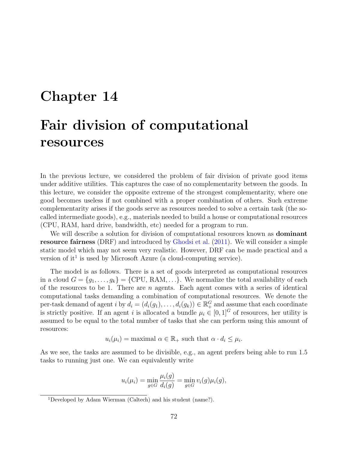# Chapter 14 Fair division of computational resources

In the previous lecture, we considered the problem of fair division of private good items under additive utilities. This captures the case of no complementarity between the goods. In this lecture, we consider the opposite extreme of the strongest complementarity, where one good becomes useless if not combined with a proper combination of others. Such extreme complementarity arises if the goods serve as resources needed to solve a certain task (the socalled intermediate goods), e.g., materials needed to build a house or computational resources (CPU, RAM, hard drive, bandwidth, etc) needed for a program to run.

We will describe a solution for division of computational resources known as dominant resource fairness (DRF) and introduced by [Ghodsi et al.](#page-103-7) [\(2011\)](#page-103-7). We will consider a simple static model which may not seem very realistic. However, DRF can be made practical and a version of it<sup>[1](#page-71-0)</sup> is used by Microsoft Azure (a cloud-computing service).

The model is as follows. There is a set of goods interpreted as computational resources in a cloud  $G = \{g_1, \ldots, g_k\} = \{\text{CPU}, \text{RAM}, \ldots\}.$  We normalize the total availability of each of the resources to be 1. There are  $n$  agents. Each agent comes with a series of identical computational tasks demanding a combination of computational resources. We denote the per-task demand of agent i by  $d_i = (d_i(g_1), \ldots, d_i(g_k)) \in \mathbb{R}^G_+$  and assume that each coordinate is strictly positive. If an agent i is allocated a bundle  $\mu_i \in [0, 1]^G$  of resources, her utility is assumed to be equal to the total number of tasks that she can perform using this amount of resources:

$$
u_i(\mu_i) = \text{maximal } \alpha \in \mathbb{R}_+ \text{ such that } \alpha \cdot d_i \leq \mu_i.
$$

As we see, the tasks are assumed to be divisible, e.g., an agent prefers being able to run 1.5 tasks to running just one. We can equivalently write

$$
u_i(\mu_i) = \min_{g \in G} \frac{\mu_i(g)}{d_i(g)} = \min_{g \in G} v_i(g)\mu_i(g),
$$

<span id="page-71-0"></span><sup>1</sup>Developed by Adam Wierman (Caltech) and his student (name?).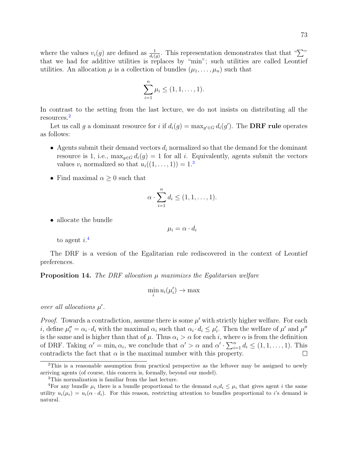where the values  $v_i(g)$  are defined as  $\frac{1}{d_i(g)}$ . This representation demonstrates that that " $\sum$ " that we had for additive utilities is replaces by "min"; such utilities are called Leontief utilities. An allocation  $\mu$  is a collection of bundles  $(\mu_1, \ldots, \mu_n)$  such that

$$
\sum_{i=1}^{n} \mu_i \le (1, 1, \dots, 1).
$$

In contrast to the setting from the last lecture, we do not insists on distributing all the resources.[2](#page-72-0)

Let us call g a dominant resource for i if  $d_i(g) = \max_{g' \in G} d_i(g')$ . The **DRF rule** operates as follows:

- Agents submit their demand vectors  $d_i$  normalized so that the demand for the dominant resource is 1, i.e.,  $\max_{q \in G} d_i(q) = 1$  for all i. Equivalently, agents submit the vectors values  $v_i$  normalized so that  $u_i((1,\ldots,1))=1$ .<sup>[3](#page-72-1)</sup>
- Find maximal  $\alpha \geq 0$  such that

$$
\alpha \cdot \sum_{i=1}^n d_i \le (1, 1, \dots, 1).
$$

• allocate the bundle

$$
\mu_i = \alpha \cdot d_i
$$

to agent  $i^{.4}$  $i^{.4}$  $i^{.4}$ 

The DRF is a version of the Egalitarian rule rediscovered in the context of Leontief preferences.

**Proposition 14.** The DRF allocation  $\mu$  maximizes the Egalitarian welfare

$$
\min_i u_i(\mu'_i) \to \max
$$

over all allocations  $\mu'$ .

*Proof.* Towards a contradiction, assume there is some  $\mu'$  with strictly higher welfare. For each *i*, define  $\mu''_i = \alpha_i \cdot d_i$  with the maximal  $\alpha_i$  such that  $\alpha_i \cdot d_i \leq \mu'_i$ . Then the welfare of  $\mu'$  and  $\mu''$ is the same and is higher than that of  $\mu$ . Thus  $\alpha_i > \alpha$  for each i, where  $\alpha$  is from the definition of DRF. Taking  $\alpha' = \min_i \alpha_i$ , we conclude that  $\alpha' > \alpha$  and  $\alpha' \cdot \sum_{i=1}^n d_i \leq (1, 1, \ldots, 1)$ . This contradicts the fact that  $\alpha$  is the maximal number with this property. □

<span id="page-72-0"></span><sup>&</sup>lt;sup>2</sup>This is a reasonable assumption from practical perspective as the leftover may be assigned to newly arriving agents (of course, this concern is, formally, beyond our model).

<span id="page-72-2"></span><span id="page-72-1"></span><sup>3</sup>This normalization is familiar from the last lecture.

<sup>&</sup>lt;sup>4</sup>For any bundle  $\mu_i$  there is a bundle proportional to the demand  $\alpha_i d_i \leq \mu_i$  that gives agent i the same utility  $u_i(\mu_i) = u_i(\alpha \cdot d_i)$ . For this reason, restricting attention to bundles proportional to i's demand is natural.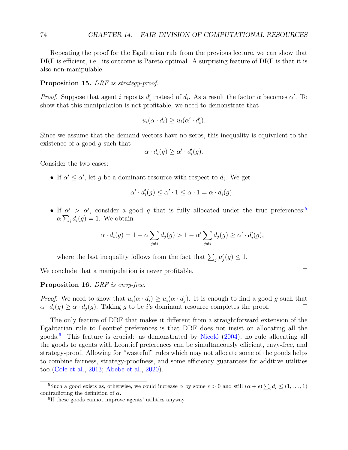<span id="page-73-2"></span>Repeating the proof for the Egalitarian rule from the previous lecture, we can show that DRF is efficient, i.e., its outcome is Pareto optimal. A surprising feature of DRF is that it is also non-manipulable.

#### Proposition 15. DRF is strategy-proof.

*Proof.* Suppose that agent i reports  $d'_i$  instead of  $d_i$ . As a result the factor  $\alpha$  becomes  $\alpha'$ . To show that this manipulation is not profitable, we need to demonstrate that

$$
u_i(\alpha \cdot d_i) \ge u_i(\alpha' \cdot d'_i).
$$

Since we assume that the demand vectors have no zeros, this inequality is equivalent to the existence of a good g such that

$$
\alpha \cdot d_i(g) \geq \alpha' \cdot d'_i(g).
$$

Consider the two cases:

• If  $\alpha' \leq \alpha'$ , let g be a dominant resource with respect to  $d_i$ . We get

$$
\alpha' \cdot d'_i(g) \le \alpha' \cdot 1 \le \alpha \cdot 1 = \alpha \cdot d_i(g).
$$

• If  $\alpha' > \alpha'$ , consider a good g that is fully allocated under the true preferences:<sup>[5](#page-73-0)</sup>  $\alpha \sum_i d_i(g) = 1$ . We obtain

$$
\alpha \cdot d_i(g) = 1 - \alpha \sum_{j \neq i} d_j(g) > 1 - \alpha' \sum_{j \neq i} d_j(g) \geq \alpha' \cdot d'_i(g),
$$

where the last inequality follows from the fact that  $\sum_j \mu'_j(g) \leq 1$ .

We conclude that a manipulation is never profitable.

### Proposition 16. DRF is envy-free.

*Proof.* We need to show that  $u_i(\alpha \cdot d_i) \geq u_i(\alpha \cdot d_i)$ . It is enough to find a good g such that  $\alpha \cdot d_i(g) \geq \alpha \cdot d_j(g)$ . Taking g to be i's dominant resource completes the proof.  $\Box$ 

The only feature of DRF that makes it different from a straightforward extension of the Egalitarian rule to Leontief preferences is that DRF does not insist on allocating all the goods.<sup>[6](#page-73-1)</sup> This feature is crucial: as demonstrated by Nicoló  $(2004)$ , no rule allocating all the goods to agents with Leontief preferences can be simultaneously efficient, envy-free, and strategy-proof. Allowing for "wasteful" rules which may not allocate some of the goods helps to combine fairness, strategy-proofness, and some efficiency guarantees for additive utilities too [\(Cole et al.,](#page-102-0) [2013;](#page-102-0) [Abebe et al.,](#page-101-0) [2020\)](#page-101-0).

$$
\Box
$$

<span id="page-73-0"></span><sup>&</sup>lt;sup>5</sup>Such a good exists as, otherwise, we could increase  $\alpha$  by some  $\epsilon > 0$  and still  $(\alpha + \epsilon) \sum_i d_i \leq (1, \ldots, 1)$ contradicting the definition of  $\alpha$ .

<span id="page-73-1"></span><sup>6</sup> If these goods cannot improve agents' utilities anyway.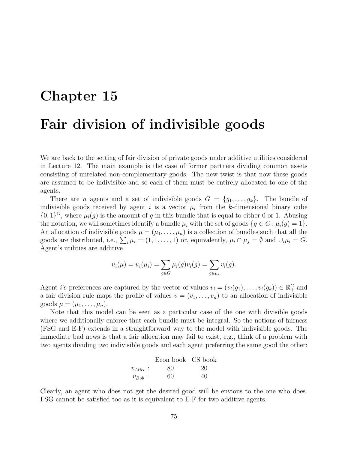# Chapter 15 Fair division of indivisible goods

We are back to the setting of fair division of private goods under additive utilities considered in Lecture 12. The main example is the case of former partners dividing common assets consisting of unrelated non-complementary goods. The new twist is that now these goods are assumed to be indivisible and so each of them must be entirely allocated to one of the agents.

There are *n* agents and a set of indivisible goods  $G = \{g_1, \ldots, g_k\}$ . The bundle of indivisible goods received by agent i is a vector  $\mu_i$  from the k-dimensional binary cube  $\{0,1\}$ <sup>G</sup>, where  $\mu_i(g)$  is the amount of g in this bundle that is equal to either 0 or 1. Abusing the notation, we will sometimes identify a bundle  $\mu_i$  with the set of goods  $\{g \in G : \mu_i(g) = 1\}.$ An allocation of indivisible goods  $\mu = (\mu_1, \dots, \mu_n)$  is a collection of bundles such that all the goods are distributed, i.e.,  $\sum_i \mu_i = (1, 1, \ldots, 1)$  or, equivalently,  $\mu_i \cap \mu_j = \emptyset$  and  $\cup_i \mu_i = G$ . Agent's utilities are additive

$$
u_i(\mu) = u_i(\mu_i) = \sum_{g \in G} \mu_i(g)v_i(g) = \sum_{g \in \mu_i} v_i(g).
$$

Agent *i*'s preferences are captured by the vector of values  $v_i = (v_i(g_1), \ldots, v_i(g_k)) \in \mathbb{R}^G_+$  and a fair division rule maps the profile of values  $v = (v_1, \ldots, v_n)$  to an allocation of indivisible goods  $\mu = (\mu_1, \ldots, \mu_n).$ 

Note that this model can be seen as a particular case of the one with divisible goods where we additionally enforce that each bundle must be integral. So the notions of fairness (FSG and E-F) extends in a straightforward way to the model with indivisible goods. The immediate bad news is that a fair allocation may fail to exist, e.g., think of a problem with two agents dividing two indivisible goods and each agent preferring the same good the other:

|               | Econ book CS book |    |
|---------------|-------------------|----|
| $v_{Alice}$ : | 80                | 20 |
| $v_{Bob}$ :   | 60                | 40 |

Clearly, an agent who does not get the desired good will be envious to the one who does. FSG cannot be satisfied too as it is equivalent to E-F for two additive agents.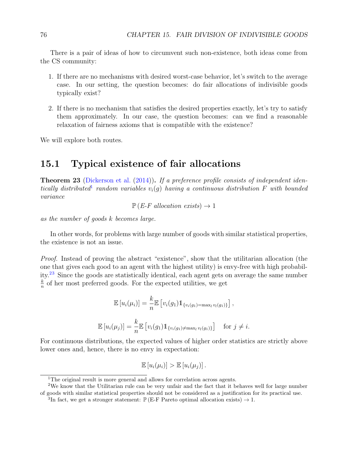<span id="page-75-3"></span>There is a pair of ideas of how to circumvent such non-existence, both ideas come from the CS community:

- 1. If there are no mechanisms with desired worst-case behavior, let's switch to the average case. In our setting, the question becomes: do fair allocations of indivisible goods typically exist?
- 2. If there is no mechanism that satisfies the desired properties exactly, let's try to satisfy them approximately. In our case, the question becomes: can we find a reasonable relaxation of fairness axioms that is compatible with the existence?

We will explore both routes.

## 15.1 Typical existence of fair allocations

Theorem 23 [\(Dickerson et al.](#page-102-1) [\(2014\)](#page-102-1)). If a preference profile consists of independent iden-tically distributed<sup>[1](#page-75-0)</sup> random variables  $v_i(g)$  having a continuous distribution F with bounded variance

 $\mathbb{P}(E\text{-}F \text{ allocation exists}) \rightarrow 1$ 

as the number of goods k becomes large.

In other words, for problems with large number of goods with similar statistical properties, the existence is not an issue.

Proof. Instead of proving the abstract "existence", show that the utilitarian allocation (the one that gives each good to an agent with the highest utility) is envy-free with high probability.[2](#page-75-1)[3](#page-75-2) Since the goods are statistically identical, each agent gets on average the same number k  $\frac{k}{n}$  of her most preferred goods. For the expected utilities, we get

$$
\mathbb{E}\left[u_i(\mu_i)\right] = \frac{k}{n} \mathbb{E}\left[v_i(g_1)\mathbb{1}_{\{v_i(g_1) = \max_l v_l(g_1)\}}\right],
$$
  

$$
\mathbb{E}\left[u_i(\mu_j)\right] = \frac{k}{n} \mathbb{E}\left[v_i(g_1)\mathbb{1}_{\{v_i(g_1) \neq \max_l v_l(g_1)\}}\right] \text{ for } j \neq i.
$$

For continuous distributions, the expected values of higher order statistics are strictly above lower ones and, hence, there is no envy in expectation:

$$
\mathbb{E}[u_i(\mu_i)] > \mathbb{E}[u_i(\mu_j)].
$$

<span id="page-75-1"></span><span id="page-75-0"></span><sup>&</sup>lt;sup>1</sup>The original result is more general and allows for correlation across agents.

<sup>2</sup>We know that the Utilitarian rule can be very unfair and the fact that it behaves well for large number of goods with similar statistical properties should not be considered as a justification for its practical use.

<span id="page-75-2"></span><sup>&</sup>lt;sup>3</sup>In fact, we get a stronger statement:  $\mathbb{P}(\text{E-F}$  Pareto optimal allocation exists)  $\rightarrow 1$ .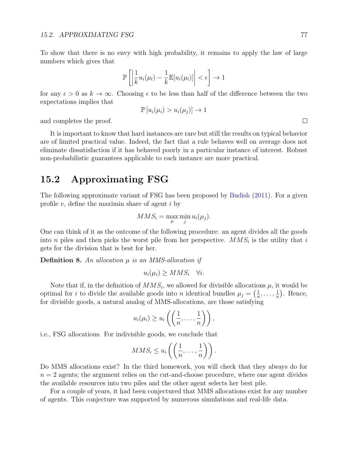<span id="page-76-0"></span>To show that there is no envy with high probability, it remains to apply the law of large numbers which gives that

$$
\mathbb{P}\left[\left|\frac{1}{k}u_i(\mu_l)-\frac{1}{k}\mathbb{E}[u_i(\mu_l)]\right|<\epsilon\right]\to 1
$$

for any  $\epsilon > 0$  as  $k \to \infty$ . Choosing  $\epsilon$  to be less than half of the difference between the two expectations implies that

$$
\mathbb{P}\left[u_i(\mu_i) > u_i(\mu_j)\right] \to 1
$$

and completes the proof.

It is important to know that hard instances are rare but still the results on typical behavior are of limited practical value. Indeed, the fact that a rule behaves well on average does not eliminate dissatisfaction if it has behaved poorly in a particular instance of interest. Robust non-probabilistic guarantees applicable to each instance are more practical.

### 15.2 Approximating FSG

The following approximate variant of FSG has been proposed by [Budish](#page-102-2) [\(2011\)](#page-102-2). For a given profile v, define the maximin share of agent  $i$  by

$$
MMS_i = \max_{\mu} \min_{j} u_i(\mu_j).
$$

One can think of it as the outcome of the following procedure: an agent divides all the goods into *n* piles and then picks the worst pile from her perspective.  $MMS_i$  is the utility that *i* gets for the division that is best for her.

**Definition 8.** An allocation  $\mu$  is an MMS-allocation if

$$
u_i(\mu_i) \ge MMS_i \quad \forall i.
$$

Note that if, in the definition of  $MMS_i$ , we allowed for divisible allocations  $\mu$ , it would be optimal for i to divide the available goods into n identical bundles  $\mu_j = \left(\frac{1}{n}\right)^{j}$  $\frac{1}{n}, \ldots, \frac{1}{n}$  $\frac{1}{n}$ . Hence, for divisible goods, a natural analog of MMS-allocations, are those satisfying

$$
u_i(\mu_i) \geq u_i\left(\left(\frac{1}{n},\ldots,\frac{1}{n}\right)\right),\,
$$

i.e., FSG allocations. For indivisible goods, we conclude that

$$
MMS_i \leq u_i\left(\left(\frac{1}{n},\ldots,\frac{1}{n}\right)\right).
$$

Do MMS allocations exist? In the third homework, you will check that they always do for  $n = 2$  agents; the argument relies on the cut-and-choose procedure, where one agent divides the available resources into two piles and the other agent selects her best pile.

For a couple of years, it had been conjectured that MMS allocations exist for any number of agents. This conjecture was supported by numerous simulations and real-life data.

 $\Box$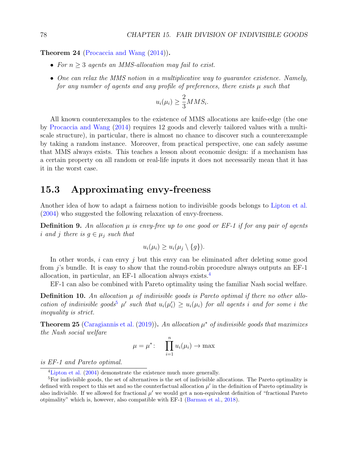.

<span id="page-77-3"></span>Theorem 24 [\(Procaccia and Wang](#page-104-1)  $(2014)$ ).

- For  $n > 3$  agents an MMS-allocation may fail to exist.
- One can relax the MMS notion in a multiplicative way to quarantee existence. Namely, for any number of agents and any profile of preferences, there exists  $\mu$  such that

$$
u_i(\mu_i) \ge \frac{2}{3} M M S_i
$$

All known counterexamples to the existence of MMS allocations are knife-edge (the one by [Procaccia and Wang](#page-104-1) [\(2014\)](#page-104-1) requires 12 goods and cleverly tailored values with a multiscale structure), in particular, there is almost no chance to discover such a counterexample by taking a random instance. Moreover, from practical perspective, one can safely assume that MMS always exists. This teaches a lesson about economic design: if a mechanism has a certain property on all random or real-life inputs it does not necessarily mean that it has it in the worst case.

### 15.3 Approximating envy-freeness

Another idea of how to adapt a fairness notion to indivisible goods belongs to [Lipton et al.](#page-104-2) [\(2004\)](#page-104-2) who suggested the following relaxation of envy-freeness.

**Definition 9.** An allocation  $\mu$  is envy-free up to one good or EF-1 if for any pair of agents i and j there is  $g \in \mu_i$  such that

$$
u_i(\mu_i) \geq u_i(\mu_j \setminus \{g\}).
$$

In other words,  $i$  can envy  $j$  but this envy can be eliminated after deleting some good from j's bundle. It is easy to show that the round-robin procedure always outputs an EF-1 allocation, in particular, an EF-1 allocation always exists.[4](#page-77-0)

EF-1 can also be combined with Pareto optimality using the familiar Nash social welfare.

**Definition 10.** An allocation  $\mu$  of indivisible goods is Pareto optimal if there no other allo-cation of indivisible goods<sup>[5](#page-77-1)</sup>  $\mu'$  such that  $u_i(\mu'_i) \geq u_i(\mu_i)$  for all agents i and for some i the inequality is strict.

<span id="page-77-2"></span>**Theorem 25** [\(Caragiannis et al.](#page-102-3) [\(2019\)](#page-102-3)). An allocation  $\mu^*$  of indivisible goods that maximizes the Nash social welfare

$$
\mu = \mu^* \colon \prod_{i=1}^n u_i(\mu_i) \to \max
$$

is EF-1 and Pareto optimal.

<span id="page-77-1"></span><span id="page-77-0"></span><sup>&</sup>lt;sup>4</sup>[Lipton et al.](#page-104-2) [\(2004\)](#page-104-2) demonstrate the existence much more generally.

<sup>5</sup>For indivisible goods, the set of alternatives is the set of indivisible allocations. The Pareto optimality is defined with respect to this set and so the counterfactual allocation  $\mu'$  in the definition of Pareto optimality is also indivisible. If we allowed for fractional  $\mu'$  we would get a non-equivalent definition of "fractional Pareto" otpimality" which is, however, also compatible with EF-1 [\(Barman et al.,](#page-101-1) [2018\)](#page-101-1).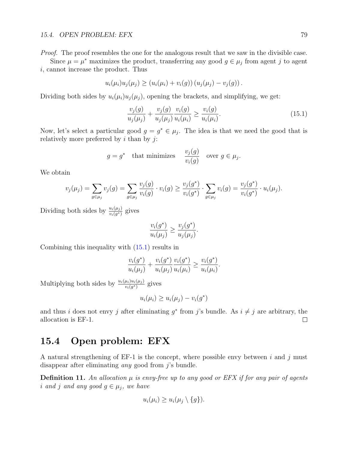#### 15.4. OPEN PROBLEM: EFX 79

Proof. The proof resembles the one for the analogous result that we saw in the divisible case.

Since  $\mu = \mu^*$  maximizes the product, transferring any good  $g \in \mu_j$  from agent j to agent i, cannot increase the product. Thus

$$
u_i(\mu_i)u_j(\mu_j) \ge (u_i(\mu_i) + v_i(g))(u_j(\mu_j) - v_j(g)).
$$

Dividing both sides by  $u_i(\mu_i)u_j(\mu_j)$ , opening the brackets, and simplifying, we get:

<span id="page-78-0"></span>
$$
\frac{v_j(g)}{u_j(\mu_j)} + \frac{v_j(g)}{u_j(\mu_j)} \frac{v_i(g)}{u_i(\mu_i)} \ge \frac{v_i(g)}{u_i(\mu_i)}.
$$
\n(15.1)

Now, let's select a particular good  $g = g^* \in \mu_j$ . The idea is that we need the good that is relatively more preferred by  $i$  than by  $j$ :

$$
g = g^*
$$
 that minimizes  $\frac{v_j(g)}{v_i(g)}$  over  $g \in \mu_j$ .

We obtain

$$
v_j(\mu_j) = \sum_{g \in \mu_j} v_j(g) = \sum_{g \in \mu_j} \frac{v_j(g)}{v_i(g)} \cdot v_i(g) \ge \frac{v_j(g^*)}{v_i(g^*)} \cdot \sum_{g \in \mu_j} v_i(g) = \frac{v_j(g^*)}{v_i(g^*)} \cdot u_i(\mu_j).
$$

Dividing both sides by  $\frac{u_i(\mu_j)}{v_i(g^*)}$  gives

$$
\frac{v_i(g^*)}{u_i(\mu_j)} \ge \frac{v_j(g^*)}{u_j(\mu_j)}.
$$

Combining this inequality with [\(15.1\)](#page-78-0) results in

$$
\frac{v_i(g^*)}{u_i(\mu_j)} + \frac{v_i(g^*)}{u_i(\mu_j)} \frac{v_i(g^*)}{u_i(\mu_i)} \ge \frac{v_i(g^*)}{u_i(\mu_i)}.
$$

Multiplying both sides by  $\frac{u_i(\mu_i)u_i(\mu_j)}{v_i(g^*)}$  gives

$$
u_i(\mu_i) \ge u_i(\mu_j) - v_i(g^*)
$$

and thus i does not envy j after eliminating  $g^*$  from j's bundle. As  $i \neq j$  are arbitrary, the allocation is EF-1.  $\Box$ 

### 15.4 Open problem: EFX

A natural strengthening of  $EF-1$  is the concept, where possible envy between i and j must disappear after eliminating *any* good from  $i$ 's bundle.

**Definition 11.** An allocation  $\mu$  is envy-free up to any good or EFX if for any pair of agents i and j and any good  $g \in \mu_j$ , we have

$$
u_i(\mu_i) \geq u_i(\mu_j \setminus \{g\}).
$$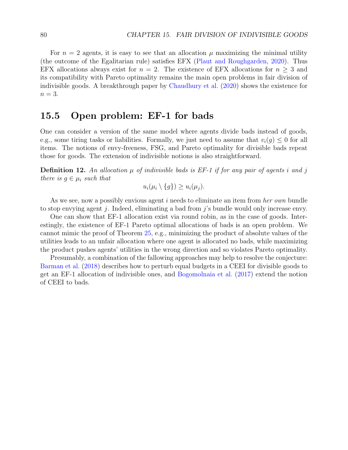<span id="page-79-0"></span>For  $n = 2$  agents, it is easy to see that an allocation  $\mu$  maximizing the minimal utility (the outcome of the Egalitarian rule) satisfies EFX [\(Plaut and Roughgarden,](#page-104-3) [2020\)](#page-104-3). Thus EFX allocations always exist for  $n = 2$ . The existence of EFX allocations for  $n \geq 3$  and its compatibility with Pareto optimality remains the main open problems in fair division of indivisible goods. A breakthrough paper by [Chaudhury et al.](#page-102-4) [\(2020\)](#page-102-4) shows the existence for  $n=3$ .

### 15.5 Open problem: EF-1 for bads

One can consider a version of the same model where agents divide bads instead of goods, e.g., some tiring tasks or liabilities. Formally, we just need to assume that  $v_i(g) \leq 0$  for all items. The notions of envy-freeness, FSG, and Pareto optimality for divisible bads repeat those for goods. The extension of indivisible notions is also straightforward.

**Definition 12.** An allocation  $\mu$  of indivisible bads is EF-1 if for any pair of agents i and j there is  $g \in \mu_i$  such that

 $u_i(\mu_i \setminus \{q\}) \geq u_i(\mu_i).$ 

As we see, now a possibly envious agent i needs to eliminate an item from her own bundle to stop envying agent j. Indeed, eliminating a bad from j's bundle would only increase envy.

One can show that EF-1 allocation exist via round robin, as in the case of goods. Interestingly, the existence of EF-1 Pareto optimal allocations of bads is an open problem. We cannot mimic the proof of Theorem [25,](#page-77-2) e.g., minimizing the product of absolute values of the utilities leads to an unfair allocation where one agent is allocated no bads, while maximizing the product pushes agents' utilities in the wrong direction and so violates Pareto optimality.

Presumably, a combination of the fallowing approaches may help to resolve the conjecture: [Barman et al.](#page-101-1) [\(2018\)](#page-101-1) describes how to perturb equal budgets in a CEEI for divisible goods to get an EF-1 allocation of indivisible ones, and [Bogomolnaia et al.](#page-102-5) [\(2017\)](#page-102-5) extend the notion of CEEI to bads.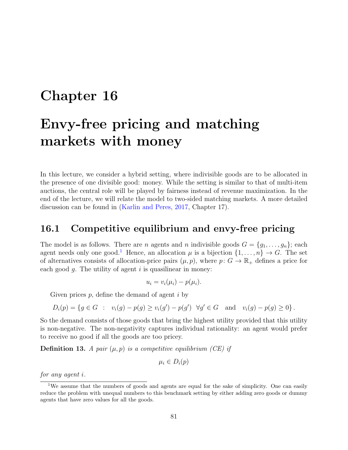# <span id="page-80-1"></span>Chapter 16

# Envy-free pricing and matching markets with money

In this lecture, we consider a hybrid setting, where indivisible goods are to be allocated in the presence of one divisible good: money. While the setting is similar to that of multi-item auctions, the central role will be played by fairness instead of revenue maximization. In the end of the lecture, we will relate the model to two-sided matching markets. A more detailed discussion can be found in [\(Karlin and Peres,](#page-103-0) [2017,](#page-103-0) Chapter 17).

### 16.1 Competitive equilibrium and envy-free pricing

The model is as follows. There are *n* agents and *n* indivisible goods  $G = \{g_1, \ldots, g_n\}$ ; each agent needs only one good.<sup>[1](#page-80-0)</sup> Hence, an allocation  $\mu$  is a bijection  $\{1, \ldots, n\} \to G$ . The set of alternatives consists of allocation-price pairs  $(\mu, p)$ , where  $p: G \to \mathbb{R}_+$  defines a price for each good  $q$ . The utility of agent  $i$  is quasilinear in money:

$$
u_i = v_i(\mu_i) - p(\mu_i).
$$

Given prices  $p$ , define the demand of agent  $i$  by

$$
D_i(p) = \{ g \in G : v_i(g) - p(g) \ge v_i(g') - p(g') \quad \forall g' \in G \quad \text{and} \quad v_i(g) - p(g) \ge 0 \}.
$$

So the demand consists of those goods that bring the highest utility provided that this utility is non-negative. The non-negativity captures individual rationality: an agent would prefer to receive no good if all the goods are too pricey.

**Definition 13.** A pair  $(\mu, p)$  is a competitive equilibrium (CE) if

$$
\mu_i \in D_i(p)
$$

for any agent i.

<span id="page-80-0"></span><sup>&</sup>lt;sup>1</sup>We assume that the numbers of goods and agents are equal for the sake of simplicity. One can easily reduce the problem with unequal numbers to this benchmark setting by either adding zero goods or dummy agents that have zero values for all the goods.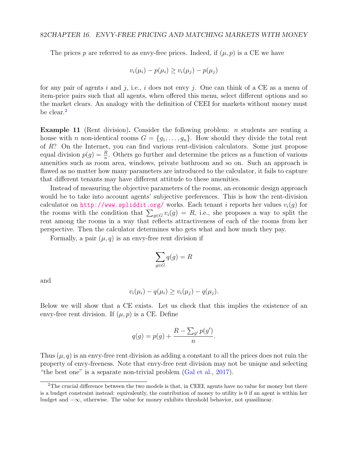<span id="page-81-1"></span>The prices p are referred to as envy-free prices. Indeed, if  $(\mu, p)$  is a CE we have

$$
v_i(\mu_i) - p(\mu_i) \ge v_i(\mu_j) - p(\mu_j)
$$

for any pair of agents i and j, i.e., i does not envy j. One can think of a CE as a menu of item-price pairs such that all agents, when offered this menu, select different options and so the market clears. An analogy with the definition of CEEI for markets without money must be clear.<sup>[2](#page-81-0)</sup>

**Example 11** (Rent division). Consider the following problem: *n* students are renting a house with n non-identical rooms  $G = \{g_1, \ldots, g_n\}$ . How should they divide the total rent of R? On the Internet, you can find various rent-division calculators. Some just propose equal division  $p(g) = \frac{R}{n}$ . Others go further and determine the prices as a function of various amenities such as room area, windows, private bathroom and so on. Such an approach is flawed as no matter how many parameters are introduced to the calculator, it fails to capture that different tenants may have different attitude to these amenities.

Instead of measuring the objective parameters of the rooms, an economic design approach would be to take into account agents' subjective preferences. This is how the rent-division calculator on <http://www.spliddit.org/> works. Each tenant i reports her values  $v_i(q)$  for the rooms with the condition that  $\sum_{g \in G} v_i(g) = R$ , i.e., she proposes a way to split the rent among the rooms in a way that reflects attractiveness of each of the rooms from her perspective. Then the calculator determines who gets what and how much they pay.

Formally, a pair  $(\mu, q)$  is an envy-free rent division if

$$
\sum_{g \in G} q(g) = R
$$

and

$$
v_i(\mu_i) - q(\mu_i) \ge v_i(\mu_j) - q(\mu_j).
$$

Below we will show that a CE exists. Let us check that this implies the existence of an envy-free rent division. If  $(\mu, p)$  is a CE. Define

$$
q(g) = p(g) + \frac{R - \sum_{g'} p(g')}{n}.
$$

Thus  $(\mu, q)$  is an envy-free rent division as adding a constant to all the prices does not ruin the property of envy-freeness. Note that envy-free rent division may not be unique and selecting "the best one" is a separate non-trivial problem [\(Gal et al.,](#page-103-1) [2017\)](#page-103-1).

<span id="page-81-0"></span><sup>&</sup>lt;sup>2</sup>The crucial difference between the two models is that, in CEEI, agents have no value for money but there is a budget constraint instead: equivalently, the contribution of money to utility is 0 if an agent is within her budget and −∞, otherwise. The value for money exhibits threshold behavior, not quasilinear.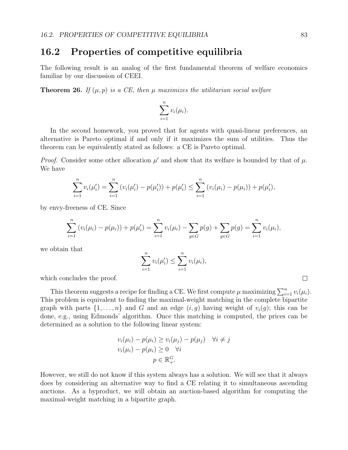## 16.2 Properties of competitive equilibria

The following result is an analog of the first fundamental theorem of welfare economics familiar by our discussion of CEEI.

<span id="page-82-0"></span>**Theorem 26.** If  $(\mu, p)$  is a CE, then  $\mu$  maximizes the utilitarian social welfare

$$
\sum_{i=1}^n v_i(\mu_i).
$$

In the second homework, you proved that for agents with quasi-linear preferences, an alternative is Pareto optimal if and only if it maximizes the sum of utilities. Thus the theorem can be equivalently stated as follows: a CE is Pareto optimal.

*Proof.* Consider some other allocation  $\mu'$  and show that its welfare is bounded by that of  $\mu$ . We have

$$
\sum_{i=1}^n v_i(\mu'_i) = \sum_{i=1}^n (v_i(\mu'_i) - p(\mu'_i)) + p(\mu'_i) \le \sum_{i=1}^n (v_i(\mu_i) - p(\mu_i)) + p(\mu'_i),
$$

by envy-freeness of CE. Since

$$
\sum_{i=1}^{n} (v_i(\mu_i) - p(\mu_i)) + p(\mu'_i) = \sum_{i=1}^{n} v_i(\mu_i) - \sum_{g \in G} p(g) + \sum_{g \in G} p(g) = \sum_{i=1}^{n} v_i(\mu_i),
$$

we obtain that

$$
\sum_{i=1}^{n} v_i(\mu'_i) \leq \sum_{i=1}^{n} v_i(\mu_i),
$$

which concludes the proof.

This theorem suggests a recipe for finding a CE. We first compute  $\mu$  maximizing  $\sum_{i=1}^{n} v_i(\mu_i)$ . This problem is equivalent to finding the maximal-weight matching in the complete bipartite graph with parts  $\{1, \ldots, n\}$  and G and an edge  $(i, g)$  having weight of  $v_i(g)$ ; this can be done, e.g., using Edmonds' algorithm. Once this matching is computed, the prices can be determined as a solution to the following linear system:

$$
v_i(\mu_i) - p(\mu_i) \ge v_i(\mu_j) - p(\mu_j) \quad \forall i \ne j
$$
  

$$
v_i(\mu_i) - p(\mu_i) \ge 0 \quad \forall i
$$
  

$$
p \in \mathbb{R}_+^G.
$$

However, we still do not know if this system always has a solution. We will see that it always does by considering an alternative way to find a CE relating it to simultaneous ascending auctions. As a byproduct, we will obtain an auction-based algorithm for computing the maximal-weight matching in a bipartite graph.

 $\Box$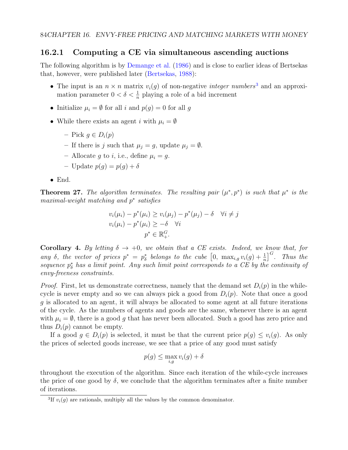### <span id="page-83-1"></span>16.2.1 Computing a CE via simultaneous ascending auctions

The following algorithm is by [Demange et al.](#page-102-6) [\(1986\)](#page-102-6) and is close to earlier ideas of Bertsekas that, however, were published later [\(Bertsekas,](#page-102-7) [1988\)](#page-102-7):

- The input is an  $n \times n$  matrix  $v_i(q)$  of non-negative *integer numbers*<sup>[3](#page-83-0)</sup> and an approximation parameter  $0 < \delta < \frac{1}{n}$  playing a role of a bid increment
- Initialize  $\mu_i = \emptyset$  for all i and  $p(g) = 0$  for all g
- While there exists an agent i with  $\mu_i = \emptyset$ 
	- Pick  $q \in D_i(p)$
	- If there is j such that  $\mu_j = g$ , update  $\mu_j = \emptyset$ .
	- Allocate g to i, i.e., define  $\mu_i = g$ .
	- Update  $p(q) = p(q) + \delta$
- End.

**Theorem 27.** The algorithm terminates. The resulting pair  $(\mu^*, p^*)$  is such that  $\mu^*$  is the maximal-weight matching and p<sup>\*</sup> satisfies

$$
v_i(\mu_i) - p^*(\mu_i) \ge v_i(\mu_j) - p^*(\mu_j) - \delta \quad \forall i \ne j
$$
  

$$
v_i(\mu_i) - p^*(\mu_i) \ge -\delta \quad \forall i
$$
  

$$
p^* \in \mathbb{R}_+^G.
$$

Corollary 4. By letting  $\delta \to +0$ , we obtain that a CE exists. Indeed, we know that, for any  $\delta$ , the vector of prices  $p^* = p^*_{\delta}$  belongs to the cube  $\left[0, \max_{i,g} v_i(g) + \frac{1}{n}\right]^G$ . Thus the sequence  $p^*_{\delta}$  has a limit point. Any such limit point corresponds to a CE by the continuity of envy-freeness constraints.

*Proof.* First, let us demonstrate correctness, namely that the demand set  $D_i(p)$  in the whilecycle is never empty and so we can always pick a good from  $D_i(p)$ . Note that once a good g is allocated to an agent, it will always be allocated to some agent at all future iterations of the cycle. As the numbers of agents and goods are the same, whenever there is an agent with  $\mu_i = \emptyset$ , there is a good g that has never been allocated. Such a good has zero price and thus  $D_i(p)$  cannot be empty.

If a good  $q \in D_i(p)$  is selected, it must be that the current price  $p(q) \leq v_i(q)$ . As only the prices of selected goods increase, we see that a price of any good must satisfy

$$
p(g) \le \max_{i,g} v_i(g) + \delta
$$

throughout the execution of the algorithm. Since each iteration of the while-cycle increases the price of one good by  $\delta$ , we conclude that the algorithm terminates after a finite number of iterations.

<span id="page-83-0"></span><sup>&</sup>lt;sup>3</sup>If  $v_i(g)$  are rationals, multiply all the values by the common denominator.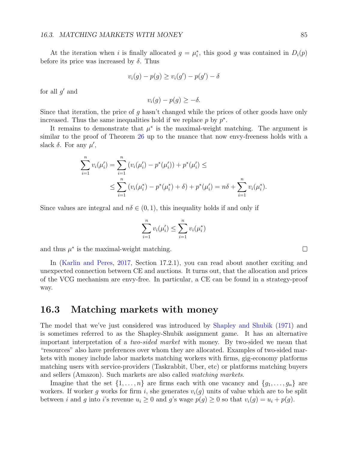<span id="page-84-0"></span>At the iteration when i is finally allocated  $g = \mu_i^*$ , this good g was contained in  $D_i(p)$ before its price was increased by  $\delta$ . Thus

$$
v_i(g) - p(g) \ge v_i(g') - p(g') - \delta
$$

for all  $g'$  and

$$
v_i(g) - p(g) \ge -\delta.
$$

Since that iteration, the price of g hasn't changed while the prices of other goods have only increased. Thus the same inequalities hold if we replace  $p$  by  $p^*$ .

It remains to demonstrate that  $\mu^*$  is the maximal-weight matching. The argument is similar to the proof of Theorem [26](#page-82-0) up to the nuance that now envy-freeness holds with a slack  $\delta$ . For any  $\mu'$ ,

$$
\sum_{i=1}^{n} v_i(\mu'_i) = \sum_{i=1}^{n} (v_i(\mu'_i) - p^*(\mu'_i)) + p^*(\mu'_i) \le
$$
  

$$
\le \sum_{i=1}^{n} (v_i(\mu_i^*) - p^*(\mu_i^*) + \delta) + p^*(\mu'_i) = n\delta + \sum_{i=1}^{n} v_i(\mu_i^*).
$$

Since values are integral and  $n\delta \in (0,1)$ , this inequality holds if and only if

$$
\sum_{i=1}^{n} v_i(\mu'_i) \le \sum_{i=1}^{n} v_i(\mu_i^*)
$$

and thus  $\mu^*$  is the maximal-weight matching.

In [\(Karlin and Peres,](#page-103-0) [2017,](#page-103-0) Section 17.2.1), you can read about another exciting and unexpected connection between CE and auctions. It turns out, that the allocation and prices of the VCG mechanism are envy-free. In particular, a CE can be found in a strategy-proof way.

### 16.3 Matching markets with money

The model that we've just considered was introduced by [Shapley and Shubik](#page-104-4) [\(1971\)](#page-104-4) and is sometimes referred to as the Shapley-Shubik assignment game. It has an alternative important interpretation of a two-sided market with money. By two-sided we mean that "resources" also have preferences over whom they are allocated. Examples of two-sided markets with money include labor markets matching workers with firms, gig-economy platforms matching users with service-providers (Taskrabbit, Uber, etc) or platforms matching buyers and sellers (Amazon). Such markets are also called matching markets.

Imagine that the set  $\{1, \ldots, n\}$  are firms each with one vacancy and  $\{g_1, \ldots, g_n\}$  are workers. If worker g works for firm i, she generates  $v_i(g)$  units of value which are to be split between i and g into i's revenue  $u_i \geq 0$  and g's wage  $p(g) \geq 0$  so that  $v_i(g) = u_i + p(g)$ .

 $\Box$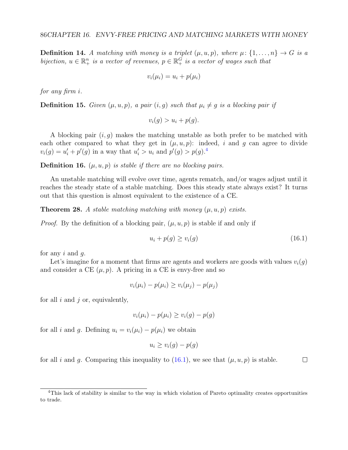**Definition 14.** A matching with money is a triplet  $(\mu, u, p)$ , where  $\mu: \{1, \ldots, n\} \rightarrow G$  is a bijection,  $u \in \mathbb{R}^n_+$  is a vector of revenues,  $p \in \mathbb{R}^G_+$  is a vector of wages such that

$$
v_i(\mu_i) = u_i + p(\mu_i)
$$

for any firm i.

**Definition 15.** Given  $(\mu, u, p)$ , a pair  $(i, g)$  such that  $\mu_i \neq g$  is a blocking pair if

$$
v_i(g) > u_i + p(g).
$$

A blocking pair  $(i, g)$  makes the matching unstable as both prefer to be matched with each other compared to what they get in  $(\mu, u, p)$ : indeed, i and g can agree to divide  $v_i(g) = u'_i + p'(g)$  in a way that  $u'_i > u_i$  and  $p'(g) > p(g)^{4}$  $p'(g) > p(g)^{4}$  $p'(g) > p(g)^{4}$ 

**Definition 16.**  $(\mu, u, p)$  is stable if there are no blocking pairs.

An unstable matching will evolve over time, agents rematch, and/or wages adjust until it reaches the steady state of a stable matching. Does this steady state always exist? It turns out that this question is almost equivalent to the existence of a CE.

**Theorem 28.** A stable matching matching with money  $(\mu, u, p)$  exists.

*Proof.* By the definition of a blocking pair,  $(\mu, u, p)$  is stable if and only if

<span id="page-85-1"></span>
$$
u_i + p(g) \ge v_i(g) \tag{16.1}
$$

 $\Box$ 

for any  $i$  and  $q$ .

Let's imagine for a moment that firms are agents and workers are goods with values  $v_i(q)$ and consider a CE  $(\mu, p)$ . A pricing in a CE is envy-free and so

$$
v_i(\mu_i) - p(\mu_i) \ge v_i(\mu_j) - p(\mu_j)
$$

for all  $i$  and  $j$  or, equivalently,

$$
v_i(\mu_i) - p(\mu_i) \ge v_i(g) - p(g)
$$

for all i and g. Defining  $u_i = v_i(\mu_i) - p(\mu_i)$  we obtain

$$
u_i \ge v_i(g) - p(g)
$$

for all i and q. Comparing this inequality to  $(16.1)$ , we see that  $(\mu, u, p)$  is stable.

<span id="page-85-0"></span><sup>&</sup>lt;sup>4</sup>This lack of stability is similar to the way in which violation of Pareto optimality creates opportunities to trade.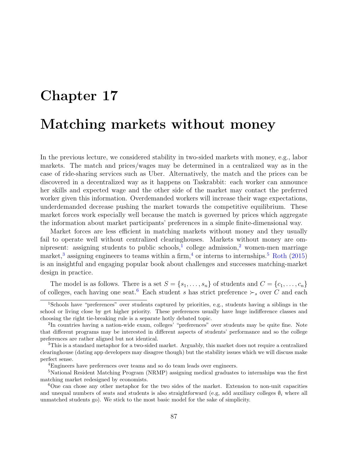# <span id="page-86-6"></span>Chapter 17 Matching markets without money

In the previous lecture, we considered stability in two-sided markets with money, e.g., labor markets. The match and prices/wages may be determined in a centralized way as in the case of ride-sharing services such as Uber. Alternatively, the match and the prices can be discovered in a decentralized way as it happens on Taskrabbit: each worker can announce her skills and expected wage and the other side of the market may contact the preferred worker given this information. Overdemanded workers will increase their wage expectations, underdemanded decrease pushing the market towards the competitive equilibrium. These market forces work especially well because the match is governed by prices which aggregate the information about market participants' preferences in a simple finite-dimensional way.

Market forces are less efficient in matching markets without money and they usually fail to operate well without centralized clearinghouses. Markets without money are om-nipresent: assigning students to public schools,<sup>[1](#page-86-0)</sup> college admission,<sup>[2](#page-86-1)</sup> women-men marriage market,<sup>[3](#page-86-2)</sup> assigning engineers to teams within a firm,<sup>[4](#page-86-3)</sup> or interns to internships.<sup>[5](#page-86-4)</sup> [Roth](#page-104-5) [\(2015\)](#page-104-5) is an insightful and engaging popular book about challenges and successes matching-market design in practice.

The model is as follows. There is a set  $S = \{s_1, \ldots, s_n\}$  of students and  $C = \{c_1, \ldots, c_n\}$ of colleges, each having one seat.<sup>[6](#page-86-5)</sup> Each student s has strict preference ≻<sub>s</sub> over C and each

<span id="page-86-0"></span><sup>1</sup>Schools have "preferences" over students captured by priorities, e.g., students having a siblings in the school or living close by get higher priority. These preferences usually have huge indifference classes and choosing the right tie-breaking rule is a separate hotly debated topic.

<span id="page-86-1"></span><sup>&</sup>lt;sup>2</sup>In countries having a nation-wide exam, colleges' "preferences" over students may be quite fine. Note that different programs may be interested in different aspects of students' performance and so the college preferences are rather aligned but not identical.

<span id="page-86-2"></span><sup>&</sup>lt;sup>3</sup>This is a standard metaphor for a two-sided market. Arguably, this market does not require a centralized clearinghouse (dating app developers may disagree though) but the stability issues which we will discuss make perfect sense.

<span id="page-86-4"></span><span id="page-86-3"></span><sup>4</sup>Engineers have preferences over teams and so do team leads over engineers.

<sup>&</sup>lt;sup>5</sup>National Resident Matching Program (NRMP) assigning medical graduates to internships was the first matching market redesigned by economists.

<span id="page-86-5"></span><sup>6</sup>One can chose any other metaphor for the two sides of the market. Extension to non-unit capacities and unequal numbers of seats and students is also straightforward (e.g, add auxiliary colleges  $\hat{\theta}_i$  where all unmatched students go). We stick to the most basic model for the sake of simplicity.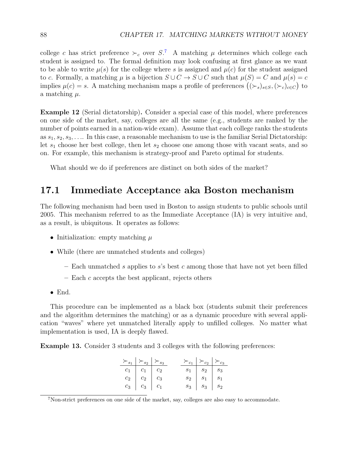college c has strict preference  $\succ_c$  over S.<sup>[7](#page-87-0)</sup> A matching  $\mu$  determines which college each student is assigned to. The formal definition may look confusing at first glance as we want to be able to write  $\mu(s)$  for the college where s is assigned and  $\mu(c)$  for the student assigned to c. Formally, a matching  $\mu$  is a bijection  $S \cup C \rightarrow S \cup C$  such that  $\mu(S) = C$  and  $\mu(s) = c$ implies  $\mu(c) = s$ . A matching mechanism maps a profile of preferences  $((\succ_s)_{s \in S}, (\succ_c)_{c \in C})$  to a matching  $\mu$ .

Example 12 (Serial dictatorship). Consider a special case of this model, where preferences on one side of the market, say, colleges are all the same (e.g., students are ranked by the number of points earned in a nation-wide exam). Assume that each college ranks the students as  $s_1, s_2, s_3, \ldots$  In this case, a reasonable mechanism to use is the familiar Serial Dictatorship: let  $s_1$  choose her best college, then let  $s_2$  choose one among those with vacant seats, and so on. For example, this mechanism is strategy-proof and Pareto optimal for students.

What should we do if preferences are distinct on both sides of the market?

### 17.1 Immediate Acceptance aka Boston mechanism

The following mechanism had been used in Boston to assign students to public schools until 2005. This mechanism referred to as the Immediate Acceptance (IA) is very intuitive and, as a result, is ubiquitous. It operates as follows:

- Initialization: empty matching  $\mu$
- While (there are unmatched students and colleges)
	- Each unmatched s applies to s's best c among those that have not yet been filled
	- $-$  Each  $c$  accepts the best applicant, rejects others
- End.

This procedure can be implemented as a black box (students submit their preferences and the algorithm determines the matching) or as a dynamic procedure with several application "waves" where yet unmatched literally apply to unfilled colleges. No matter what implementation is used, IA is deeply flawed.

<span id="page-87-1"></span>Example 13. Consider 3 students and 3 colleges with the following preferences:

|                                                                        | $\succ_{s_1} \;   \succ_{s_2}   \succ_{s_3}$ |  | $\succ_{c_1} \;   \succ_{c_2}   \succ_{c_3}$                             |  |
|------------------------------------------------------------------------|----------------------------------------------|--|--------------------------------------------------------------------------|--|
| $c_1$ $c_1$ $c_2$                                                      |                                              |  | $\begin{array}{ c c c c c } \hline s_1 & s_2 & s_3 \ \hline \end{array}$ |  |
| $c_2$ $c_2$ $c_3$                                                      |                                              |  | $s_2$ $s_1$ $s_1$                                                        |  |
| $c_3 \begin{array}{ c c c c c } \hline c_3 & c_1 \ \hline \end{array}$ |                                              |  | $s_3$   $s_3$   $s_2$                                                    |  |

<span id="page-87-0"></span><sup>7</sup>Non-strict preferences on one side of the market, say, colleges are also easy to accommodate.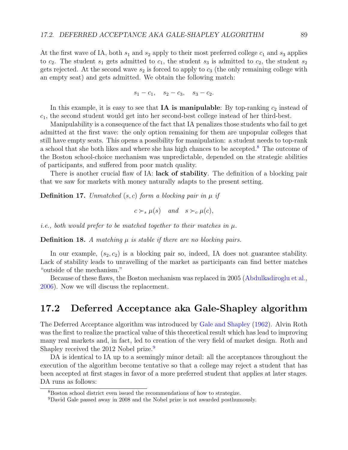<span id="page-88-2"></span>At the first wave of IA, both  $s_1$  and  $s_2$  apply to their most preferred college  $c_1$  and  $s_3$  applies to  $c_2$ . The student  $s_1$  gets admitted to  $c_1$ , the student  $s_3$  is admitted to  $c_2$ , the student  $s_2$ gets rejected. At the second wave  $s_2$  is forced to apply to  $c_3$  (the only remaining college with an empty seat) and gets admitted. We obtain the following match:

$$
s_1 - c_1, \quad s_2 - c_3, \quad s_3 - c_2.
$$

In this example, it is easy to see that  $IA$  is manipulable: By top-ranking  $c_2$  instead of  $c_1$ , the second student would get into her second-best college instead of her third-best.

Manipulability is a consequence of the fact that IA penalizes those students who fail to get admitted at the first wave: the only option remaining for them are unpopular colleges that still have empty seats. This opens a possibility for manipulation: a student needs to top-rank a school that she both likes and where she has high chances to be accepted.<sup>[8](#page-88-0)</sup> The outcome of the Boston school-choice mechanism was unpredictable, depended on the strategic abilities of participants, and suffered from poor match quality.

There is another crucial flaw of IA: **lack of stability**. The definition of a blocking pair that we saw for markets with money naturally adapts to the present setting.

**Definition 17.** Unmatched  $(s, c)$  form a blocking pair in  $\mu$  if

$$
c \succ_s \mu(s)
$$
 and  $s \succ_c \mu(c)$ ,

*i.e.*, both would prefer to be matched together to their matches in  $\mu$ .

**Definition 18.** A matching  $\mu$  is stable if there are no blocking pairs.

In our example,  $(s_2, c_2)$  is a blocking pair so, indeed, IA does not guarantee stability. Lack of stability leads to unravelling of the market as participants can find better matches "outside of the mechanism."

Because of these flaws, the Boston mechanism was replaced in 2005 [\(Abdulkadiroglu et al.,](#page-101-2) [2006\)](#page-101-2). Now we will discuss the replacement.

## 17.2 Deferred Acceptance aka Gale-Shapley algorithm

The Deferred Acceptance algorithm was introduced by [Gale and Shapley](#page-103-2) [\(1962\)](#page-103-2). Alvin Roth was the first to realize the practical value of this theoretical result which has lead to improving many real markets and, in fact, led to creation of the very field of market design. Roth and Shapley received the 2012 Nobel prize.<sup>[9](#page-88-1)</sup>

DA is identical to IA up to a seemingly minor detail: all the acceptances throughout the execution of the algorithm become tentative so that a college may reject a student that has been accepted at first stages in favor of a more preferred student that applies at later stages. DA runs as follows:

<span id="page-88-0"></span><sup>8</sup>Boston school district even issued the recommendations of how to strategize.

<span id="page-88-1"></span><sup>9</sup>David Gale passed away in 2008 and the Nobel prize is not awarded posthumously.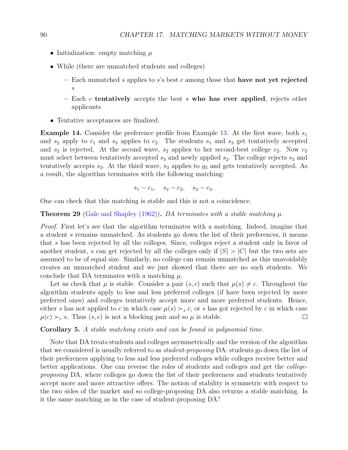- <span id="page-89-0"></span>• Initialization: empty matching  $\mu$
- While (there are unmatched students and colleges)
	- Each unmatched s applies to s's best c among those that have not yet rejected s
	- Each  $c$  tentatively accepts the best  $s$  who has ever applied, rejects other applicants
- Tentative acceptances are finalized.

**Example 14.** Consider the preference profile from Example [13.](#page-87-1) At the first wave, both  $s_1$ and  $s_2$  apply to  $c_1$  and  $s_3$  applies to  $c_2$ . The students  $s_1$  and  $s_3$  get tentatively accepted and  $s_2$  is rejected. At the second wave,  $s_2$  applies to her second-best college  $c_2$ . Now  $c_2$ must select between tentatively accepted  $s_3$  and newly applied  $s_2$ . The college rejects  $s_3$  and tentatively accepts  $s_3$ . At the third wave,  $s_3$  applies to  $g_3$  and gets tentatively accepted. As a result, the algorithm terminates with the following matching:

$$
s_1 - c_1, \quad s_2 - c_2, \quad s_3 - c_3.
$$

One can check that this matching is stable and this is not a coincidence.

#### **Theorem 29** [\(Gale and Shapley](#page-103-2) [\(1962\)](#page-103-2)). DA terminates with a stable matching  $\mu$ .

Proof. First let's see that the algorithm terminates with a matching. Indeed, imagine that a student s remains unmatched. As students go down the list of their preferences, it means that s has been rejected by all the colleges. Since, colleges reject a student only in favor of another student, s can get rejected by all the colleges only if  $|S| > |C|$  but the two sets are assumed to be of equal size. Similarly, no college can remain unmatched as this unavoidably creates an unmatched student and we just showed that there are no such students. We conclude that DA terminates with a matching  $\mu$ .

Let us check that  $\mu$  is stable. Consider a pair  $(s, c)$  such that  $\mu(s) \neq c$ . Throughout the algorithm students apply to less and less preferred colleges (if have been rejected by more preferred ones) and colleges tentatively accept more and more preferred students. Hence, either s has not applied to c in which case  $\mu(s) \succ_s c$ , or s has got rejected by c in which case  $\mu(c) \succ_c s$ . Thus  $(s, c)$  is not a blocking pair and so  $\mu$  is stable.  $\Box$ 

#### Corollary 5. A stable matching exists and can be found in polynomial time.

Note that DA treats students and colleges asymmetrically and the version of the algorithm that we considered is usually referred to as *student-proposing* DA: students go down the list of their preferences applying to less and less preferred colleges while colleges receive better and better applications. One can reverse the roles of students and colleges and get the collegeproposing DA, where colleges go down the list of their preferences and students tentatively accept more and more attractive offers. The notion of stability is symmetric with respect to the two sides of the market and so college-proposing DA also returns a stable matching. Is it the same matching as in the case of student-proposing DA?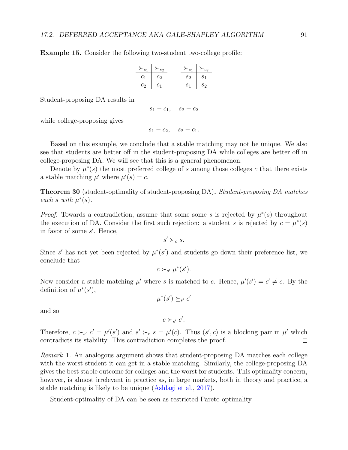<span id="page-90-1"></span>Example 15. Consider the following two-student two-college profile:

$$
\begin{array}{c|c}\n \succ_{s_1} & \succ_{s_2} \\
\hline\n c_1 & c_2 & \searrow_{c_1} & \succ_{c_2} \\
 c_2 & c_1 & \searrow_{s_1} & s_2\n \end{array}
$$

Student-proposing DA results in

$$
s_1-c_1, \quad s_2-c_2
$$

while college-proposing gives

 $s_1 - c_2$ ,  $s_2 - c_1$ .

Based on this example, we conclude that a stable matching may not be unique. We also see that students are better off in the student-proposing DA while colleges are better off in college-proposing DA. We will see that this is a general phenomenon.

Denote by  $\mu^*(s)$  the most preferred college of s among those colleges c that there exists a stable matching  $\mu'$  where  $\mu'(s) = c$ .

<span id="page-90-0"></span>**Theorem 30** (student-optimality of student-proposing DA). Student-proposing DA matches each s with  $\mu^*(s)$ .

*Proof.* Towards a contradiction, assume that some some s is rejected by  $\mu^*(s)$  throughout the execution of DA. Consider the first such rejection: a student s is rejected by  $c = \mu^*(s)$ in favor of some s'. Hence,

$$
s' \succ_c s.
$$

Since s' has not yet been rejected by  $\mu^*(s')$  and students go down their preference list, we conclude that

$$
c \succ_{s'} \mu^*(s').
$$

Now consider a stable matching  $\mu'$  where s is matched to c. Hence,  $\mu'(s') = c' \neq c$ . By the definition of  $\mu^*(s')$ ,

 $\mu^*(s') \succeq_{s'} c'$ 

and so

 $c \succ_{s'} c'$ .

Therefore,  $c \succ_{s'} c' = \mu'(s')$  and  $s' \succ_c s = \mu'(c)$ . Thus  $(s', c)$  is a blocking pair in  $\mu'$  which contradicts its stability. This contradiction completes the proof.  $\Box$ 

Remark 1. An analogous argument shows that student-proposing DA matches each college with the worst student it can get in a stable matching. Similarly, the college-proposing DA gives the best stable outcome for colleges and the worst for students. This optimality concern, however, is almost irrelevant in practice as, in large markets, both in theory and practice, a stable matching is likely to be unique [\(Ashlagi et al.,](#page-101-3) [2017\)](#page-101-3).

Student-optimality of DA can be seen as restricted Pareto optimality.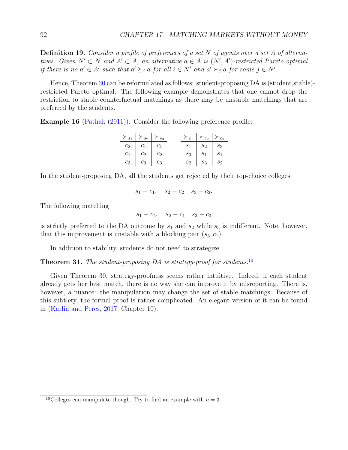<span id="page-91-1"></span>**Definition 19.** Consider a profile of preferences of a set N of agents over a set A of alternatives. Given  $N' \subset N$  and  $A' \subset A$ , an alternative  $a \in A$  is  $(N', A')$ -restricted Pareto optimal if there is no  $a' \in A'$  such that  $a' \succeq_i a$  for all  $i \in N'$  and  $a' \succ_j a$  for some  $j \in N'$ .

Hence, Theorem [30](#page-90-0) can be reformulated as follows: student-proposing DA is (student, stable)restricted Pareto optimal. The following example demonstrates that one cannot drop the restriction to stable counterfactual matchings as there may be unstable matchings that are preferred by the students.

Example 16 [\(Pathak](#page-104-6) [\(2011\)](#page-104-6)). Consider the following preference profile:

|                                                             | $\succ_{s_1} \;   \succ_{s_2}   \succ_{s_3}$ |  | $\succ_{c_1} \;   \succ_{c_2}   \succ_{c_3}$       |  |
|-------------------------------------------------------------|----------------------------------------------|--|----------------------------------------------------|--|
| $c_2$ $c_1$ $c_1$                                           |                                              |  | $s_1 \begin{array}{ c c c } s_2 & s_3 \end{array}$ |  |
| $c_1 \begin{array}{ c c c c } \hline c_2 & c_2 \end{array}$ |                                              |  | $s_3$   $s_1$   $s_1$                              |  |
| $c_3$ $c_3$ $c_3$                                           |                                              |  | $s_2$   $s_3$   $s_2$                              |  |

In the student-proposing DA, all the students get rejected by their top-choice colleges:

$$
s_1 - c_1, \quad s_2 - c_2 \quad s_3 - c_3.
$$

The following matching

 $s_1 - c_2$ ,  $s_2 - c_1$   $s_3 - c_3$ 

is strictly preferred to the DA outcome by  $s_1$  and  $s_2$  while  $s_3$  is indifferent. Note, however, that this improvement is unstable with a blocking pair  $(s_3, c_1)$ .

In addition to stability, students do not need to strategize.

### **Theorem 31.** The student-proposing DA is strategy-proof for students.<sup>[10](#page-91-0)</sup>

Given Theorem [30,](#page-90-0) strategy-proofness seems rather intuitive. Indeed, if each student already gets her best match, there is no way she can improve it by misreporting. There is, however, a nuance: the manipulation may change the set of stable matchings. Because of this subtlety, the formal proof is rather complicated. An elegant version of it can be found in [\(Karlin and Peres,](#page-103-0) [2017,](#page-103-0) Chapter 10).

<span id="page-91-0"></span><sup>&</sup>lt;sup>10</sup>Colleges can manipulate though. Try to find an example with  $n = 3$ .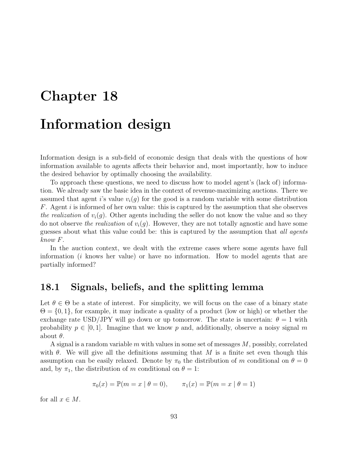# Chapter 18 Information design

Information design is a sub-field of economic design that deals with the questions of how information available to agents affects their behavior and, most importantly, how to induce the desired behavior by optimally choosing the availability.

To approach these questions, we need to discuss how to model agent's (lack of) information. We already saw the basic idea in the context of revenue-maximizing auctions. There we assumed that agent is value  $v_i(g)$  for the good is a random variable with some distribution F. Agent i is informed of her own value: this is captured by the assumption that she observes the realization of  $v_i(g)$ . Other agents including the seller do not know the value and so they do not observe the realization of  $v_i(g)$ . However, they are not totally agnostic and have some guesses about what this value could be: this is captured by the assumption that all agents know F.

In the auction context, we dealt with the extreme cases where some agents have full information (i knows her value) or have no information. How to model agents that are partially informed?

### 18.1 Signals, beliefs, and the splitting lemma

Let  $\theta \in \Theta$  be a state of interest. For simplicity, we will focus on the case of a binary state  $\Theta = \{0, 1\}$ , for example, it may indicate a quality of a product (low or high) or whether the exchange rate USD/JPY will go down or up tomorrow. The state is uncertain:  $\theta = 1$  with probability  $p \in [0, 1]$ . Imagine that we know p and, additionally, observe a noisy signal m about  $\theta$ .

A signal is a random variable m with values in some set of messages M, possibly, correlated with  $\theta$ . We will give all the definitions assuming that M is a finite set even though this assumption can be easily relaxed. Denote by  $\pi_0$  the distribution of m conditional on  $\theta = 0$ and, by  $\pi_1$ , the distribution of m conditional on  $\theta = 1$ :

$$
\pi_0(x) = \mathbb{P}(m = x | \theta = 0), \qquad \pi_1(x) = \mathbb{P}(m = x | \theta = 1)
$$

for all  $x \in M$ .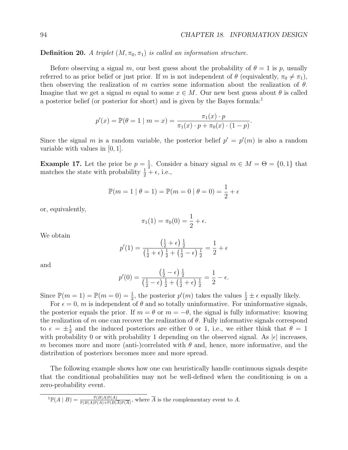**Definition 20.** A triplet  $(M, \pi_0, \pi_1)$  is called an information structure.

Before observing a signal m, our best guess about the probability of  $\theta = 1$  is p, usually referred to as prior belief or just prior. If m is not independent of  $\theta$  (equivalently,  $\pi_0 \neq \pi_1$ ), then observing the realization of m carries some information about the realization of  $\theta$ . Imagine that we get a signal m equal to some  $x \in M$ . Our new best guess about  $\theta$  is called a posterior belief (or posterior for short) and is given by the Bayes formula:<sup>[1](#page-93-0)</sup>

$$
p'(x) = \mathbb{P}(\theta = 1 \mid m = x) = \frac{\pi_1(x) \cdot p}{\pi_1(x) \cdot p + \pi_0(x) \cdot (1 - p)}.
$$

Since the signal m is a random variable, the posterior belief  $p' = p'(m)$  is also a random variable with values in [0, 1].

**Example 17.** Let the prior be  $p = \frac{1}{2}$  $\frac{1}{2}$ . Consider a binary signal  $m \in M = \Theta = \{0, 1\}$  that matches the state with probability  $\frac{1}{2} + \epsilon$ , i.e.,

$$
\mathbb{P}(m = 1 | \theta = 1) = \mathbb{P}(m = 0 | \theta = 0) = \frac{1}{2} + \epsilon
$$

or, equivalently,

$$
\pi_1(1) = \pi_0(0) = \frac{1}{2} + \epsilon.
$$

We obtain

$$
p'(1) = \frac{\left(\frac{1}{2} + \epsilon\right)\frac{1}{2}}{\left(\frac{1}{2} + \epsilon\right)\frac{1}{2} + \left(\frac{1}{2} - \epsilon\right)\frac{1}{2}} = \frac{1}{2} + \epsilon
$$

and

$$
p'(0) = \frac{\left(\frac{1}{2} - \epsilon\right)\frac{1}{2}}{\left(\frac{1}{2} - \epsilon\right)\frac{1}{2} + \left(\frac{1}{2} + \epsilon\right)\frac{1}{2}} = \frac{1}{2} - \epsilon.
$$

Since  $\mathbb{P}(m=1) = \mathbb{P}(m=0) = \frac{1}{2}$ , the posterior  $p'(m)$  takes the values  $\frac{1}{2} \pm \epsilon$  equally likely.

For  $\epsilon = 0$ , m is independent of  $\theta$  and so totally uninformative. For uninformative signals, the posterior equals the prior. If  $m = \theta$  or  $m = -\theta$ , the signal is fully informative: knowing the realization of m one can recover the realization of  $\theta$ . Fully informative signals correspond to  $\epsilon = \pm \frac{1}{2}$  $\frac{1}{2}$  and the induced posteriors are either 0 or 1, i.e., we either think that  $\theta = 1$ with probability 0 or with probability 1 depending on the observed signal. As  $|\epsilon|$  increases, m becomes more and more (anti-)correlated with  $\theta$  and, hence, more informative, and the distribution of posteriors becomes more and more spread.

The following example shows how one can heuristically handle continuous signals despite that the conditional probabilities may not be well-defined when the conditioning is on a zero-probability event.

<span id="page-93-0"></span> ${}^{1}\mathbb{P}(A \mid B) = \frac{\mathbb{P}(B|A)\mathbb{P}(A)}{\mathbb{P}(B|A)\mathbb{P}(A)+\mathbb{P}(B|\overline{A})\mathbb{P}(\overline{A})}$ , where  $\overline{A}$  is the complementary event to A.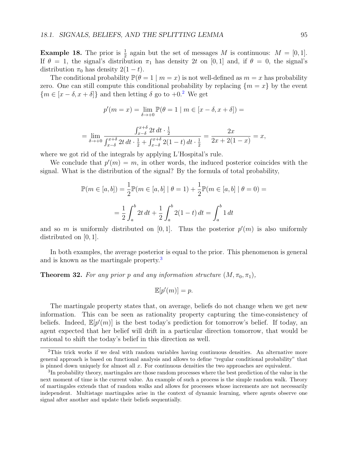<span id="page-94-2"></span>**Example 18.** The prior is  $\frac{1}{2}$  again but the set of messages M is continuous:  $M = [0, 1]$ . If  $\theta = 1$ , the signal's distribution  $\pi_1$  has density 2t on [0, 1] and, if  $\theta = 0$ , the signal's distribution  $\pi_0$  has density  $2(1-t)$ .

The conditional probability  $\mathbb{P}(\theta = 1 \mid m = x)$  is not well-defined as  $m = x$  has probability zero. One can still compute this conditional probability by replacing  ${m = x}$  by the event  ${m \in [x - \delta, x + \delta]}$  and then letting  $\delta$  go to +0.<sup>[2](#page-94-0)</sup> We get

$$
p'(m=x)=\lim_{\delta\to+0}{\mathbb{P}}(\theta=1\mid m\in[x-\delta,x+\delta])=
$$

$$
= \lim_{\delta \to +0} \frac{\int_{x-\delta}^{x+\delta} 2t \, dt \cdot \frac{1}{2}}{\int_{x-\delta}^{x+\delta} 2t \, dt \cdot \frac{1}{2} + \int_{x-\delta}^{x+\delta} 2(1-t) \, dt \cdot \frac{1}{2}} = \frac{2x}{2x+2(1-x)} = x,
$$

where we got rid of the integrals by applying L'Hospital's rule.

We conclude that  $p'(m) = m$ , in other words, the induced posterior coincides with the signal. What is the distribution of the signal? By the formula of total probability,

$$
\mathbb{P}(m \in [a, b]) = \frac{1}{2} \mathbb{P}(m \in [a, b] | \theta = 1) + \frac{1}{2} \mathbb{P}(m \in [a, b] | \theta = 0) =
$$

$$
= \frac{1}{2} \int_{a}^{b} 2t \, dt + \frac{1}{2} \int_{a}^{b} 2(1 - t) \, dt = \int_{a}^{b} 1 \, dt
$$

and so m is uniformly distributed on [0,1]. Thus the posterior  $p'(m)$  is also uniformly distributed on [0, 1].

In both examples, the average posterior is equal to the prior. This phenomenon is general and is known as the martingale property<sup>[3](#page-94-1)</sup>

**Theorem 32.** For any prior p and any information structure  $(M, \pi_0, \pi_1)$ ,

$$
\mathbb{E}[p'(m)] = p.
$$

The martingale property states that, on average, beliefs do not change when we get new information. This can be seen as rationality property capturing the time-consistency of beliefs. Indeed,  $\mathbb{E}[p'(m)]$  is the best today's prediction for tomorrow's belief. If today, an agent expected that her belief will drift in a particular direction tomorrow, that would be rational to shift the today's belief in this direction as well.

<span id="page-94-0"></span><sup>&</sup>lt;sup>2</sup>This trick works if we deal with random variables having continuous densities. An alternative more general approach is based on functional analysis and allows to define "regular conditional probability" that is pinned down uniquely for almost all x. For continuous densities the two approaches are equivalent.

<span id="page-94-1"></span><sup>&</sup>lt;sup>3</sup>In probability theory, martingales are those random processes where the best prediction of the value in the next moment of time is the current value. An example of such a process is the simple random walk. Theory of martingales extends that of random walks and allows for processes whose increments are not necessarily independent. Multistage martingales arise in the context of dynamic learning, where agents observe one signal after another and update their beliefs sequentially.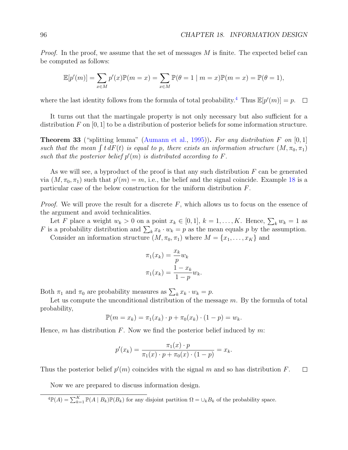<span id="page-95-2"></span>*Proof.* In the proof, we assume that the set of messages  $M$  is finite. The expected belief can be computed as follows:

$$
\mathbb{E}[p'(m)] = \sum_{x \in M} p'(x) \mathbb{P}(m = x) = \sum_{x \in M} \mathbb{P}(\theta = 1 \mid m = x) \mathbb{P}(m = x) = \mathbb{P}(\theta = 1),
$$

where the last identity follows from the formula of total probability.<sup>[4](#page-95-0)</sup> Thus  $\mathbb{E}[p'(m)] = p$ .  $\Box$ 

It turns out that the martingale property is not only necessary but also sufficient for a distribution F on  $[0, 1]$  to be a distribution of posterior beliefs for some information structure.

<span id="page-95-1"></span>**Theorem 33** ("splitting lemma" [\(Aumann et al.,](#page-101-4) [1995\)](#page-101-4)). For any distribution F on  $[0,1]$ such that the mean  $\int t dF(t)$  is equal to p, there exists an information structure  $(M, \pi_0, \pi_1)$ such that the posterior belief  $p'(m)$  is distributed according to F.

As we will see, a byproduct of the proof is that any such distribution  $F$  can be generated via  $(M, \pi_0, \pi_1)$  such that  $p'(m) = m$ , i.e., the belief and the signal coincide. Example [18](#page-94-2) is a particular case of the below construction for the uniform distribution F.

*Proof.* We will prove the result for a discrete  $F$ , which allows us to focus on the essence of the argument and avoid technicalities.

Let F place a weight  $w_k > 0$  on a point  $x_k \in [0,1]$ ,  $k = 1, ..., K$ . Hence,  $\sum_k w_k = 1$  as F is a probability distribution and  $\sum_k x_k \cdot w_k = p$  as the mean equals p by the assumption.

Consider an information structure  $(M, \pi_0, \pi_1)$  where  $M = \{x_1, \ldots, x_K\}$  and

$$
\pi_1(x_k) = \frac{x_k}{p} w_k
$$

$$
\pi_1(x_k) = \frac{1 - x_k}{1 - p} w_k.
$$

Both  $\pi_1$  and  $\pi_0$  are probability measures as  $\sum_k x_k \cdot w_k = p$ .

Let us compute the unconditional distribution of the message  $m$ . By the formula of total probability,

$$
\mathbb{P}(m = x_k) = \pi_1(x_k) \cdot p + \pi_0(x_k) \cdot (1 - p) = w_k.
$$

Hence, m has distribution F. Now we find the posterior belief induced by  $m$ :

$$
p'(x_k) = \frac{\pi_1(x) \cdot p}{\pi_1(x) \cdot p + \pi_0(x) \cdot (1 - p)} = x_k.
$$

Thus the posterior belief  $p'(m)$  coincides with the signal m and so has distribution F.  $\Box$ 

Now we are prepared to discuss information design.

<span id="page-95-0"></span> ${}^4\mathbb{P}(A) = \sum_{k=1}^K \mathbb{P}(A \mid B_k)\mathbb{P}(B_k)$  for any disjoint partition  $\Omega = \bigcup_k B_k$  of the probability space.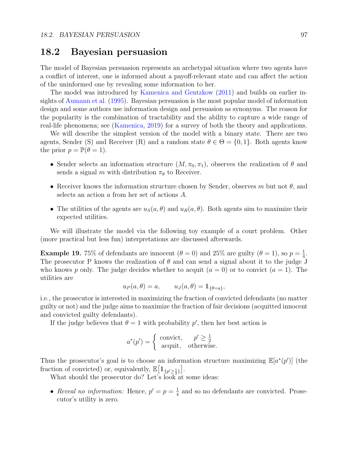### <span id="page-96-1"></span>18.2 Bayesian persuasion

The model of Bayesian persuasion represents an archetypal situation where two agents have a conflict of interest, one is informed about a payoff-relevant state and can affect the action of the uninformed one by revealing some information to her.

The model was introduced by [Kamenica and Gentzkow](#page-103-3) [\(2011\)](#page-103-3) and builds on earlier insights of [Aumann et al.](#page-101-4) [\(1995\)](#page-101-4). Bayesian persuasion is the most popular model of information design and some authors use information design and persuasion as synonyms. The reason for the popularity is the combination of tractability and the ability to capture a wide range of real-life phenomena; see [\(Kamenica,](#page-103-4) [2019\)](#page-103-4) for a survey of both the theory and applications.

We will describe the simplest version of the model with a binary state. There are two agents, Sender (S) and Receiver (R) and a random state  $\theta \in \Theta = \{0, 1\}$ . Both agents know the prior  $p = \mathbb{P}(\theta = 1)$ .

- Sender selects an information structure  $(M, \pi_0, \pi_1)$ , observes the realization of  $\theta$  and sends a signal m with distribution  $\pi_{\theta}$  to Receiver.
- Receiver knows the information structure chosen by Sender, observes m but not  $\theta$ , and selects an action a from her set of actions A.
- The utilities of the agents are  $u_S(a, \theta)$  and  $u_R(a, \theta)$ . Both agents aim to maximize their expected utilities.

We will illustrate the model via the following toy example of a court problem. Other (more practical but less fun) interpretations are discussed afterwards.

<span id="page-96-0"></span>**Example 19.** 75% of defendants are innocent  $(\theta = 0)$  and 25% are guilty  $(\theta = 1)$ , so  $p = \frac{1}{4}$  $\frac{1}{4}$ . The prosecutor P knows the realization of  $\theta$  and can send a signal about it to the judge J who knows p only. The judge decides whether to acquit  $(a = 0)$  or to convict  $(a = 1)$ . The utilities are

$$
u_P(a,\theta) = a, \qquad u_J(a,\theta) = \mathbb{1}_{\{\theta = a\}},
$$

i.e., the prosecutor is interested in maximizing the fraction of convicted defendants (no matter guilty or not) and the judge aims to maximize the fraction of fair decisions (acquitted innocent and convicted guilty defendants).

If the judge believes that  $\theta = 1$  with probability p', then her best action is

$$
a^*(p') = \begin{cases} \text{convict}, & p' \ge \frac{1}{2} \\ \text{acquit}, & \text{otherwise.} \end{cases}
$$

Thus the prosecutor's goal is to choose an information structure maximizing  $\mathbb{E}[a^*(p')]$  (the fraction of convicted) or, equivalently,  $\mathbb{E}[\mathbb{1}_{\{p'\geq \frac{1}{2}\}}].$ 

What should the prosecutor do? Let's look at some ideas:

• Reveal no information: Hence,  $p' = p = \frac{1}{4}$  $\frac{1}{4}$  and so no defendants are convicted. Prosecutor's utility is zero.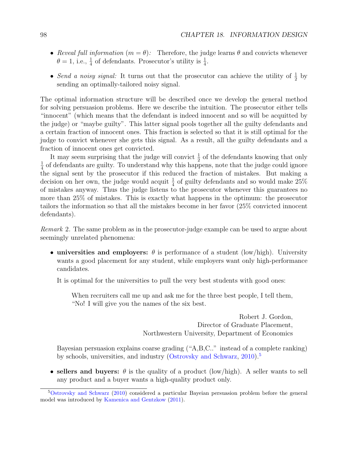- <span id="page-97-1"></span>• Reveal full information  $(m = \theta)$ : Therefore, the judge learns  $\theta$  and convicts whenever  $\theta = 1$ , i.e.,  $\frac{1}{4}$  of defendants. Prosecutor's utility is  $\frac{1}{4}$ .
- Send a noisy signal: It turns out that the prosecutor can achieve the utility of  $\frac{1}{2}$  by sending an optimally-tailored noisy signal.

The optimal information structure will be described once we develop the general method for solving persuasion problems. Here we describe the intuition. The prosecutor either tells "innocent" (which means that the defendant is indeed innocent and so will be acquitted by the judge) or "maybe guilty". This latter signal pools together all the guilty defendants and a certain fraction of innocent ones. This fraction is selected so that it is still optimal for the judge to convict whenever she gets this signal. As a result, all the guilty defendants and a fraction of innocent ones get convicted.

It may seem surprising that the judge will convict  $\frac{1}{2}$  of the defendants knowing that only 1  $\frac{1}{4}$  of defendants are guilty. To understand why this happens, note that the judge could ignore the signal sent by the prosecutor if this reduced the fraction of mistakes. But making a decision on her own, the judge would acquit  $\frac{1}{4}$  of guilty defendants and so would make 25% of mistakes anyway. Thus the judge listens to the prosecutor whenever this guarantees no more than 25% of mistakes. This is exactly what happens in the optimum: the prosecutor tailors the information so that all the mistakes become in her favor (25% convicted innocent defendants).

Remark 2. The same problem as in the prosecutor-judge example can be used to argue about seemingly unrelated phenomena:

• universities and employers:  $\theta$  is performance of a student (low/high). University wants a good placement for any student, while employers want only high-performance candidates.

It is optimal for the universities to pull the very best students with good ones:

When recruiters call me up and ask me for the three best people, I tell them, "No! I will give you the names of the six best.

> Robert J. Gordon, Director of Graduate Placement, Northwestern University, Department of Economics

Bayesian persuasion explains coarse grading ("A,B,C.." instead of a complete ranking) by schools, universities, and industry [\(Ostrovsky and Schwarz,](#page-104-7) [2010\)](#page-104-7).<sup>[5](#page-97-0)</sup>

• sellers and buyers:  $\theta$  is the quality of a product (low/high). A seller wants to sell any product and a buyer wants a high-quality product only.

<span id="page-97-0"></span><sup>5</sup>[Ostrovsky and Schwarz](#page-104-7) [\(2010\)](#page-104-7) considered a particular Bayeian persuasion problem before the general model was introduced by [Kamenica and Gentzkow](#page-103-3) [\(2011\)](#page-103-3).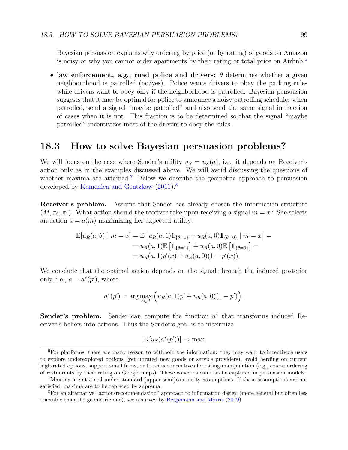<span id="page-98-3"></span>Bayesian persuasion explains why ordering by price (or by rating) of goods on Amazon is noisy or why you cannot order apartments by their rating or total price on Airbnb.<sup>[6](#page-98-0)</sup>

• law enforcement, e.g., road police and drivers:  $\theta$  determines whether a given neighbourhood is patrolled (no/yes). Police wants drivers to obey the parking rules while drivers want to obey only if the neighborhood is patrolled. Bayesian persuasion suggests that it may be optimal for police to announce a noisy patrolling schedule: when patrolled, send a signal "maybe patrolled" and also send the same signal in fraction of cases when it is not. This fraction is to be determined so that the signal "maybe patrolled" incentivizes most of the drivers to obey the rules.

### 18.3 How to solve Bayesian persuasion problems?

We will focus on the case where Sender's utility  $u_S = u_S(a)$ , i.e., it depends on Receiver's action only as in the examples discussed above. We will avoid discussing the questions of whether maxima are attained.<sup>[7](#page-98-1)</sup> Below we describe the geometric approach to persuasion developed by [Kamenica and Gentzkow](#page-103-3)  $(2011).<sup>8</sup>$  $(2011).<sup>8</sup>$  $(2011).<sup>8</sup>$  $(2011).<sup>8</sup>$ 

Receiver's problem. Assume that Sender has already chosen the information structure  $(M, \pi_0, \pi_1)$ . What action should the receiver take upon receiving a signal  $m = x$ ? She selects an action  $a = a(m)$  maximizing her expected utility:

$$
\mathbb{E}[u_R(a,\theta) \mid m = x] = \mathbb{E}[u_R(a,1)\mathbb{1}_{\{\theta=1\}} + u_R(a,0)\mathbb{1}_{\{\theta=0\}} \mid m = x] =
$$
  
=  $u_R(a,1)\mathbb{E}[\mathbb{1}_{\{\theta=1\}}] + u_R(a,0)\mathbb{E}[\mathbb{1}_{\{\theta=0\}}] =$   
=  $u_R(a,1)p'(x) + u_R(a,0)(1-p'(x)).$ 

We conclude that the optimal action depends on the signal through the induced posterior only, i.e.,  $a = a^*(p')$ , where

$$
a^*(p') = \arg \max_{a \in A} \left( u_R(a, 1)p' + u_R(a, 0)(1 - p') \right).
$$

Sender's problem. Sender can compute the function  $a^*$  that transforms induced Receiver's beliefs into actions. Thus the Sender's goal is to maximize

$$
\mathbb{E}\left[u_S(a^*(p'))\right] \to \max
$$

<span id="page-98-0"></span><sup>&</sup>lt;sup>6</sup>For platforms, there are many reason to withhold the information: they may want to incentivize users to explore underexplored options (yet unrated new goods or service providers), avoid herding on current high-rated options, support small firms, or to reduce incentives for rating manipulation (e.g., coarse ordering of restaurants by their rating on Google maps). These concerns can also be captured in persuasion models.

<span id="page-98-1"></span><sup>7</sup>Maxima are attained under standard (upper-semi)continuity assumptions. If these assumptions are not satisfied, maxima are to be replaced by suprema.

<span id="page-98-2"></span><sup>8</sup>For an alternative "action-recommendation" approach to information design (more general but often less tractable than the geometric one), see a survey by [Bergemann and Morris](#page-101-5) [\(2019\)](#page-101-5).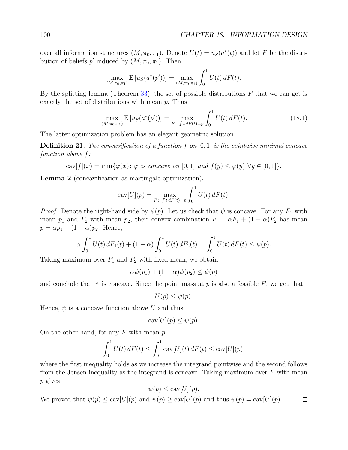over all information structures  $(M, \pi_0, \pi_1)$ . Denote  $U(t) = u_S(a^*(t))$  and let F be the distribution of beliefs  $p'$  induced by  $(M, \pi_0, \pi_1)$ . Then

$$
\max_{(M,\pi_0,\pi_1)} \mathbb{E}\left[u_S(a^*(p'))\right] = \max_{(M,\pi_0,\pi_1)} \int_0^1 U(t) \, dF(t).
$$

By the splitting lemma (Theorem  $33$ ), the set of possible distributions F that we can get is exactly the set of distributions with mean  $p$ . Thus

<span id="page-99-0"></span>
$$
\max_{(M,\pi_0,\pi_1)} \mathbb{E}\left[u_S(a^*(p'))\right] = \max_{F:\int t\,dF(t)=p} \int_0^1 U(t)\,dF(t). \tag{18.1}
$$

The latter optimization problem has an elegant geometric solution.

**Definition 21.** The concavification of a function f on  $[0, 1]$  is the pointwise minimal concave function above f:

 $\text{cav}[f](x) = \min\{\varphi(x): \varphi \text{ is concave on } [0,1] \text{ and } f(y) \leq \varphi(y) \forall y \in [0,1]\}.$ 

<span id="page-99-1"></span>Lemma 2 (concavification as martingale optimization).

$$
cav[U](p) = \max_{F: \int t \, dF(t)=p} \int_0^1 U(t) \, dF(t).
$$

*Proof.* Denote the right-hand side by  $\psi(p)$ . Let us check that  $\psi$  is concave. For any  $F_1$  with mean  $p_1$  and  $F_2$  with mean  $p_2$ , their convex combination  $F = \alpha F_1 + (1 - \alpha)F_2$  has mean  $p = \alpha p_1 + (1 - \alpha)p_2$ . Hence,

$$
\alpha \int_0^1 U(t) dF_1(t) + (1 - \alpha) \int_0^1 U(t) dF_2(t) = \int_0^1 U(t) dF(t) \leq \psi(p).
$$

Taking maximum over  $F_1$  and  $F_2$  with fixed mean, we obtain

$$
\alpha\psi(p_1) + (1-\alpha)\psi(p_2) \le \psi(p)
$$

and conclude that  $\psi$  is concave. Since the point mass at p is also a feasible F, we get that

$$
U(p) \le \psi(p).
$$

Hence,  $\psi$  is a concave function above U and thus

$$
cav[U](p) \le \psi(p).
$$

On the other hand, for any  $F$  with mean  $p$ 

$$
\int_0^1 U(t) dF(t) \le \int_0^1 \text{cav}[U](t) dF(t) \le \text{cav}[U](p),
$$

where the first inequality holds as we increase the integrand pointwise and the second follows from the Jensen inequality as the integrand is concave. Taking maximum over  $F$  with mean p gives

$$
\psi(p) \le \text{cav}[U](p).
$$

We proved that  $\psi(p) \leq \text{cav}[U](p)$  and  $\psi(p) \geq \text{cav}[U](p)$  and thus  $\psi(p) = \text{cav}[U](p)$ .  $\Box$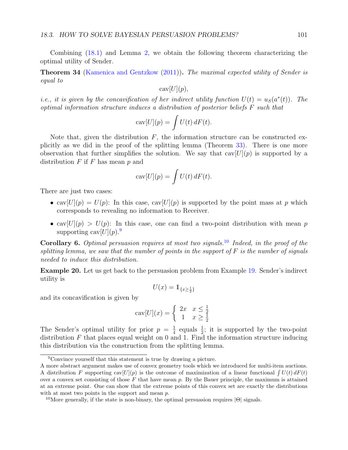<span id="page-100-2"></span>Combining [\(18.1\)](#page-99-0) and Lemma [2,](#page-99-1) we obtain the following theorem characterizing the optimal utility of Sender.

**Theorem 34** [\(Kamenica and Gentzkow](#page-103-3) [\(2011\)](#page-103-3)). The maximal expected utility of Sender is equal to

 $\operatorname{cav}[U](p)$ ,

*i.e.*, it is given by the concavification of her indirect utility function  $U(t) = u<sub>S</sub>(a<sup>*</sup>(t))$ . The optimal information structure induces a distribution of posterior beliefs F such that

$$
cav[U](p) = \int U(t) \, dF(t).
$$

Note that, given the distribution  $F$ , the information structure can be constructed explicitly as we did in the proof of the splitting lemma (Theorem [33\)](#page-95-1). There is one more observation that further simplifies the solution. We say that  $cav[U](p)$  is supported by a distribution  $F$  if  $F$  has mean  $p$  and

$$
cav[U](p) = \int U(t) \, dF(t).
$$

There are just two cases:

- cav $[U](p) = U(p)$ : In this case, cav $[U](p)$  is supported by the point mass at p which corresponds to revealing no information to Receiver.
- cav $[U](p) > U(p)$ : In this case, one can find a two-point distribution with mean p supporting  $\text{cav}[U](p)$ .

**Corollary 6.** Optimal persuasion requires at most two signals.<sup>[10](#page-100-1)</sup> Indeed, in the proof of the splitting lemma, we saw that the number of points in the support of  $F$  is the number of signals needed to induce this distribution.

Example 20. Let us get back to the persuasion problem from Example [19.](#page-96-0) Sender's indirect utility is

$$
U(x)=\mathbb{1}_{\{x\ge \frac{1}{2}\}}
$$

and its concavification is given by

$$
cav[U](x) = \begin{cases} 2x & x \le \frac{1}{2} \\ 1 & x \ge \frac{1}{2} \end{cases}
$$

The Sender's optimal utility for prior  $p = \frac{1}{4}$  $\frac{1}{4}$  equals  $\frac{1}{2}$ ; it is supported by the two-point distribution  $F$  that places equal weight on 0 and 1. Find the information structure inducing this distribution via the construction from the splitting lemma.

<span id="page-100-0"></span><sup>9</sup>Convince yourself that this statement is true by drawing a picture.

A more abstract argument makes use of convex geometry tools which we introduced for multi-item auctions. A distribution F supporting  $cav[U](p)$  is the outcome of maximization of a linear functional  $\int U(t) dF(t)$ over a convex set consisting of those  $F$  that have mean p. By the Bauer principle, the maximum is attained at an extreme point. One can show that the extreme points of this convex set are exactly the distributions with at most two points in the support and mean  $p$ .

<span id="page-100-1"></span><sup>&</sup>lt;sup>10</sup>More generally, if the state is non-binary, the optimal persuasion requires  $|\Theta|$  signals.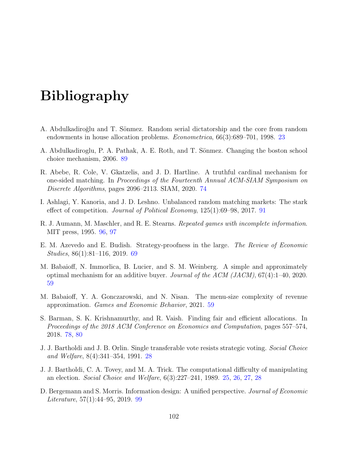# Bibliography

- A. Abdulkadiroğlu and T. Sönmez. Random serial dictatorship and the core from random endowments in house allocation problems. Econometrica, 66(3):689–701, 1998. [23](#page-22-0)
- <span id="page-101-2"></span>A. Abdulkadiroglu, P. A. Pathak, A. E. Roth, and T. Sönmez. Changing the boston school choice mechanism, 2006. [89](#page-88-2)
- <span id="page-101-0"></span>R. Abebe, R. Cole, V. Gkatzelis, and J. D. Hartline. A truthful cardinal mechanism for one-sided matching. In Proceedings of the Fourteenth Annual ACM-SIAM Symposium on Discrete Algorithms, pages 2096–2113. SIAM, 2020. [74](#page-73-2)
- <span id="page-101-3"></span>I. Ashlagi, Y. Kanoria, and J. D. Leshno. Unbalanced random matching markets: The stark effect of competition. Journal of Political Economy, 125(1):69–98, 2017. [91](#page-90-1)
- <span id="page-101-4"></span>R. J. Aumann, M. Maschler, and R. E. Stearns. Repeated games with incomplete information. MIT press, 1995. [96,](#page-95-2) [97](#page-96-1)
- E. M. Azevedo and E. Budish. Strategy-proofness in the large. The Review of Economic Studies, 86(1):81–116, 2019. [69](#page-68-0)
- M. Babaioff, N. Immorlica, B. Lucier, and S. M. Weinberg. A simple and approximately optimal mechanism for an additive buyer. Journal of the ACM (JACM), 67(4):1–40, 2020. [59](#page-58-0)
- M. Babaioff, Y. A. Gonczarowski, and N. Nisan. The menu-size complexity of revenue approximation. Games and Economic Behavior, 2021. [59](#page-58-0)
- <span id="page-101-1"></span>S. Barman, S. K. Krishnamurthy, and R. Vaish. Finding fair and efficient allocations. In Proceedings of the 2018 ACM Conference on Economics and Computation, pages 557–574, 2018. [78,](#page-77-3) [80](#page-79-0)
- J. J. Bartholdi and J. B. Orlin. Single transferable vote resists strategic voting. Social Choice and Welfare, 8(4):341–354, 1991. [28](#page-27-0)
- J. J. Bartholdi, C. A. Tovey, and M. A. Trick. The computational difficulty of manipulating an election. Social Choice and Welfare, 6(3):227–241, 1989. [25,](#page-24-0) [26,](#page-25-0) [27,](#page-26-0) [28](#page-27-0)
- <span id="page-101-5"></span>D. Bergemann and S. Morris. Information design: A unified perspective. Journal of Economic Literature, 57(1):44–95, 2019. [99](#page-98-3)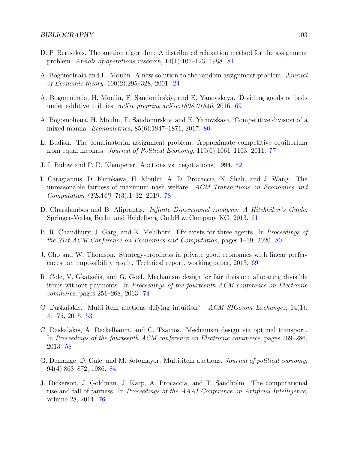- <span id="page-102-7"></span>D. P. Bertsekas. The auction algorithm: A distributed relaxation method for the assignment problem. Annals of operations research, 14(1):105–123, 1988. [84](#page-83-1)
- A. Bogomolnaia and H. Moulin. A new solution to the random assignment problem. Journal of Economic theory, 100(2):295–328, 2001. [24](#page-23-0)
- A. Bogomolnaia, H. Moulin, F. Sandomirskiy, and E. Yanovskaya. Dividing goods or bads under additive utilities. arXiv preprint arXiv:1608.01540, 2016. [69](#page-68-0)
- <span id="page-102-5"></span>A. Bogomolnaia, H. Moulin, F. Sandomirskiy, and E. Yanovskaya. Competitive division of a mixed manna. Econometrica, 85(6):1847–1871, 2017. [80](#page-79-0)
- <span id="page-102-2"></span>E. Budish. The combinatorial assignment problem: Approximate competitive equilibrium from equal incomes. Journal of Political Economy,  $119(6)$ :1061–1103, 2011. [77](#page-76-0)
- J. I. Bulow and P. D. Klemperer. Auctions vs. negotiations, 1994. [52](#page-51-0)
- <span id="page-102-3"></span>I. Caragiannis, D. Kurokawa, H. Moulin, A. D. Procaccia, N. Shah, and J. Wang. The unreasonable fairness of maximum nash welfare. ACM Transactions on Economics and Computation (TEAC), 7(3):1–32, 2019. [78](#page-77-3)
- D. Charalambos and B. Aliprantis. Infinite Dimensional Analysis: A Hitchhiker's Guide. Springer-Verlag Berlin and Heidelberg GmbH & Company KG, 2013. [61](#page-60-0)
- <span id="page-102-4"></span>B. R. Chaudhury, J. Garg, and K. Mehlhorn. Efx exists for three agents. In Proceedings of the 21st ACM Conference on Economics and Computation, pages 1–19, 2020. [80](#page-79-0)
- J. Cho and W. Thomson. Strategy-proofness in private good economies with linear preferences: an impossibility result. Technical report, working paper, 2013. [69](#page-68-0)
- <span id="page-102-0"></span>R. Cole, V. Gkatzelis, and G. Goel. Mechanism design for fair division: allocating divisible items without payments. In Proceedings of the fourteenth ACM conference on Electronic commerce, pages 251–268, 2013. [74](#page-73-2)
- C. Daskalakis. Multi-item auctions defying intuition? ACM SIGecom Exchanges, 14(1): 41–75, 2015. [53](#page-52-0)
- C. Daskalakis, A. Deckelbaum, and C. Tzamos. Mechanism design via optimal transport. In Proceedings of the fourteenth ACM conference on Electronic commerce, pages 269–286, 2013. [58](#page-57-0)
- <span id="page-102-6"></span>G. Demange, D. Gale, and M. Sotomayor. Multi-item auctions. Journal of political economy, 94(4):863–872, 1986. [84](#page-83-1)
- <span id="page-102-1"></span>J. Dickerson, J. Goldman, J. Karp, A. Procaccia, and T. Sandholm. The computational rise and fall of fairness. In Proceedings of the AAAI Conference on Artificial Intelligence, volume 28, 2014. [76](#page-75-3)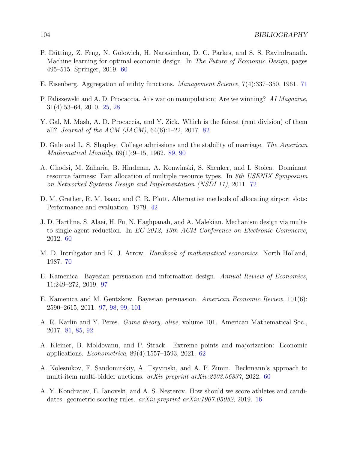- P. Dütting, Z. Feng, N. Golowich, H. Narasimhan, D. C. Parkes, and S. S. Ravindranath. Machine learning for optimal economic design. In The Future of Economic Design, pages 495–515. Springer, 2019. [60](#page-59-0)
- E. Eisenberg. Aggregation of utility functions. Management Science, 7(4):337–350, 1961. [71](#page-70-0)
- P. Faliszewski and A. D. Procaccia. Ai's war on manipulation: Are we winning? AI Magazine, 31(4):53–64, 2010. [25,](#page-24-0) [28](#page-27-0)
- <span id="page-103-1"></span>Y. Gal, M. Mash, A. D. Procaccia, and Y. Zick. Which is the fairest (rent division) of them all? Journal of the ACM (JACM),  $64(6):1-22$ , 2017. [82](#page-81-1)
- <span id="page-103-2"></span>D. Gale and L. S. Shapley. College admissions and the stability of marriage. The American Mathematical Monthly, 69(1):9–15, 1962. [89,](#page-88-2) [90](#page-89-0)
- A. Ghodsi, M. Zaharia, B. Hindman, A. Konwinski, S. Shenker, and I. Stoica. Dominant resource fairness: Fair allocation of multiple resource types. In 8th USENIX Symposium on Networked Systems Design and Implementation (NSDI 11), 2011. [72](#page-71-0)
- D. M. Grether, R. M. Isaac, and C. R. Plott. Alternative methods of allocating airport slots: Performance and evaluation. 1979. [42](#page-41-0)
- J. D. Hartline, S. Alaei, H. Fu, N. Haghpanah, and A. Malekian. Mechanism design via multito single-agent reduction. In EC 2012, 13th ACM Conference on Electronic Commerce, 2012. [60](#page-59-0)
- M. D. Intriligator and K. J. Arrow. *Handbook of mathematical economics*. North Holland, 1987. [70](#page-69-0)
- <span id="page-103-4"></span>E. Kamenica. Bayesian persuasion and information design. Annual Review of Economics, 11:249–272, 2019. [97](#page-96-1)
- <span id="page-103-3"></span>E. Kamenica and M. Gentzkow. Bayesian persuasion. American Economic Review, 101(6): 2590–2615, 2011. [97,](#page-96-1) [98,](#page-97-1) [99,](#page-98-3) [101](#page-100-2)
- <span id="page-103-0"></span>A. R. Karlin and Y. Peres. Game theory, alive, volume 101. American Mathematical Soc., 2017. [81,](#page-80-1) [85,](#page-84-0) [92](#page-91-1)
- A. Kleiner, B. Moldovanu, and P. Strack. Extreme points and majorization: Economic applications. Econometrica, 89(4):1557–1593, 2021. [62](#page-61-0)
- A. Kolesnikov, F. Sandomirskiy, A. Tsyvinski, and A. P. Zimin. Beckmann's approach to multi-item multi-bidder auctions. arXiv preprint arXiv:2203.06837, 2022. [60](#page-59-0)
- A. Y. Kondratev, E. Ianovski, and A. S. Nesterov. How should we score athletes and candidates: geometric scoring rules. arXiv preprint arXiv:1907.05082, 2019. [16](#page-15-0)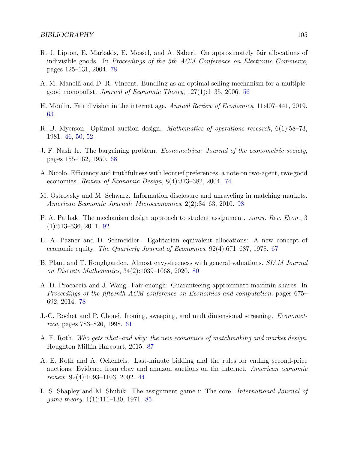- <span id="page-104-2"></span>R. J. Lipton, E. Markakis, E. Mossel, and A. Saberi. On approximately fair allocations of indivisible goods. In Proceedings of the 5th ACM Conference on Electronic Commerce, pages 125–131, 2004. [78](#page-77-3)
- A. M. Manelli and D. R. Vincent. Bundling as an optimal selling mechanism for a multiplegood monopolist. Journal of Economic Theory, 127(1):1–35, 2006. [56](#page-55-0)
- H. Moulin. Fair division in the internet age. Annual Review of Economics, 11:407–441, 2019. [63](#page-62-0)
- R. B. Myerson. Optimal auction design. Mathematics of operations research, 6(1):58–73, 1981. [46,](#page-45-0) [50,](#page-49-0) [52](#page-51-0)
- J. F. Nash Jr. The bargaining problem. Econometrica: Journal of the econometric society, pages 155–162, 1950. [68](#page-67-0)
- <span id="page-104-0"></span>A. Nicoló. Efficiency and truthfulness with leontief preferences. a note on two-agent, two-good economies. Review of Economic Design, 8(4):373–382, 2004. [74](#page-73-2)
- <span id="page-104-7"></span>M. Ostrovsky and M. Schwarz. Information disclosure and unraveling in matching markets. American Economic Journal: Microeconomics, 2(2):34–63, 2010. [98](#page-97-1)
- <span id="page-104-6"></span>P. A. Pathak. The mechanism design approach to student assignment. Annu. Rev. Econ., 3 (1):513–536, 2011. [92](#page-91-1)
- E. A. Pazner and D. Schmeidler. Egalitarian equivalent allocations: A new concept of economic equity. The Quarterly Journal of Economics, 92(4):671–687, 1978. [67](#page-66-0)
- <span id="page-104-3"></span>B. Plaut and T. Roughgarden. Almost envy-freeness with general valuations. SIAM Journal on Discrete Mathematics, 34(2):1039–1068, 2020. [80](#page-79-0)
- <span id="page-104-1"></span>A. D. Procaccia and J. Wang. Fair enough: Guaranteeing approximate maximin shares. In Proceedings of the fifteenth ACM conference on Economics and computation, pages 675– 692, 2014. [78](#page-77-3)
- J.-C. Rochet and P. Choné. Ironing, sweeping, and multidimensional screening. *Economet*rica, pages 783–826, 1998. [61](#page-60-0)
- <span id="page-104-5"></span>A. E. Roth. Who gets what–and why: the new economics of matchmaking and market design. Houghton Mifflin Harcourt, 2015. [87](#page-86-6)
- A. E. Roth and A. Ockenfels. Last-minute bidding and the rules for ending second-price auctions: Evidence from ebay and amazon auctions on the internet. American economic review, 92(4):1093–1103, 2002. [44](#page-43-0)
- <span id="page-104-4"></span>L. S. Shapley and M. Shubik. The assignment game i: The core. International Journal of game theory, 1(1):111–130, 1971. [85](#page-84-0)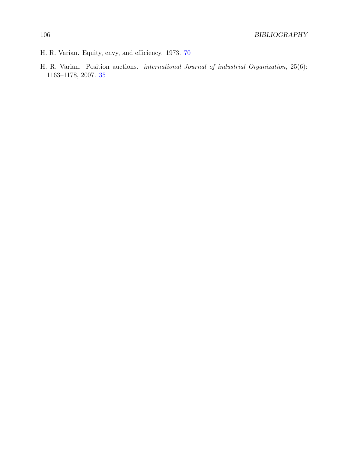- H. R. Varian. Equity, envy, and efficiency. 1973. [70](#page-69-0)
- H. R. Varian. Position auctions. international Journal of industrial Organization, 25(6): 1163–1178, 2007. [35](#page-34-0)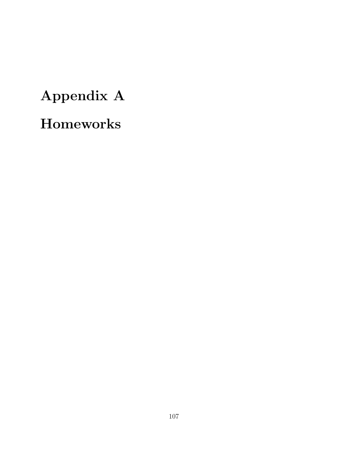# Appendix A Homeworks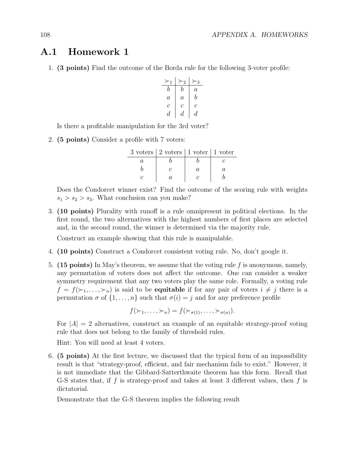## A.1 Homework 1

1. (3 points) Find the outcome of the Borda rule for the following 3-voter profile:

≻<sup>1</sup> ≻<sup>2</sup> ≻<sup>3</sup> b b a a a b c c c d d d

Is there a profitable manipulation for the 3rd voter?

2. (5 points) Consider a profile with 7 voters:

| $3 \text{ voters}   2 \text{ voters}   1 \text{ voters}$ |  |
|----------------------------------------------------------|--|
|                                                          |  |
|                                                          |  |
|                                                          |  |

Does the Condorcet winner exist? Find the outcome of the scoring rule with weights  $s_1 > s_2 > s_3$ . What conclusion can you make?

3. (10 points) Plurality with runoff is a rule omnipresent in political elections. In the first round, the two alternatives with the highest numbers of first places are selected and, in the second round, the winner is determined via the majority rule.

Construct an example showing that this rule is manipulable.

- 4. (10 points) Construct a Condorcet consistent voting rule. No, don't google it.
- 5. (15 points) In May's theorem, we assume that the voting rule f is anonymous, namely, any permutation of voters does not affect the outcome. One can consider a weaker symmetry requirement that any two voters play the same role. Formally, a voting rule  $f = f(\succ_1, \ldots, \succ_n)$  is said to be **equitable** if for any pair of voters  $i \neq j$  there is a permutation  $\sigma$  of  $\{1, \ldots, n\}$  such that  $\sigma(i) = j$  and for any preference profile

$$
f(\succ_1,\ldots,\succ_n)=f(\succ_{\sigma(1)},\ldots,\succ_{\sigma(n)}).
$$

For  $|A| = 2$  alternatives, construct an example of an equitable strategy-proof voting rule that does not belong to the family of threshold rules.

Hint: You will need at least 4 voters.

6. (5 points) At the first lecture, we discussed that the typical form of an impossibility result is that "strategy-proof, efficient, and fair mechanism fails to exist." However, it is not immediate that the Gibbard-Satterthwaite theorem has this form. Recall that G-S states that, if f is strategy-proof and takes at least 3 different values, then f is dictatorial.

Demonstrate that the G-S theorem implies the following result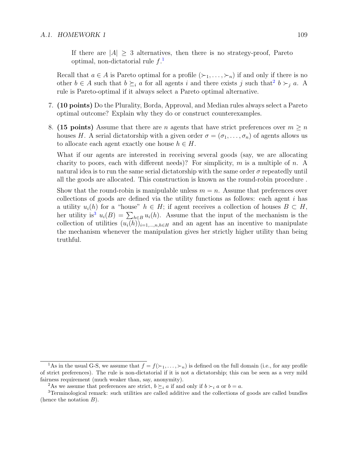If there are  $|A| > 3$  alternatives, then there is no strategy-proof, Pareto optimal, non-dictatorial rule  $f<sup>1</sup>$  $f<sup>1</sup>$  $f<sup>1</sup>$ 

Recall that  $a \in A$  is Pareto optimal for a profile  $(\succ_1, \ldots, \succ_n)$  if and only if there is no other  $b \in A$  such that  $b \succeq_i a$  for all agents i and there exists j such that  $b \succ_j a$ . A rule is Pareto-optimal if it always select a Pareto optimal alternative.

- 7. (10 points) Do the Plurality, Borda, Approval, and Median rules always select a Pareto optimal outcome? Explain why they do or construct counterexamples.
- 8. (15 points) Assume that there are n agents that have strict preferences over  $m \geq n$ houses H. A serial dictatorship with a given order  $\sigma = (\sigma_1, \ldots, \sigma_n)$  of agents allows us to allocate each agent exactly one house  $h \in H$ .

What if our agents are interested in receiving several goods (say, we are allocating charity to poors, each with different needs)? For simplicity,  $m$  is a multiple of  $n$ . A natural idea is to run the same serial dictatorship with the same order  $\sigma$  repeatedly until all the goods are allocated. This construction is known as the round-robin procedure .

Show that the round-robin is manipulable unless  $m = n$ . Assume that preferences over collections of goods are defined via the utility functions as follows: each agent  $i$  has a utility  $u_i(h)$  for a "house"  $h \in H$ ; if agent receives a collection of houses  $B \subset H$ , her utility is<sup>[3](#page-108-2)</sup>  $u_i(B) = \sum_{h \in B} u_i(h)$ . Assume that the input of the mechanism is the collection of utilities  $(u_i(h))_{i=1,\dots,n,h\in H}$  and an agent has an incentive to manipulate the mechanism whenever the manipulation gives her strictly higher utility than being truthful.

<span id="page-108-0"></span><sup>&</sup>lt;sup>1</sup>As in the usual G-S, we assume that  $f = f(\succ_1, \ldots, \succ_n)$  is defined on the full domain (i.e., for any profile of strict preferences). The rule is non-dictatorial if it is not a dictatorship; this can be seen as a very mild fairness requirement (much weaker than, say, anonymity).

<span id="page-108-2"></span><span id="page-108-1"></span><sup>&</sup>lt;sup>2</sup>As we assume that preferences are strict,  $b \succeq_i a$  if and only if  $b \succ_i a$  or  $b = a$ .

<sup>&</sup>lt;sup>3</sup>Terminological remark: such utilities are called additive and the collections of goods are called bundles (hence the notation  $B$ ).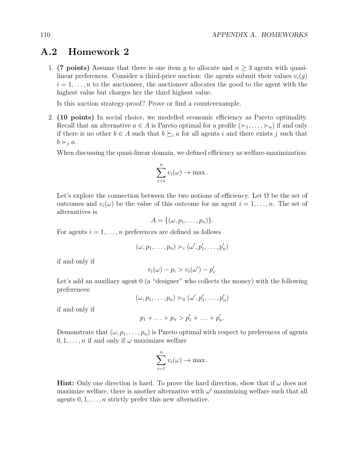## A.2 Homework 2

1. (7 points) Assume that there is one item g to allocate and  $n \geq 3$  agents with quasilinear preferences. Consider a third-price auction: the agents submit their values  $v_i(q)$  $i = 1, \ldots, n$  to the auctioneer, the auctioneer allocates the good to the agent with the highest value but charges her the third highest value.

Is this auction strategy-proof? Prove or find a counterexample.

2. (10 points) In social choice, we modelled economic efficiency as Pareto optimality. Recall that an alternative  $a \in A$  is Pareto optimal for a profile  $(\succ_1, \ldots, \succ_n)$  if and only if there is no other  $b \in A$  such that  $b \succeq_i a$  for all agents i and there exists j such that  $b \succ_i a$ .

When discussing the quasi-linear domain, we defined efficiency as welfare-maximization:

$$
\sum_{i=1}^n v_i(\omega) \to \max.
$$

Let's explore the connection between the two notions of efficiency. Let  $\Omega$  be the set of outcomes and  $v_i(\omega)$  be the value of this outcome for an agent  $i = 1, \ldots, n$ . The set of alternatives is

$$
A = \{(\omega, p_1, \ldots, p_n)\}.
$$

For agents  $i = 1, \ldots, n$  preferences are defined as follows

$$
(\omega, p_1, \ldots, p_n) \succ_i (\omega', p'_1, \ldots, p'_n)
$$

if and only if

$$
v_i(\omega) - p_i > v_i(\omega') - p'_i.
$$

Let's add an auxiliary agent 0 (a "designer" who collects the money) with the following preferences:

$$
(\omega, p_1, \ldots, p_n) \succ_0 (\omega', p'_1, \ldots, p'_n)
$$

if and only if

$$
p_1+\ldots+p_n>p'_1+\ldots+p'_n.
$$

Demonstrate that  $(\omega, p_1, \ldots, p_n)$  is Pareto optimal with respect to preferences of agents  $0, 1, \ldots, n$  if and only if  $\omega$  maximizes welfare

$$
\sum_{i=1}^n v_i(\omega) \to \max.
$$

**Hint:** Only one direction is hard. To prove the hard direction, show that if  $\omega$  does not maximize welfare, there is another alternative with  $\omega'$  maximizing welfare such that all agents  $0, 1, \ldots, n$  strictly prefer this new alternative.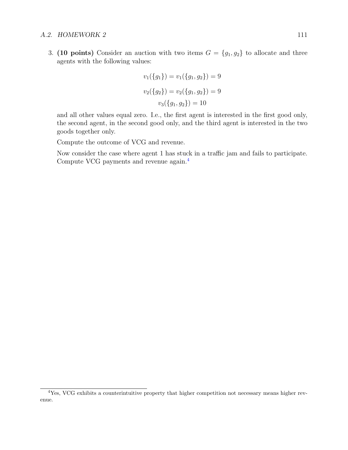## A.2. HOMEWORK 2 111

3. (10 points) Consider an auction with two items  $G = \{g_1, g_2\}$  to allocate and three agents with the following values:

$$
v_1(\lbrace g_1 \rbrace) = v_1(\lbrace g_1, g_2 \rbrace) = 9
$$
  

$$
v_2(\lbrace g_2 \rbrace) = v_2(\lbrace g_1, g_2 \rbrace) = 9
$$
  

$$
v_3(\lbrace g_1, g_2 \rbrace) = 10
$$

and all other values equal zero. I.e., the first agent is interested in the first good only, the second agent, in the second good only, and the third agent is interested in the two goods together only.

Compute the outcome of VCG and revenue.

Now consider the case where agent 1 has stuck in a traffic jam and fails to participate. Compute VCG payments and revenue again.[4](#page-110-0)

<span id="page-110-0"></span><sup>4</sup>Yes, VCG exhibits a counterintuitive property that higher competition not necessary means higher revenue.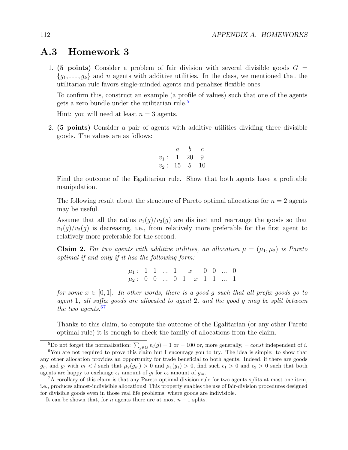## A.3 Homework 3

1. (5 points) Consider a problem of fair division with several divisible goods  $G =$  ${g_1, \ldots, g_k}$  and n agents with additive utilities. In the class, we mentioned that the utilitarian rule favors single-minded agents and penalizes flexible ones.

To confirm this, construct an example (a profile of values) such that one of the agents gets a zero bundle under the utilitarian rule.<sup>[5](#page-111-0)</sup>

Hint: you will need at least  $n = 3$  agents.

2. (5 points) Consider a pair of agents with additive utilities dividing three divisible goods. The values are as follows:

$$
\begin{array}{ccc} & a & b & c \\ v_1: & 1 & 20 & 9 \\ v_2: & 15 & 5 & 10 \end{array}
$$

Find the outcome of the Egalitarian rule. Show that both agents have a profitable manipulation.

The following result about the structure of Pareto optimal allocations for  $n = 2$  agents may be useful.

Assume that all the ratios  $v_1(g)/v_2(g)$  are distinct and rearrange the goods so that  $v_1(q)/v_2(q)$  is decreasing, i.e., from relatively more preferable for the first agent to relatively more preferable for the second.

**Claim 2.** For two agents with additive utilities, an allocation  $\mu = (\mu_1, \mu_2)$  is Pareto optimal if and only if it has the following form:

> $\mu_1: 1 \quad 1 \quad ... \quad 1 \quad x \quad 0 \quad 0 \quad ... \quad 0$  $\mu_2: 0 \quad 0 \quad ... \quad 0 \quad 1-x \quad 1 \quad 1 \quad ... \quad 1$

for some  $x \in [0,1]$ . In other words, there is a good q such that all prefix goods go to agent 1, all suffix goods are allocated to agent 2, and the good  $q$  may be split between the two agents.  $67$  $67$ 

Thanks to this claim, to compute the outcome of the Egalitarian (or any other Pareto optimal rule) it is enough to check the family of allocations from the claim.

<span id="page-111-1"></span><span id="page-111-0"></span><sup>5</sup>Do not forget the normalization:  $\sum_{g \in G} v_i(g) = 1$  or = 100 or, more generally, = const independent of i.

<sup>6</sup>You are not required to prove this claim but I encourage you to try. The idea is simple: to show that any other allocation provides an opportunity for trade beneficial to both agents. Indeed, if there are goods  $g_m$  and  $g_l$  with  $m < l$  such that  $\mu_2(g_m) > 0$  and  $\mu_1(g_1) > 0$ , find such  $\epsilon_1 > 0$  and  $\epsilon_2 > 0$  such that both agents are happy to exchange  $\epsilon_1$  amount of  $g_l$  for  $\epsilon_2$  amount of  $g_m$ .

<span id="page-111-2"></span><sup>7</sup>A corollary of this claim is that any Pareto optimal division rule for two agents splits at most one item, i.e., produces almost-indivisible allocations! This property enables the use of fair-division procedures designed for divisible goods even in those real life problems, where goods are indivisible.

It can be shown that, for *n* agents there are at most  $n - 1$  splits.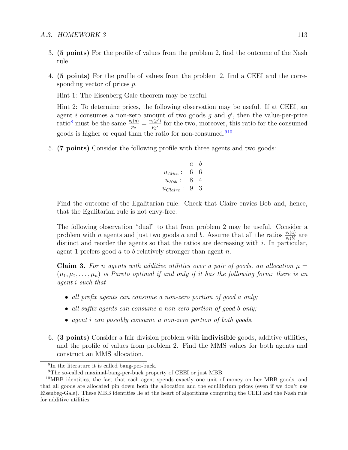- 3. (5 points) For the profile of values from the problem 2, find the outcome of the Nash rule.
- 4. (5 points) For the profile of values from the problem 2, find a CEEI and the corresponding vector of prices p.

Hint 1: The Eisenberg-Gale theorem may be useful.

Hint 2: To determine prices, the following observation may be useful. If at CEEI, an agent i consumes a non-zero amount of two goods  $g$  and  $g'$ , then the value-per-price ratio<sup>[8](#page-112-0)</sup> must be the same  $\frac{v_i(g)}{p_g} = \frac{v_i(g')}{p_{g'}}$  $\frac{i(g')}{p_{g'}}$  for the two, moreover, this ratio for the consumed goods is higher or equal than the ratio for non-consumed.<sup>[9](#page-112-1)[10](#page-112-2)</sup>

5. (7 points) Consider the following profile with three agents and two goods:

$$
\begin{array}{ccc}\n & a & b \\
u_{Alice}: & 6 & 6 \\
u_{Bob}: & 8 & 4 \\
u_{Claire}: & 9 & 3\n\end{array}
$$

Find the outcome of the Egalitarian rule. Check that Claire envies Bob and, hence, that the Egalitarian rule is not envy-free.

The following observation "dual" to that from problem 2 may be useful. Consider a problem with *n* agents and just two goods *a* and *b*. Assume that all the ratios  $\frac{v_i(a)}{v_i(b)}$  are distinct and reorder the agents so that the ratios are decreasing with  $i$ . In particular, agent 1 prefers good  $a$  to  $b$  relatively stronger than agent  $n$ .

**Claim 3.** For n agents with additive utilities over a pair of goods, an allocation  $\mu =$  $(\mu_1, \mu_2, \ldots, \mu_n)$  is Pareto optimal if and only if it has the following form: there is an agent i such that

- all prefix agents can consume a non-zero portion of good a only;
- all suffix agents can consume a non-zero portion of good b only;
- agent *i* can possibly consume a non-zero portion of both goods.
- 6. (3 points) Consider a fair division problem with indivisible goods, additive utilities, and the profile of values from problem 2. Find the MMS values for both agents and construct an MMS allocation.

<span id="page-112-0"></span><sup>8</sup> In the literature it is called bang-per-buck.

<span id="page-112-2"></span><span id="page-112-1"></span><sup>9</sup>The so-called maximal-bang-per-buck property of CEEI or just MBB.

 $10$ MBB identities, the fact that each agent spends exactly one unit of money on her MBB goods, and that all goods are allocated pin down both the allocation and the equilibrium prices (even if we don't use Eisenbeg-Gale). These MBB identities lie at the heart of algorithms computing the CEEI and the Nash rule for additive utilities.